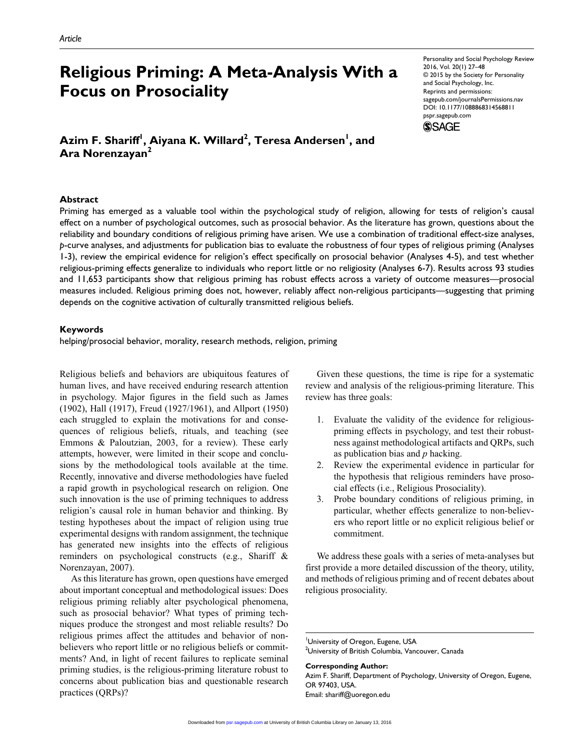# **Religious Priming: A Meta-Analysis With a Focus on Prosociality**

 $\boldsymbol{\mathsf{A}\text{zim}}$  **F. Shariff<sup>1</sup>, Aiyana K. Willard** $^2$ **, Teresa Andersen** $^{\mathsf{I}},$  **and Ara Norenzayan2**

Personality and Social Psychology Review 2016, Vol. 20(1) 27–48 © 2015 by the Society for Personality and Social Psychology, Inc. Reprints and permissions: sagepub.com/journalsPermissions.nav DOI: 10.1177/1088868314568811 pspr.sagepub.com **SSAGE** 



Priming has emerged as a valuable tool within the psychological study of religion, allowing for tests of religion's causal effect on a number of psychological outcomes, such as prosocial behavior. As the literature has grown, questions about the reliability and boundary conditions of religious priming have arisen. We use a combination of traditional effect-size analyses, *p*-curve analyses, and adjustments for publication bias to evaluate the robustness of four types of religious priming (Analyses 1-3), review the empirical evidence for religion's effect specifically on prosocial behavior (Analyses 4-5), and test whether religious-priming effects generalize to individuals who report little or no religiosity (Analyses 6-7). Results across 93 studies and 11,653 participants show that religious priming has robust effects across a variety of outcome measures—prosocial measures included. Religious priming does not, however, reliably affect non-religious participants—suggesting that priming depends on the cognitive activation of culturally transmitted religious beliefs.

#### **Keywords**

helping/prosocial behavior, morality, research methods, religion, priming

Religious beliefs and behaviors are ubiquitous features of human lives, and have received enduring research attention in psychology. Major figures in the field such as James (1902), Hall (1917), Freud (1927/1961), and Allport (1950) each struggled to explain the motivations for and consequences of religious beliefs, rituals, and teaching (see Emmons & Paloutzian, 2003, for a review). These early attempts, however, were limited in their scope and conclusions by the methodological tools available at the time. Recently, innovative and diverse methodologies have fueled a rapid growth in psychological research on religion. One such innovation is the use of priming techniques to address religion's causal role in human behavior and thinking. By testing hypotheses about the impact of religion using true experimental designs with random assignment, the technique has generated new insights into the effects of religious reminders on psychological constructs (e.g., Shariff & Norenzayan, 2007).

As this literature has grown, open questions have emerged about important conceptual and methodological issues: Does religious priming reliably alter psychological phenomena, such as prosocial behavior? What types of priming techniques produce the strongest and most reliable results? Do religious primes affect the attitudes and behavior of nonbelievers who report little or no religious beliefs or commitments? And, in light of recent failures to replicate seminal priming studies, is the religious-priming literature robust to concerns about publication bias and questionable research practices (QRPs)?

Given these questions, the time is ripe for a systematic review and analysis of the religious-priming literature. This review has three goals:

- 1. Evaluate the validity of the evidence for religiouspriming effects in psychology, and test their robustness against methodological artifacts and QRPs, such as publication bias and *p* hacking.
- 2. Review the experimental evidence in particular for the hypothesis that religious reminders have prosocial effects (i.e., Religious Prosociality).
- 3. Probe boundary conditions of religious priming, in particular, whether effects generalize to non-believers who report little or no explicit religious belief or commitment.

We address these goals with a series of meta-analyses but first provide a more detailed discussion of the theory, utility, and methods of religious priming and of recent debates about religious prosociality.

**Corresponding Author:**

Azim F. Shariff, Department of Psychology, University of Oregon, Eugene, OR 97403, USA. Email: [shariff@uoregon.edu](mailto:shariff@uoregon.edu)

University of Oregon, Eugene, USA

 $^2$ University of British Columbia, Vancouver, Canada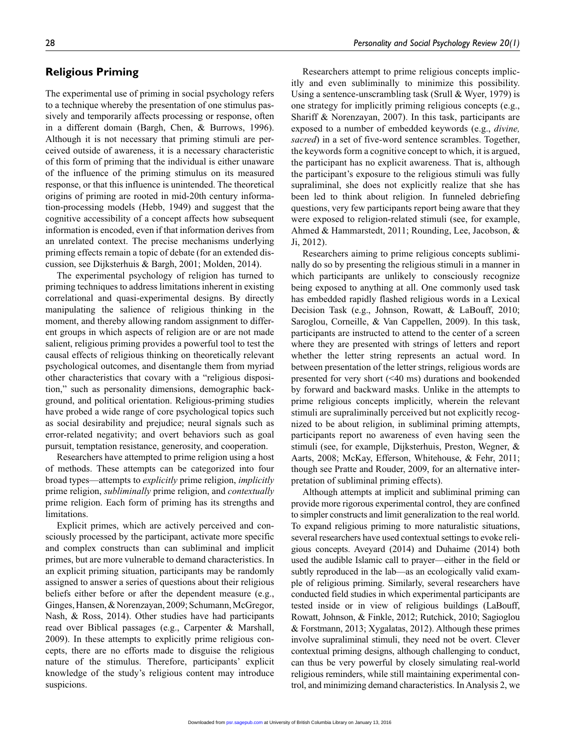# **Religious Priming**

The experimental use of priming in social psychology refers to a technique whereby the presentation of one stimulus passively and temporarily affects processing or response, often in a different domain (Bargh, Chen, & Burrows, 1996). Although it is not necessary that priming stimuli are perceived outside of awareness, it is a necessary characteristic of this form of priming that the individual is either unaware of the influence of the priming stimulus on its measured response, or that this influence is unintended. The theoretical origins of priming are rooted in mid-20th century information-processing models (Hebb, 1949) and suggest that the cognitive accessibility of a concept affects how subsequent information is encoded, even if that information derives from an unrelated context. The precise mechanisms underlying priming effects remain a topic of debate (for an extended discussion, see Dijksterhuis & Bargh, 2001; Molden, 2014).

The experimental psychology of religion has turned to priming techniques to address limitations inherent in existing correlational and quasi-experimental designs. By directly manipulating the salience of religious thinking in the moment, and thereby allowing random assignment to different groups in which aspects of religion are or are not made salient, religious priming provides a powerful tool to test the causal effects of religious thinking on theoretically relevant psychological outcomes, and disentangle them from myriad other characteristics that covary with a "religious disposition," such as personality dimensions, demographic background, and political orientation. Religious-priming studies have probed a wide range of core psychological topics such as social desirability and prejudice; neural signals such as error-related negativity; and overt behaviors such as goal pursuit, temptation resistance, generosity, and cooperation.

Researchers have attempted to prime religion using a host of methods. These attempts can be categorized into four broad types—attempts to *explicitly* prime religion, *implicitly* prime religion, *subliminally* prime religion, and *contextually* prime religion. Each form of priming has its strengths and limitations.

Explicit primes, which are actively perceived and consciously processed by the participant, activate more specific and complex constructs than can subliminal and implicit primes, but are more vulnerable to demand characteristics. In an explicit priming situation, participants may be randomly assigned to answer a series of questions about their religious beliefs either before or after the dependent measure (e.g., Ginges, Hansen, & Norenzayan, 2009; Schumann, McGregor, Nash, & Ross, 2014). Other studies have had participants read over Biblical passages (e.g., Carpenter & Marshall, 2009). In these attempts to explicitly prime religious concepts, there are no efforts made to disguise the religious nature of the stimulus. Therefore, participants' explicit knowledge of the study's religious content may introduce suspicions.

Researchers attempt to prime religious concepts implicitly and even subliminally to minimize this possibility. Using a sentence-unscrambling task (Srull & Wyer, 1979) is one strategy for implicitly priming religious concepts (e.g., Shariff & Norenzayan, 2007). In this task, participants are exposed to a number of embedded keywords (e.g., *divine, sacred*) in a set of five-word sentence scrambles. Together, the keywords form a cognitive concept to which, it is argued, the participant has no explicit awareness. That is, although the participant's exposure to the religious stimuli was fully supraliminal, she does not explicitly realize that she has been led to think about religion. In funneled debriefing questions, very few participants report being aware that they were exposed to religion-related stimuli (see, for example, Ahmed & Hammarstedt, 2011; Rounding, Lee, Jacobson, & Ji, 2012).

Researchers aiming to prime religious concepts subliminally do so by presenting the religious stimuli in a manner in which participants are unlikely to consciously recognize being exposed to anything at all. One commonly used task has embedded rapidly flashed religious words in a Lexical Decision Task (e.g., Johnson, Rowatt, & LaBouff, 2010; Saroglou, Corneille, & Van Cappellen, 2009). In this task, participants are instructed to attend to the center of a screen where they are presented with strings of letters and report whether the letter string represents an actual word. In between presentation of the letter strings, religious words are presented for very short (<40 ms) durations and bookended by forward and backward masks. Unlike in the attempts to prime religious concepts implicitly, wherein the relevant stimuli are supraliminally perceived but not explicitly recognized to be about religion, in subliminal priming attempts, participants report no awareness of even having seen the stimuli (see, for example, Dijksterhuis, Preston, Wegner, & Aarts, 2008; McKay, Efferson, Whitehouse, & Fehr, 2011; though see Pratte and Rouder, 2009, for an alternative interpretation of subliminal priming effects).

Although attempts at implicit and subliminal priming can provide more rigorous experimental control, they are confined to simpler constructs and limit generalization to the real world. To expand religious priming to more naturalistic situations, several researchers have used contextual settings to evoke religious concepts. Aveyard (2014) and Duhaime (2014) both used the audible Islamic call to prayer—either in the field or subtly reproduced in the lab—as an ecologically valid example of religious priming. Similarly, several researchers have conducted field studies in which experimental participants are tested inside or in view of religious buildings (LaBouff, Rowatt, Johnson, & Finkle, 2012; Rutchick, 2010; Sagioglou & Forstmann, 2013; Xygalatas, 2012). Although these primes involve supraliminal stimuli, they need not be overt. Clever contextual priming designs, although challenging to conduct, can thus be very powerful by closely simulating real-world religious reminders, while still maintaining experimental control, and minimizing demand characteristics. In Analysis 2, we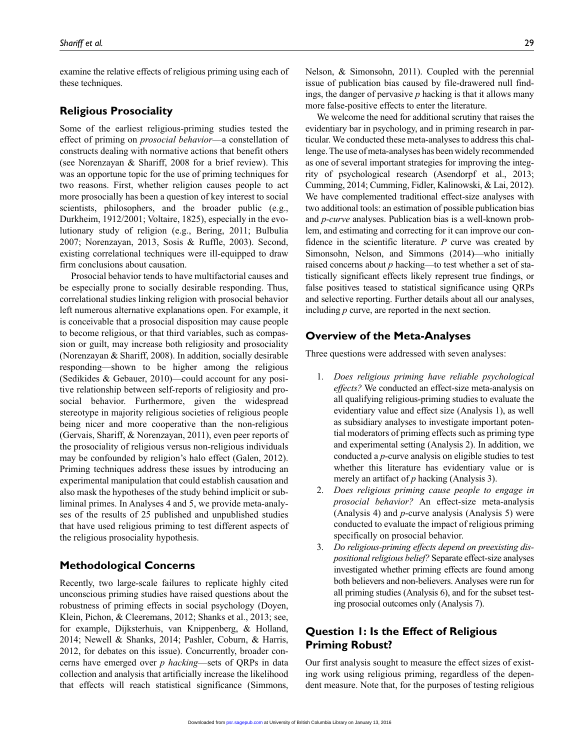examine the relative effects of religious priming using each of these techniques.

# **Religious Prosociality**

Some of the earliest religious-priming studies tested the effect of priming on *prosocial behavior*—a constellation of constructs dealing with normative actions that benefit others (see Norenzayan & Shariff, 2008 for a brief review). This was an opportune topic for the use of priming techniques for two reasons. First, whether religion causes people to act more prosocially has been a question of key interest to social scientists, philosophers, and the broader public (e.g., Durkheim, 1912/2001; Voltaire, 1825), especially in the evolutionary study of religion (e.g., Bering, 2011; Bulbulia 2007; Norenzayan, 2013, Sosis & Ruffle, 2003). Second, existing correlational techniques were ill-equipped to draw firm conclusions about causation.

Prosocial behavior tends to have multifactorial causes and be especially prone to socially desirable responding. Thus, correlational studies linking religion with prosocial behavior left numerous alternative explanations open. For example, it is conceivable that a prosocial disposition may cause people to become religious, or that third variables, such as compassion or guilt, may increase both religiosity and prosociality (Norenzayan & Shariff, 2008). In addition, socially desirable responding—shown to be higher among the religious (Sedikides & Gebauer, 2010)—could account for any positive relationship between self-reports of religiosity and prosocial behavior. Furthermore, given the widespread stereotype in majority religious societies of religious people being nicer and more cooperative than the non-religious (Gervais, Shariff, & Norenzayan, 2011), even peer reports of the prosociality of religious versus non-religious individuals may be confounded by religion's halo effect (Galen, 2012). Priming techniques address these issues by introducing an experimental manipulation that could establish causation and also mask the hypotheses of the study behind implicit or subliminal primes. In Analyses 4 and 5, we provide meta-analyses of the results of 25 published and unpublished studies that have used religious priming to test different aspects of the religious prosociality hypothesis.

# **Methodological Concerns**

Recently, two large-scale failures to replicate highly cited unconscious priming studies have raised questions about the robustness of priming effects in social psychology (Doyen, Klein, Pichon, & Cleeremans, 2012; Shanks et al., 2013; see, for example, Dijksterhuis, van Knippenberg, & Holland, 2014; Newell & Shanks, 2014; Pashler, Coburn, & Harris, 2012, for debates on this issue). Concurrently, broader concerns have emerged over *p hacking*—sets of QRPs in data collection and analysis that artificially increase the likelihood that effects will reach statistical significance (Simmons,

Nelson, & Simonsohn, 2011). Coupled with the perennial issue of publication bias caused by file-drawered null findings, the danger of pervasive *p* hacking is that it allows many more false-positive effects to enter the literature.

We welcome the need for additional scrutiny that raises the evidentiary bar in psychology, and in priming research in particular. We conducted these meta-analyses to address this challenge. The use of meta-analyses has been widely recommended as one of several important strategies for improving the integrity of psychological research (Asendorpf et al., 2013; Cumming, 2014; Cumming, Fidler, Kalinowski, & Lai, 2012). We have complemented traditional effect-size analyses with two additional tools: an estimation of possible publication bias and *p-curve* analyses. Publication bias is a well-known problem, and estimating and correcting for it can improve our confidence in the scientific literature. *P* curve was created by Simonsohn, Nelson, and Simmons (2014)—who initially raised concerns about *p* hacking—to test whether a set of statistically significant effects likely represent true findings, or false positives teased to statistical significance using QRPs and selective reporting. Further details about all our analyses, including *p* curve, are reported in the next section.

# **Overview of the Meta-Analyses**

Three questions were addressed with seven analyses:

- 1. *Does religious priming have reliable psychological effects?* We conducted an effect-size meta-analysis on all qualifying religious-priming studies to evaluate the evidentiary value and effect size (Analysis 1), as well as subsidiary analyses to investigate important potential moderators of priming effects such as priming type and experimental setting (Analysis 2). In addition, we conducted a *p*-curve analysis on eligible studies to test whether this literature has evidentiary value or is merely an artifact of *p* hacking (Analysis 3).
- 2. *Does religious priming cause people to engage in prosocial behavior?* An effect-size meta-analysis (Analysis 4) and *p*-curve analysis (Analysis 5) were conducted to evaluate the impact of religious priming specifically on prosocial behavior.
- 3. *Do religious-priming effects depend on preexisting dispositional religious belief?* Separate effect-size analyses investigated whether priming effects are found among both believers and non-believers. Analyses were run for all priming studies (Analysis 6), and for the subset testing prosocial outcomes only (Analysis 7).

# **Question 1: Is the Effect of Religious Priming Robust?**

Our first analysis sought to measure the effect sizes of existing work using religious priming, regardless of the dependent measure. Note that, for the purposes of testing religious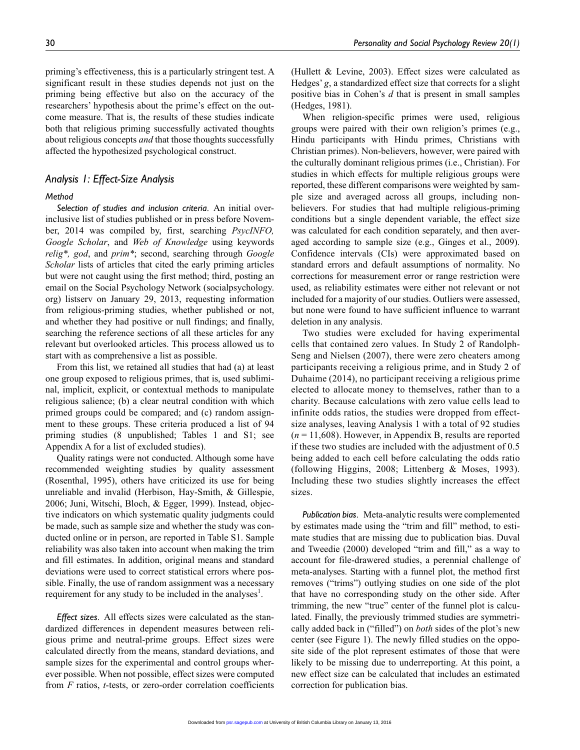priming's effectiveness, this is a particularly stringent test. A significant result in these studies depends not just on the priming being effective but also on the accuracy of the researchers' hypothesis about the prime's effect on the outcome measure. That is, the results of these studies indicate both that religious priming successfully activated thoughts about religious concepts *and* that those thoughts successfully affected the hypothesized psychological construct.

### *Analysis 1: Effect-Size Analysis*

#### *Method*

*Selection of studies and inclusion criteria*. An initial overinclusive list of studies published or in press before November, 2014 was compiled by, first, searching *PsycINFO, Google Scholar*, and *Web of Knowledge* using keywords *relig\*, god*, and *prim\**; second, searching through *Google Scholar* lists of articles that cited the early priming articles but were not caught using the first method; third, posting an email on the Social Psychology Network (socialpsychology. org) listserv on January 29, 2013, requesting information from religious-priming studies, whether published or not, and whether they had positive or null findings; and finally, searching the reference sections of all these articles for any relevant but overlooked articles. This process allowed us to start with as comprehensive a list as possible.

From this list, we retained all studies that had (a) at least one group exposed to religious primes, that is, used subliminal, implicit, explicit, or contextual methods to manipulate religious salience; (b) a clear neutral condition with which primed groups could be compared; and (c) random assignment to these groups. These criteria produced a list of 94 priming studies (8 unpublished; Tables 1 and S1; see Appendix A for a list of excluded studies).

Quality ratings were not conducted. Although some have recommended weighting studies by quality assessment (Rosenthal, 1995), others have criticized its use for being unreliable and invalid (Herbison, Hay-Smith, & Gillespie, 2006; Juni, Witschi, Bloch, & Egger, 1999). Instead, objective indicators on which systematic quality judgments could be made, such as sample size and whether the study was conducted online or in person, are reported in Table S1. Sample reliability was also taken into account when making the trim and fill estimates. In addition, original means and standard deviations were used to correct statistical errors where possible. Finally, the use of random assignment was a necessary requirement for any study to be included in the analyses<sup>1</sup>.

*Effect sizes*. All effects sizes were calculated as the standardized differences in dependent measures between religious prime and neutral-prime groups. Effect sizes were calculated directly from the means, standard deviations, and sample sizes for the experimental and control groups wherever possible. When not possible, effect sizes were computed from *F* ratios, *t*-tests, or zero-order correlation coefficients (Hullett & Levine, 2003). Effect sizes were calculated as Hedges' *g*, a standardized effect size that corrects for a slight positive bias in Cohen's *d* that is present in small samples (Hedges, 1981).

When religion-specific primes were used, religious groups were paired with their own religion's primes (e.g., Hindu participants with Hindu primes, Christians with Christian primes). Non-believers, however, were paired with the culturally dominant religious primes (i.e., Christian). For studies in which effects for multiple religious groups were reported, these different comparisons were weighted by sample size and averaged across all groups, including nonbelievers. For studies that had multiple religious-priming conditions but a single dependent variable, the effect size was calculated for each condition separately, and then averaged according to sample size (e.g., Ginges et al., 2009). Confidence intervals (CIs) were approximated based on standard errors and default assumptions of normality. No corrections for measurement error or range restriction were used, as reliability estimates were either not relevant or not included for a majority of our studies. Outliers were assessed, but none were found to have sufficient influence to warrant deletion in any analysis.

Two studies were excluded for having experimental cells that contained zero values. In Study 2 of Randolph-Seng and Nielsen (2007), there were zero cheaters among participants receiving a religious prime, and in Study 2 of Duhaime (2014), no participant receiving a religious prime elected to allocate money to themselves, rather than to a charity. Because calculations with zero value cells lead to infinite odds ratios, the studies were dropped from effectsize analyses, leaving Analysis 1 with a total of 92 studies (*n* = 11,608). However, in Appendix B, results are reported if these two studies are included with the adjustment of 0.5 being added to each cell before calculating the odds ratio (following Higgins, 2008; Littenberg & Moses, 1993). Including these two studies slightly increases the effect sizes.

*Publication bias*. Meta-analytic results were complemented by estimates made using the "trim and fill" method, to estimate studies that are missing due to publication bias. Duval and Tweedie (2000) developed "trim and fill," as a way to account for file-drawered studies, a perennial challenge of meta-analyses. Starting with a funnel plot, the method first removes ("trims") outlying studies on one side of the plot that have no corresponding study on the other side. After trimming, the new "true" center of the funnel plot is calculated. Finally, the previously trimmed studies are symmetrically added back in ("filled") on *both* sides of the plot's new center (see Figure 1). The newly filled studies on the opposite side of the plot represent estimates of those that were likely to be missing due to underreporting. At this point, a new effect size can be calculated that includes an estimated correction for publication bias.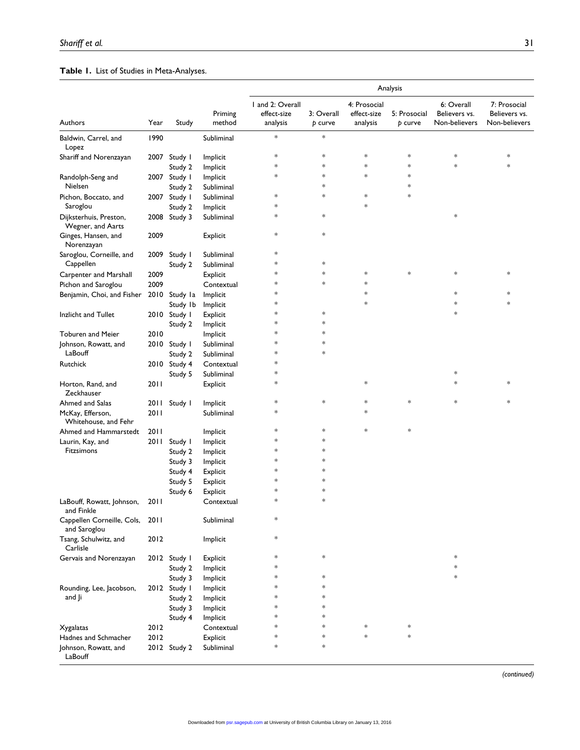# **Table 1.** List of Studies in Meta-Analyses.

| Analysis                                    |      |              |                   |                                             |                       |                                         |                         |                                              |                                                |
|---------------------------------------------|------|--------------|-------------------|---------------------------------------------|-----------------------|-----------------------------------------|-------------------------|----------------------------------------------|------------------------------------------------|
| Authors                                     | Year | Study        | Priming<br>method | I and 2: Overall<br>effect-size<br>analysis | 3: Overall<br>p curve | 4: Prosocial<br>effect-size<br>analysis | 5: Prosocial<br>p curve | 6: Overall<br>Believers vs.<br>Non-believers | 7: Prosocial<br>Believers vs.<br>Non-believers |
| Baldwin, Carrel, and<br>Lopez               | 1990 |              | Subliminal        | $\ast$                                      | $\ast$                |                                         |                         |                                              |                                                |
| Shariff and Norenzayan                      | 2007 | Study I      | Implicit          | $\ast$                                      | $\ast$                | $\ast$                                  | $\ast$                  | $\ast$                                       | $\ast$                                         |
|                                             |      | Study 2      | Implicit          | $\ast$                                      | $\ast$                | $\ast$                                  | $\ast$                  | $\ast$                                       | $\ast$                                         |
| Randolph-Seng and                           | 2007 | Study I      | Implicit          | $\ast$                                      | $\ast$                | $\ast$                                  | $\ast$                  |                                              |                                                |
| Nielsen                                     |      | Study 2      | Subliminal        |                                             | $\ast$                |                                         | $\ast$                  |                                              |                                                |
| Pichon, Boccato, and                        | 2007 | Study I      | Subliminal        | $\ast$                                      | $\ast$                | $\ast$                                  | $\ast$                  |                                              |                                                |
| Saroglou                                    |      | Study 2      | Implicit          | $\ast$                                      |                       | $\ast$                                  |                         |                                              |                                                |
| Dijksterhuis, Preston,<br>Wegner, and Aarts |      | 2008 Study 3 | Subliminal        | $\ast$                                      | $\ast$                |                                         |                         | $\ast$                                       |                                                |
| Ginges, Hansen, and<br>Norenzayan           | 2009 |              | Explicit          | $\ast$                                      | $\ast$                |                                         |                         |                                              |                                                |
| Saroglou, Corneille, and                    | 2009 | Study I      | Subliminal        | *                                           |                       |                                         |                         |                                              |                                                |
| Cappellen                                   |      | Study 2      | Subliminal        | *                                           | $\ast$                |                                         |                         |                                              |                                                |
| <b>Carpenter and Marshall</b>               | 2009 |              | Explicit          | *                                           | *                     | $\ast$                                  | $\ast$                  | $\ast$                                       | $\ast$                                         |
| Pichon and Saroglou                         | 2009 |              | Contextual        | *                                           | *                     | $\ast$                                  |                         |                                              |                                                |
| Benjamin, Choi, and Fisher                  | 2010 | Study la     | Implicit          | *                                           |                       | $\ast$                                  |                         | *                                            | $\ast$                                         |
|                                             |      | Study Ib     | Implicit          | *                                           |                       | $\ast$                                  |                         | *                                            | $\ast$                                         |
| Inzlicht and Tullet                         | 2010 | Study I      | Explicit          | *                                           | *                     |                                         |                         | $\ast$                                       |                                                |
|                                             |      | Study 2      | Implicit          | *                                           | *                     |                                         |                         |                                              |                                                |
| <b>Toburen and Meier</b>                    | 2010 |              | Implicit          | *                                           | *                     |                                         |                         |                                              |                                                |
| Johnson, Rowatt, and                        |      | 2010 Study I | Subliminal        | *                                           | *                     |                                         |                         |                                              |                                                |
| LaBouff                                     |      | Study 2      | Subliminal        | *                                           | *                     |                                         |                         |                                              |                                                |
| Rutchick                                    | 2010 | Study 4      | Contextual        | *                                           |                       |                                         |                         |                                              |                                                |
|                                             |      | Study 5      | Subliminal        | *                                           |                       |                                         |                         | $\ast$                                       |                                                |
| Horton, Rand, and<br>Zeckhauser             | 2011 |              | Explicit          | $\ast$                                      |                       | $\ast$                                  |                         | *                                            | $\ast$                                         |
| Ahmed and Salas                             | 2011 | Study I      | Implicit          | $\ast$                                      | $\ast$                | $\ast$                                  | $\ast$                  | *                                            | $\ast$                                         |
| McKay, Efferson,<br>Whitehouse, and Fehr    | 2011 |              | Subliminal        | $\ast$                                      |                       | $\ast$                                  |                         |                                              |                                                |
| Ahmed and Hammarstedt                       | 2011 |              | Implicit          | $\ast$                                      | $\ast$                | $\ast$                                  | $\ast$                  |                                              |                                                |
| Laurin, Kay, and                            | 2011 | Study I      | Implicit          | $\ast$                                      | $\ast$                |                                         |                         |                                              |                                                |
| Fitzsimons                                  |      | Study 2      | Implicit          | $\ast$                                      | $\ast$                |                                         |                         |                                              |                                                |
|                                             |      | Study 3      | Implicit          | $\ast$                                      | $\ast$                |                                         |                         |                                              |                                                |
|                                             |      | Study 4      | Explicit          | $\ast$                                      | $\ast$                |                                         |                         |                                              |                                                |
|                                             |      | Study 5      | Explicit          | $\ast$                                      | $\ast$                |                                         |                         |                                              |                                                |
|                                             |      | Study 6      | Explicit          | $\ast$                                      | $\ast$                |                                         |                         |                                              |                                                |
| LaBouff, Rowatt, Johnson,<br>and Finkle     | 2011 |              | Contextual        | $\ast$                                      | *                     |                                         |                         |                                              |                                                |
| Cappellen Corneille, Cols,<br>and Saroglou  | 2011 |              | Subliminal        | $\ast$                                      |                       |                                         |                         |                                              |                                                |
| Tsang, Schulwitz, and<br>Carlisle           | 2012 |              | Implicit          | $\ast$                                      |                       |                                         |                         |                                              |                                                |
| Gervais and Norenzayan                      |      | 2012 Study I | Explicit          | $\ast$                                      | $\ast$                |                                         |                         | $\ast$                                       |                                                |
|                                             |      | Study 2      | Implicit          | $\ast$                                      |                       |                                         |                         | $\ast$                                       |                                                |
|                                             |      | Study 3      | Implicit          | $\ast$                                      | $\ast$                |                                         |                         | $\ast$                                       |                                                |
| Rounding, Lee, Jacobson,                    |      | 2012 Study I | Implicit          | $\ast$                                      | $\ast$                |                                         |                         |                                              |                                                |
| and Ji                                      |      | Study 2      | Implicit          | $\ast$                                      | *                     |                                         |                         |                                              |                                                |
|                                             |      | Study 3      | Implicit          | *                                           | *                     |                                         |                         |                                              |                                                |
|                                             |      | Study 4      | Implicit          | $\ast$                                      | *                     |                                         |                         |                                              |                                                |
| Xygalatas                                   | 2012 |              | Contextual        | $\ast$                                      | $\ast$                | $\ast$                                  | $\ast$                  |                                              |                                                |
| Hadnes and Schmacher                        | 2012 |              | Explicit          | $\ast$                                      | $\ast$                | $\ast$                                  | $\ast$                  |                                              |                                                |
| Johnson, Rowatt, and<br>LaBouff             |      | 2012 Study 2 | Subliminal        | $\ast$                                      | $\ast$                |                                         |                         |                                              |                                                |

*(continued)*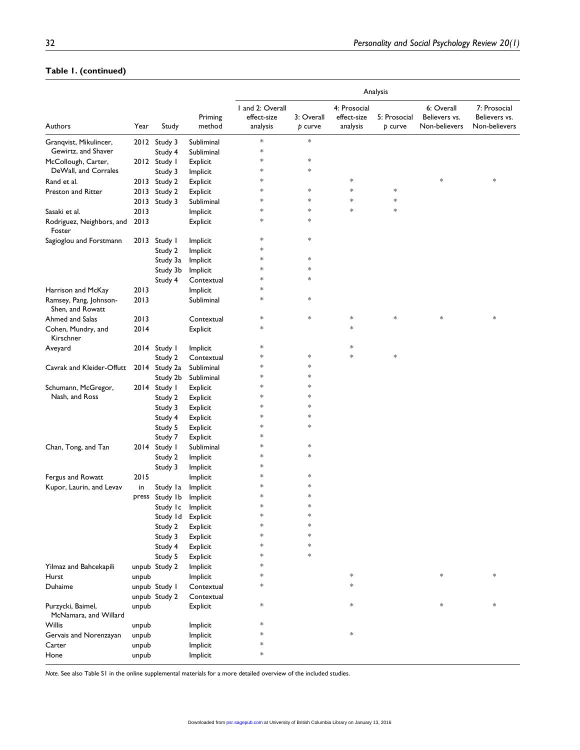# **Table 1. (continued)**

|                                            |       |                   |                   | Analysis                                    |                       |                                         |                         |                                              |                                                |
|--------------------------------------------|-------|-------------------|-------------------|---------------------------------------------|-----------------------|-----------------------------------------|-------------------------|----------------------------------------------|------------------------------------------------|
| Authors                                    | Year  | Study             | Priming<br>method | I and 2: Overall<br>effect-size<br>analysis | 3: Overall<br>p curve | 4: Prosocial<br>effect-size<br>analysis | 5: Prosocial<br>p curve | 6: Overall<br>Believers vs.<br>Non-believers | 7: Prosocial<br>Believers vs.<br>Non-believers |
| Granqvist, Mikulincer,                     |       | 2012 Study 3      | Subliminal        | $\ast$                                      | $\ast$                |                                         |                         |                                              |                                                |
| Gewirtz, and Shaver                        |       | Study 4           | Subliminal        | ∗                                           |                       |                                         |                         |                                              |                                                |
| McCollough, Carter,                        |       | 2012 Study I      | Explicit          | ∗                                           | $\ast$                |                                         |                         |                                              |                                                |
| DeWall, and Corrales                       |       | Study 3           | Implicit          | ∗                                           | *                     |                                         |                         |                                              |                                                |
| Rand et al.                                |       | 2013 Study 2      | Explicit          | ∗                                           |                       | $\ast$                                  |                         | $\ast$                                       | *                                              |
| Preston and Ritter                         | 2013  | Study 2           | Explicit          | *                                           | *                     | $\ast$                                  | $\ast$                  |                                              |                                                |
|                                            | 2013  | Study 3           | Subliminal        | ∗                                           | $\ast$                | $\ast$                                  | $\ast$                  |                                              |                                                |
| Sasaki et al.                              | 2013  |                   | Implicit          | ∗                                           | $\ast$                | $\ast$                                  | $\ast$                  |                                              |                                                |
| Rodriguez, Neighbors, and<br>Foster        | 2013  |                   | Explicit          | *                                           | *                     |                                         |                         |                                              |                                                |
| Sagioglou and Forstmann                    | 2013  | Study I           | Implicit          | $\ast$                                      | $\ast$                |                                         |                         |                                              |                                                |
|                                            |       | Study 2           | Implicit          | *                                           |                       |                                         |                         |                                              |                                                |
|                                            |       | Study 3a          | Implicit          | *                                           | $\ast$                |                                         |                         |                                              |                                                |
|                                            |       | Study 3b          | Implicit          | *                                           | *                     |                                         |                         |                                              |                                                |
|                                            |       | Study 4           | Contextual        | *                                           | *                     |                                         |                         |                                              |                                                |
| Harrison and McKay                         | 2013  |                   | Implicit          | *                                           |                       |                                         |                         |                                              |                                                |
| Ramsey, Pang, Johnson-<br>Shen, and Rowatt | 2013  |                   | Subliminal        | $\ast$                                      | *                     |                                         |                         |                                              |                                                |
| Ahmed and Salas                            | 2013  |                   | Contextual        | $\ast$                                      | $\ast$                | $\ast$                                  | $\ast$                  | $\ast$                                       | *                                              |
| Cohen, Mundry, and<br>Kirschner            | 2014  |                   | Explicit          | $\ast$                                      |                       | $\ast$                                  |                         |                                              |                                                |
| Aveyard                                    |       | 2014 Study I      | Implicit          | ∗                                           |                       | $\ast$                                  |                         |                                              |                                                |
|                                            |       | Study 2           | Contextual        | *                                           | $\ast$                | $\ast$                                  | $\ast$                  |                                              |                                                |
| Cavrak and Kleider-Offutt                  |       | 2014 Study 2a     | Subliminal        | ∗                                           | *                     |                                         |                         |                                              |                                                |
|                                            |       | Study 2b          | Subliminal        | ∗                                           | *                     |                                         |                         |                                              |                                                |
| Schumann, McGregor,                        |       | 2014 Study I      | Explicit          | *                                           | *                     |                                         |                         |                                              |                                                |
| Nash, and Ross                             |       | Study 2           | Explicit          | *                                           | *                     |                                         |                         |                                              |                                                |
|                                            |       | Study 3           | Explicit          | *                                           | *                     |                                         |                         |                                              |                                                |
|                                            |       | Study 4           | Explicit          | *                                           | $\ast$                |                                         |                         |                                              |                                                |
|                                            |       | Study 5           | Explicit          | *                                           | *                     |                                         |                         |                                              |                                                |
|                                            |       | Study 7           | Explicit          | *                                           |                       |                                         |                         |                                              |                                                |
| Chan, Tong, and Tan                        |       | 2014 Study I      | Subliminal        | ∗                                           | *                     |                                         |                         |                                              |                                                |
|                                            |       | Study 2           | Implicit          | ∗                                           | $\ast$                |                                         |                         |                                              |                                                |
|                                            |       | Study 3           | Implicit          | *                                           |                       |                                         |                         |                                              |                                                |
| Fergus and Rowatt                          | 2015  |                   | Implicit          | *                                           | *                     |                                         |                         |                                              |                                                |
| Kupor, Laurin, and Levav                   | in    | Study la          | Implicit          | *                                           | *                     |                                         |                         |                                              |                                                |
|                                            | press | Study Ib          | Implicit          | *                                           | *                     |                                         |                         |                                              |                                                |
|                                            |       | Study Ic Implicit |                   | $\ast$                                      | *                     |                                         |                         |                                              |                                                |
|                                            |       | Study Id          | Explicit          |                                             | $\ast$                |                                         |                         |                                              |                                                |
|                                            |       | Study 2           | Explicit          |                                             | $\ast$                |                                         |                         |                                              |                                                |
|                                            |       | Study 3           | Explicit          | ∗                                           | $\ast$                |                                         |                         |                                              |                                                |
|                                            |       | Study 4           | Explicit          | ∗                                           | $\ast$                |                                         |                         |                                              |                                                |
|                                            |       | Study 5           | Explicit          | ∗                                           | $\ast$                |                                         |                         |                                              |                                                |
| Yilmaz and Bahcekapili                     |       | unpub Study 2     | Implicit          | ∗                                           |                       |                                         |                         |                                              |                                                |
| Hurst                                      |       |                   | Implicit          | ∗                                           |                       | $\ast$                                  |                         | $\ast$                                       | *                                              |
|                                            | unpub |                   |                   | *                                           |                       | $\ast$                                  |                         |                                              |                                                |
| Duhaime                                    |       | unpub Study I     | Contextual        |                                             |                       |                                         |                         |                                              |                                                |
|                                            |       | unpub Study 2     | Contextual        | $\ast$                                      |                       | $\ast$                                  |                         | $\ast$                                       | *                                              |
| Purzycki, Baimel,<br>McNamara, and Willard | unpub |                   | Explicit          |                                             |                       |                                         |                         |                                              |                                                |
| Willis                                     | unpub |                   | Implicit          | *                                           |                       |                                         |                         |                                              |                                                |
| Gervais and Norenzayan                     | unpub |                   | Implicit          | *                                           |                       | $\ast$                                  |                         |                                              |                                                |
| Carter                                     | unpub |                   | Implicit          | *                                           |                       |                                         |                         |                                              |                                                |
| Hone                                       | unpub |                   | Implicit          | *                                           |                       |                                         |                         |                                              |                                                |

*Note.* See also Table S1 in the online supplemental materials for a more detailed overview of the included studies.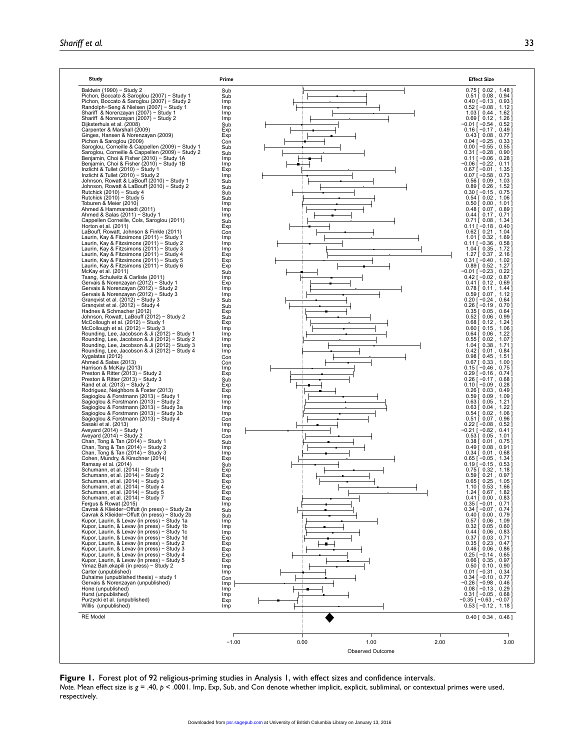| $0.75$ [ $0.02$ , 1.48 ]<br>Sub<br>Pichon, Boccato & Saroglou (2007) - Study 1<br>$0.51$ [ $0.08$ , $0.94$ ]<br>Sub<br>Imp<br>$0.40$ [ $-0.13$ , $0.93$ ]<br>Randolph-Seng & Nielsen (2007) - Study 1<br>$0.52$ [ $-0.08$ , 1.12 ]<br>Imp<br>Shariff & Norenzayan (2007) - Study 1<br>$1.03$ [ 0.44, 1.62 ]<br>Imp<br>Shariff & Norenzayan (2007) - Study 2<br>$0.69$ [ $0.12$ , $1.26$ ]<br>Imp<br>Dijksterhuis et al. (2008)<br>−0.01 [ −0.54,0.52 ]<br>Sub<br>$0.16$ [ -0.17, 0.49<br>Exp<br>Ginges, Hansen & Norenzayan (2009)<br>$0.43$ [ $0.08$ , $0.77$ ]<br>Exp<br>Pichon & Saroglou (2009)<br>$0.04$ [ $-0.25$ , 0.33<br>Con<br>Saroglou, Corneille & Cappellen (2009) - Study 1<br>$0.00$ [ $-0.55$ , 0.55<br>Sub<br>Saroglou, Corneille & Cappellen (2009) - Study 2<br>$0.31$ [ $-0.28$ , 0.90]<br>Sub<br>$0.11$ [ -0.06, 0.28]<br>Imp<br>Benjamin, Choi & Fisher (2010) - Study 1B<br>−0.06 [ −0.22,0.11 ]<br>Imp<br>Inzlicht & Tullet (2010) - Study 1<br>$0.67$ [ $-0.01$ , 1.35]<br>Exp<br>Inzlicht & Tullet (2010) - Study 2<br>$0.07$ [ $-0.58$ , 0.73]<br>Imp<br>Johnson, Rowatt & LaBouff (2010) - Study 1<br>Sub<br>$0.56$ [ $0.09$ , 1.03<br>$0.89$ [ $0.26$ , 1.52<br>Sub<br>Rutchick (2010) - Study 4<br>$0.30$ [ $-0.15$ , $0.75$ ]<br>Sub<br>Rutchick (2010) - Study 5<br>$0.54$ [ $0.02$ , 1.06<br>Sub<br>Toburen & Meier (2010)<br>$0.50$ [ $0.00$ , $1.01$<br>Imp<br>$0.48$ [ $0.07$ , $0.89$ ]<br>Imp<br>$0.44$ [ $0.17$ , $0.71$ ]<br>Imp<br>Cappellen Corneille, Cols, Saroglou (2011)<br>$0.71$ [ $0.08$ , 1.34<br>Sub<br>Horton et al. (2011)<br>$0.11$ [ $-0.18$ , 0.40]<br>Exp<br>LaBouff, Rowatt, Johnson & Finkle (2011)<br>$0.62$ [ $0.21$ , $1.04$<br>Con<br>Laurin, Kay & Fitzsimons (2011) - Study 1<br>$1.01$ [ 0.32, 1.69<br>Imp<br>$0.11$ [ $-0.36$ , 0.58]<br>Imp<br>Imp<br>$1.04$ [ 0.35, 1.72<br>Laurin, Kay & Fitzsimons (2011) - Study 4<br>Exp<br>$1.27$ [ 0.37, 2.16]<br>Laurin, Kay & Fitzsimons (2011) - Study 5<br>$0.31$ [ $-0.40$ , 1.02<br>Exp<br>$0.89$ [ $0.52$ , 1.27<br>Exp<br>$-0.01$ [ $-0.23$ , $0.22$ ]<br>Sub<br>Tsang, Schulwitz & Carlisle (2011)<br>$0.42$ [-0.02, 0.87]<br>Imp<br>Gervais & Norenzayan (2012) - Study 1<br>$0.41$ [ 0.12, 0.69]<br>Exp<br>Gervais & Norenzayan (2012) - Study 2<br>Imp<br>$0.78$ [ 0.11, 1.44<br>Imp<br>$0.59$ [ $0.07$ , 1.12 ]<br>$0.20$ [ $-0.24$ , 0.64]<br>Sub<br>$0.26$ [ $-0.19$ , 0.70<br>Grangvist et al. (2012) - Study 4<br>Sub<br>Hadnes & Schmacher (2012)<br>$0.35$ [ $0.05$ , $0.64$ ]<br>Exp<br>Johnson, Rowatt, LaBouff (2012) - Study 2<br>$0.52$ [ $0.06$ , $0.99$ ]<br>Sub<br>$0.68$ [ $0.12$ , $1.24$<br>Exp<br>$0.60$ [ $0.15$ , $1.06$<br>Imp<br>Rounding, Lee, Jacobson & Ji (2012) - Study 1<br>$0.64$ [<br>0.06, 1.22<br>Imp<br>Rounding, Lee, Jacobson & Ji (2012) - Study 2<br>$0.55$ [<br>$0.02$ , 1.07<br>Imp<br>Rounding, Lee, Jacobson & Ji (2012) - Study 3<br>1.04 $\Gamma$<br>0.38, 1.71<br>Imp<br>$0.42$ [ $0.01$ , $0.84$ ]<br>Imp<br>$0.98$ [ $0.45$ , 1.51<br>Con<br>Ahmed & Salas (2013)<br>$0.67$ [ 0.33, 1.00]<br>Con<br>Harrison & McKay (2013)<br>$0.15$ [ $-0.46$ , 0.75<br>Imp<br>Preston & Ritter (2013) - Study 2<br>$0.29$ $\left[ -0.16, 0.74 \right]$<br>Exp<br>$0.26$ [ $-0.17$ , $0.68$ ]<br>Sub<br>Rand et al. (2013) - Study 2<br>$0.10$ [ $-0.09$ , 0.28 ]<br>Exp<br>$0.26$ [ $0.03$ , $0.49$ ]<br>Rodriguez, Neighbors & Foster (2013)<br>Exp<br>Sagioglou & Forstmann (2013) - Study 1<br>$0.59$ [ $0.09$ , $1.09$ ]<br>Imp<br>Sagioglou & Forstmann (2013) - Study 2<br>$0.63$ [ $0.05$ , 1.21]<br>Imp<br>$0.63$ [ $0.04$ , $1.22$<br>Imp<br>Sagioglou & Forstmann (2013) - Study 3b<br>$0.54$ [ $0.02$ , 1.06<br>Imp<br>Sagioglou & Forstmann (2013) - Study 4<br>$0.51$ [ 0.07, 0.96<br>Con<br>Sasaki et al. (2013)<br>$0.22$ [ $-0.08$ , 0.52<br>Imp<br>-0.21 [ -0.82,0.41]<br>Imp<br>Aveyard (2014) - Study 2<br>$0.53$ [ $0.05$ , 1.01<br>Con<br>Chan, Tong & Tan (2014) - Study 1<br>$0.38$ [ $0.01$ , $0.75$ ]<br>Sub<br>Chan, Tong & Tan (2014) - Study 2<br>$0.49$ [ $0.08$ , $0.91$ ]<br>Imp<br>Chan, Tong & Tan (2014) - Study 3<br>$0.34$ [ $0.01$ , $0.68$ ]<br>Imp<br>$0.65$ [ $-0.05$ , 1.34<br>Exp<br>$0.19$   $-0.15$ , $0.53$<br>Sub<br>Schumann, et al. (2014) - Study 1<br>$0.75$ [ $0.32$ , $1.18$ ]<br>Exp<br>Schumann, et al. (2014) - Study 2<br>$0.59$ [ $0.21$ , $0.97$ ]<br>Exp<br>Schumann, et al. (2014) - Study 3<br>$0.65$ [ $0.25$ , $1.05$ ]<br>Exp<br>Schumann, et al. (2014) - Study 4<br>$1.10$ [ 0.53, 1.66]<br>Exp<br>Schumann, et al. (2014) - Study 5<br>Exp<br>1.24   0.67,1.82,<br>Schumann, et al. (2014) - Study 7<br>$0.41$ [ $0.00$ , $0.83$ ]<br>Exp<br>Fergus & Rowat (2015)<br>$0.35$ [ $-0.01$ , 0.71 ]<br>0.34 [ $-0.07$ , 0.74 ]<br>Imp<br>Cavrak & Klieider-Offutt (in press) - Study 2a<br>Sub<br>Cavrak & Klieider-Offutt (in press) - Study 2b<br>$0.40$ [ $0.00$ , $0.79$ ]<br>Sub<br>Kupor, Laurin, & Levav (in press) - Study 1a<br>$0.57$ [ $0.06$ , $1.09$ ]<br>Imp<br>Kupor, Laurin, & Levav (in press) - Study 1b<br>$0.32$ [ $0.05$ , $0.60$ ]<br>Imp<br>Kupor, Laurin, & Levav (in press) - Study 1c<br>$0.44$ $\begin{bmatrix} 0.06 \\ 0.83 \end{bmatrix}$<br>Imp<br>Kupor, Laurin, & Levav (in press) - Study 1d<br>$0.37$ [ $0.03$ , $0.71$ ]<br>Exp<br>Kupor, Laurin, & Levav (in press) - Study 2<br>$0.35$ $\left[ 0.23, 0.47 \right]$<br>Exp<br>Kupor, Laurin, & Levav (in press) - Study 3<br>$0.46$ [ $0.06$ , $0.86$ ]<br>Exp<br>Kupor, Laurin, & Levav (in press) - Study 4<br>$0.25[-0.14, 0.65]$<br>$0.66[0.35, 0.97]$<br>$0.50[0.10, 0.90]$<br>Exp<br>Kupor, Laurin, & Levav (in press) - Study 5<br>Exp<br>Imp<br>$0.01[-0.31, 0.34]$<br>$0.34[-0.10, 0.77]$<br>$-0.26[-0.98, 0.46]$<br>$0.08[-0.13, 0.29]$<br>$0.31[-0.05, 0.68]$<br>Imp<br>Duhaime (unpublished thesis) - study 1<br>Con<br>Gervais & Norenzayan (unpublished)<br>Imp<br>Imp<br>Imp<br>$-0.35$ [ $-0.63$ , $-0.07$ ]<br>Exp<br>Willis (unpublished)<br>$0.53$ [ $-0.12$ , 1.18]<br>Imp<br>$0.40$ [ $0.34$ , $0.46$ ]<br>$-1.00$<br>0.00<br>1.00<br>2.00<br>3.00 | Study                                         | Prime | <b>Effect Size</b> |
|-------------------------------------------------------------------------------------------------------------------------------------------------------------------------------------------------------------------------------------------------------------------------------------------------------------------------------------------------------------------------------------------------------------------------------------------------------------------------------------------------------------------------------------------------------------------------------------------------------------------------------------------------------------------------------------------------------------------------------------------------------------------------------------------------------------------------------------------------------------------------------------------------------------------------------------------------------------------------------------------------------------------------------------------------------------------------------------------------------------------------------------------------------------------------------------------------------------------------------------------------------------------------------------------------------------------------------------------------------------------------------------------------------------------------------------------------------------------------------------------------------------------------------------------------------------------------------------------------------------------------------------------------------------------------------------------------------------------------------------------------------------------------------------------------------------------------------------------------------------------------------------------------------------------------------------------------------------------------------------------------------------------------------------------------------------------------------------------------------------------------------------------------------------------------------------------------------------------------------------------------------------------------------------------------------------------------------------------------------------------------------------------------------------------------------------------------------------------------------------------------------------------------------------------------------------------------------------------------------------------------------------------------------------------------------------------------------------------------------------------------------------------------------------------------------------------------------------------------------------------------------------------------------------------------------------------------------------------------------------------------------------------------------------------------------------------------------------------------------------------------------------------------------------------------------------------------------------------------------------------------------------------------------------------------------------------------------------------------------------------------------------------------------------------------------------------------------------------------------------------------------------------------------------------------------------------------------------------------------------------------------------------------------------------------------------------------------------------------------------------------------------------------------------------------------------------------------------------------------------------------------------------------------------------------------------------------------------------------------------------------------------------------------------------------------------------------------------------------------------------------------------------------------------------------------------------------------------------------------------------------------------------------------------------------------------------------------------------------------------------------------------------------------------------------------------------------------------------------------------------------------------------------------------------------------------------------------------------------------------------------------------------------------------------------------------------------------------------------------------------------------------------------------------------------------------------------------------------------------------------------------------------------------------------------------------------------------------------------------------------------------------------------------------------------------------------------------------------------------------------------------------------------------------------------------------------------------------------------------------------------------------------------------------------------------------------------------------------------------------------------------------------------------------------------------------------------------------------------------------------------------------------------------------------------------------------------------------------------------------------------------------------------------------------------------------------------------------------------------------------------------------------------------------------------------------------------------------------------------------------------------------------------------------------------------------------------------------------------------------------------------------------------------------------------------------------------------------|-----------------------------------------------|-------|--------------------|
|                                                                                                                                                                                                                                                                                                                                                                                                                                                                                                                                                                                                                                                                                                                                                                                                                                                                                                                                                                                                                                                                                                                                                                                                                                                                                                                                                                                                                                                                                                                                                                                                                                                                                                                                                                                                                                                                                                                                                                                                                                                                                                                                                                                                                                                                                                                                                                                                                                                                                                                                                                                                                                                                                                                                                                                                                                                                                                                                                                                                                                                                                                                                                                                                                                                                                                                                                                                                                                                                                                                                                                                                                                                                                                                                                                                                                                                                                                                                                                                                                                                                                                                                                                                                                                                                                                                                                                                                                                                                                                                                                                                                                                                                                                                                                                                                                                                                                                                                                                                                                                                                                                                                                                                                                                                                                                                                                                                                                                                                                                                                                                                                                                                                                                                                                                                                                                                                                                                                                                                                                                                                                     | Baldwin (1990) - Study 2                      |       |                    |
|                                                                                                                                                                                                                                                                                                                                                                                                                                                                                                                                                                                                                                                                                                                                                                                                                                                                                                                                                                                                                                                                                                                                                                                                                                                                                                                                                                                                                                                                                                                                                                                                                                                                                                                                                                                                                                                                                                                                                                                                                                                                                                                                                                                                                                                                                                                                                                                                                                                                                                                                                                                                                                                                                                                                                                                                                                                                                                                                                                                                                                                                                                                                                                                                                                                                                                                                                                                                                                                                                                                                                                                                                                                                                                                                                                                                                                                                                                                                                                                                                                                                                                                                                                                                                                                                                                                                                                                                                                                                                                                                                                                                                                                                                                                                                                                                                                                                                                                                                                                                                                                                                                                                                                                                                                                                                                                                                                                                                                                                                                                                                                                                                                                                                                                                                                                                                                                                                                                                                                                                                                                                                     | Pichon, Boccato & Saroglou (2007) - Study 2   |       |                    |
|                                                                                                                                                                                                                                                                                                                                                                                                                                                                                                                                                                                                                                                                                                                                                                                                                                                                                                                                                                                                                                                                                                                                                                                                                                                                                                                                                                                                                                                                                                                                                                                                                                                                                                                                                                                                                                                                                                                                                                                                                                                                                                                                                                                                                                                                                                                                                                                                                                                                                                                                                                                                                                                                                                                                                                                                                                                                                                                                                                                                                                                                                                                                                                                                                                                                                                                                                                                                                                                                                                                                                                                                                                                                                                                                                                                                                                                                                                                                                                                                                                                                                                                                                                                                                                                                                                                                                                                                                                                                                                                                                                                                                                                                                                                                                                                                                                                                                                                                                                                                                                                                                                                                                                                                                                                                                                                                                                                                                                                                                                                                                                                                                                                                                                                                                                                                                                                                                                                                                                                                                                                                                     |                                               |       |                    |
|                                                                                                                                                                                                                                                                                                                                                                                                                                                                                                                                                                                                                                                                                                                                                                                                                                                                                                                                                                                                                                                                                                                                                                                                                                                                                                                                                                                                                                                                                                                                                                                                                                                                                                                                                                                                                                                                                                                                                                                                                                                                                                                                                                                                                                                                                                                                                                                                                                                                                                                                                                                                                                                                                                                                                                                                                                                                                                                                                                                                                                                                                                                                                                                                                                                                                                                                                                                                                                                                                                                                                                                                                                                                                                                                                                                                                                                                                                                                                                                                                                                                                                                                                                                                                                                                                                                                                                                                                                                                                                                                                                                                                                                                                                                                                                                                                                                                                                                                                                                                                                                                                                                                                                                                                                                                                                                                                                                                                                                                                                                                                                                                                                                                                                                                                                                                                                                                                                                                                                                                                                                                                     |                                               |       |                    |
|                                                                                                                                                                                                                                                                                                                                                                                                                                                                                                                                                                                                                                                                                                                                                                                                                                                                                                                                                                                                                                                                                                                                                                                                                                                                                                                                                                                                                                                                                                                                                                                                                                                                                                                                                                                                                                                                                                                                                                                                                                                                                                                                                                                                                                                                                                                                                                                                                                                                                                                                                                                                                                                                                                                                                                                                                                                                                                                                                                                                                                                                                                                                                                                                                                                                                                                                                                                                                                                                                                                                                                                                                                                                                                                                                                                                                                                                                                                                                                                                                                                                                                                                                                                                                                                                                                                                                                                                                                                                                                                                                                                                                                                                                                                                                                                                                                                                                                                                                                                                                                                                                                                                                                                                                                                                                                                                                                                                                                                                                                                                                                                                                                                                                                                                                                                                                                                                                                                                                                                                                                                                                     |                                               |       |                    |
|                                                                                                                                                                                                                                                                                                                                                                                                                                                                                                                                                                                                                                                                                                                                                                                                                                                                                                                                                                                                                                                                                                                                                                                                                                                                                                                                                                                                                                                                                                                                                                                                                                                                                                                                                                                                                                                                                                                                                                                                                                                                                                                                                                                                                                                                                                                                                                                                                                                                                                                                                                                                                                                                                                                                                                                                                                                                                                                                                                                                                                                                                                                                                                                                                                                                                                                                                                                                                                                                                                                                                                                                                                                                                                                                                                                                                                                                                                                                                                                                                                                                                                                                                                                                                                                                                                                                                                                                                                                                                                                                                                                                                                                                                                                                                                                                                                                                                                                                                                                                                                                                                                                                                                                                                                                                                                                                                                                                                                                                                                                                                                                                                                                                                                                                                                                                                                                                                                                                                                                                                                                                                     | Carpenter & Marshall (2009)                   |       |                    |
|                                                                                                                                                                                                                                                                                                                                                                                                                                                                                                                                                                                                                                                                                                                                                                                                                                                                                                                                                                                                                                                                                                                                                                                                                                                                                                                                                                                                                                                                                                                                                                                                                                                                                                                                                                                                                                                                                                                                                                                                                                                                                                                                                                                                                                                                                                                                                                                                                                                                                                                                                                                                                                                                                                                                                                                                                                                                                                                                                                                                                                                                                                                                                                                                                                                                                                                                                                                                                                                                                                                                                                                                                                                                                                                                                                                                                                                                                                                                                                                                                                                                                                                                                                                                                                                                                                                                                                                                                                                                                                                                                                                                                                                                                                                                                                                                                                                                                                                                                                                                                                                                                                                                                                                                                                                                                                                                                                                                                                                                                                                                                                                                                                                                                                                                                                                                                                                                                                                                                                                                                                                                                     |                                               |       |                    |
|                                                                                                                                                                                                                                                                                                                                                                                                                                                                                                                                                                                                                                                                                                                                                                                                                                                                                                                                                                                                                                                                                                                                                                                                                                                                                                                                                                                                                                                                                                                                                                                                                                                                                                                                                                                                                                                                                                                                                                                                                                                                                                                                                                                                                                                                                                                                                                                                                                                                                                                                                                                                                                                                                                                                                                                                                                                                                                                                                                                                                                                                                                                                                                                                                                                                                                                                                                                                                                                                                                                                                                                                                                                                                                                                                                                                                                                                                                                                                                                                                                                                                                                                                                                                                                                                                                                                                                                                                                                                                                                                                                                                                                                                                                                                                                                                                                                                                                                                                                                                                                                                                                                                                                                                                                                                                                                                                                                                                                                                                                                                                                                                                                                                                                                                                                                                                                                                                                                                                                                                                                                                                     |                                               |       |                    |
|                                                                                                                                                                                                                                                                                                                                                                                                                                                                                                                                                                                                                                                                                                                                                                                                                                                                                                                                                                                                                                                                                                                                                                                                                                                                                                                                                                                                                                                                                                                                                                                                                                                                                                                                                                                                                                                                                                                                                                                                                                                                                                                                                                                                                                                                                                                                                                                                                                                                                                                                                                                                                                                                                                                                                                                                                                                                                                                                                                                                                                                                                                                                                                                                                                                                                                                                                                                                                                                                                                                                                                                                                                                                                                                                                                                                                                                                                                                                                                                                                                                                                                                                                                                                                                                                                                                                                                                                                                                                                                                                                                                                                                                                                                                                                                                                                                                                                                                                                                                                                                                                                                                                                                                                                                                                                                                                                                                                                                                                                                                                                                                                                                                                                                                                                                                                                                                                                                                                                                                                                                                                                     |                                               |       |                    |
|                                                                                                                                                                                                                                                                                                                                                                                                                                                                                                                                                                                                                                                                                                                                                                                                                                                                                                                                                                                                                                                                                                                                                                                                                                                                                                                                                                                                                                                                                                                                                                                                                                                                                                                                                                                                                                                                                                                                                                                                                                                                                                                                                                                                                                                                                                                                                                                                                                                                                                                                                                                                                                                                                                                                                                                                                                                                                                                                                                                                                                                                                                                                                                                                                                                                                                                                                                                                                                                                                                                                                                                                                                                                                                                                                                                                                                                                                                                                                                                                                                                                                                                                                                                                                                                                                                                                                                                                                                                                                                                                                                                                                                                                                                                                                                                                                                                                                                                                                                                                                                                                                                                                                                                                                                                                                                                                                                                                                                                                                                                                                                                                                                                                                                                                                                                                                                                                                                                                                                                                                                                                                     | Benjamin, Choi & Fisher (2010) - Study 1A     |       |                    |
|                                                                                                                                                                                                                                                                                                                                                                                                                                                                                                                                                                                                                                                                                                                                                                                                                                                                                                                                                                                                                                                                                                                                                                                                                                                                                                                                                                                                                                                                                                                                                                                                                                                                                                                                                                                                                                                                                                                                                                                                                                                                                                                                                                                                                                                                                                                                                                                                                                                                                                                                                                                                                                                                                                                                                                                                                                                                                                                                                                                                                                                                                                                                                                                                                                                                                                                                                                                                                                                                                                                                                                                                                                                                                                                                                                                                                                                                                                                                                                                                                                                                                                                                                                                                                                                                                                                                                                                                                                                                                                                                                                                                                                                                                                                                                                                                                                                                                                                                                                                                                                                                                                                                                                                                                                                                                                                                                                                                                                                                                                                                                                                                                                                                                                                                                                                                                                                                                                                                                                                                                                                                                     |                                               |       |                    |
|                                                                                                                                                                                                                                                                                                                                                                                                                                                                                                                                                                                                                                                                                                                                                                                                                                                                                                                                                                                                                                                                                                                                                                                                                                                                                                                                                                                                                                                                                                                                                                                                                                                                                                                                                                                                                                                                                                                                                                                                                                                                                                                                                                                                                                                                                                                                                                                                                                                                                                                                                                                                                                                                                                                                                                                                                                                                                                                                                                                                                                                                                                                                                                                                                                                                                                                                                                                                                                                                                                                                                                                                                                                                                                                                                                                                                                                                                                                                                                                                                                                                                                                                                                                                                                                                                                                                                                                                                                                                                                                                                                                                                                                                                                                                                                                                                                                                                                                                                                                                                                                                                                                                                                                                                                                                                                                                                                                                                                                                                                                                                                                                                                                                                                                                                                                                                                                                                                                                                                                                                                                                                     |                                               |       |                    |
|                                                                                                                                                                                                                                                                                                                                                                                                                                                                                                                                                                                                                                                                                                                                                                                                                                                                                                                                                                                                                                                                                                                                                                                                                                                                                                                                                                                                                                                                                                                                                                                                                                                                                                                                                                                                                                                                                                                                                                                                                                                                                                                                                                                                                                                                                                                                                                                                                                                                                                                                                                                                                                                                                                                                                                                                                                                                                                                                                                                                                                                                                                                                                                                                                                                                                                                                                                                                                                                                                                                                                                                                                                                                                                                                                                                                                                                                                                                                                                                                                                                                                                                                                                                                                                                                                                                                                                                                                                                                                                                                                                                                                                                                                                                                                                                                                                                                                                                                                                                                                                                                                                                                                                                                                                                                                                                                                                                                                                                                                                                                                                                                                                                                                                                                                                                                                                                                                                                                                                                                                                                                                     |                                               |       |                    |
|                                                                                                                                                                                                                                                                                                                                                                                                                                                                                                                                                                                                                                                                                                                                                                                                                                                                                                                                                                                                                                                                                                                                                                                                                                                                                                                                                                                                                                                                                                                                                                                                                                                                                                                                                                                                                                                                                                                                                                                                                                                                                                                                                                                                                                                                                                                                                                                                                                                                                                                                                                                                                                                                                                                                                                                                                                                                                                                                                                                                                                                                                                                                                                                                                                                                                                                                                                                                                                                                                                                                                                                                                                                                                                                                                                                                                                                                                                                                                                                                                                                                                                                                                                                                                                                                                                                                                                                                                                                                                                                                                                                                                                                                                                                                                                                                                                                                                                                                                                                                                                                                                                                                                                                                                                                                                                                                                                                                                                                                                                                                                                                                                                                                                                                                                                                                                                                                                                                                                                                                                                                                                     | Johnson, Rowatt & LaBouff (2010) - Study 2    |       |                    |
|                                                                                                                                                                                                                                                                                                                                                                                                                                                                                                                                                                                                                                                                                                                                                                                                                                                                                                                                                                                                                                                                                                                                                                                                                                                                                                                                                                                                                                                                                                                                                                                                                                                                                                                                                                                                                                                                                                                                                                                                                                                                                                                                                                                                                                                                                                                                                                                                                                                                                                                                                                                                                                                                                                                                                                                                                                                                                                                                                                                                                                                                                                                                                                                                                                                                                                                                                                                                                                                                                                                                                                                                                                                                                                                                                                                                                                                                                                                                                                                                                                                                                                                                                                                                                                                                                                                                                                                                                                                                                                                                                                                                                                                                                                                                                                                                                                                                                                                                                                                                                                                                                                                                                                                                                                                                                                                                                                                                                                                                                                                                                                                                                                                                                                                                                                                                                                                                                                                                                                                                                                                                                     |                                               |       |                    |
|                                                                                                                                                                                                                                                                                                                                                                                                                                                                                                                                                                                                                                                                                                                                                                                                                                                                                                                                                                                                                                                                                                                                                                                                                                                                                                                                                                                                                                                                                                                                                                                                                                                                                                                                                                                                                                                                                                                                                                                                                                                                                                                                                                                                                                                                                                                                                                                                                                                                                                                                                                                                                                                                                                                                                                                                                                                                                                                                                                                                                                                                                                                                                                                                                                                                                                                                                                                                                                                                                                                                                                                                                                                                                                                                                                                                                                                                                                                                                                                                                                                                                                                                                                                                                                                                                                                                                                                                                                                                                                                                                                                                                                                                                                                                                                                                                                                                                                                                                                                                                                                                                                                                                                                                                                                                                                                                                                                                                                                                                                                                                                                                                                                                                                                                                                                                                                                                                                                                                                                                                                                                                     |                                               |       |                    |
|                                                                                                                                                                                                                                                                                                                                                                                                                                                                                                                                                                                                                                                                                                                                                                                                                                                                                                                                                                                                                                                                                                                                                                                                                                                                                                                                                                                                                                                                                                                                                                                                                                                                                                                                                                                                                                                                                                                                                                                                                                                                                                                                                                                                                                                                                                                                                                                                                                                                                                                                                                                                                                                                                                                                                                                                                                                                                                                                                                                                                                                                                                                                                                                                                                                                                                                                                                                                                                                                                                                                                                                                                                                                                                                                                                                                                                                                                                                                                                                                                                                                                                                                                                                                                                                                                                                                                                                                                                                                                                                                                                                                                                                                                                                                                                                                                                                                                                                                                                                                                                                                                                                                                                                                                                                                                                                                                                                                                                                                                                                                                                                                                                                                                                                                                                                                                                                                                                                                                                                                                                                                                     | Ahmed & Hammarstedt (2011)                    |       |                    |
|                                                                                                                                                                                                                                                                                                                                                                                                                                                                                                                                                                                                                                                                                                                                                                                                                                                                                                                                                                                                                                                                                                                                                                                                                                                                                                                                                                                                                                                                                                                                                                                                                                                                                                                                                                                                                                                                                                                                                                                                                                                                                                                                                                                                                                                                                                                                                                                                                                                                                                                                                                                                                                                                                                                                                                                                                                                                                                                                                                                                                                                                                                                                                                                                                                                                                                                                                                                                                                                                                                                                                                                                                                                                                                                                                                                                                                                                                                                                                                                                                                                                                                                                                                                                                                                                                                                                                                                                                                                                                                                                                                                                                                                                                                                                                                                                                                                                                                                                                                                                                                                                                                                                                                                                                                                                                                                                                                                                                                                                                                                                                                                                                                                                                                                                                                                                                                                                                                                                                                                                                                                                                     | Ahmed & Salas (2011) - Study 1                |       |                    |
|                                                                                                                                                                                                                                                                                                                                                                                                                                                                                                                                                                                                                                                                                                                                                                                                                                                                                                                                                                                                                                                                                                                                                                                                                                                                                                                                                                                                                                                                                                                                                                                                                                                                                                                                                                                                                                                                                                                                                                                                                                                                                                                                                                                                                                                                                                                                                                                                                                                                                                                                                                                                                                                                                                                                                                                                                                                                                                                                                                                                                                                                                                                                                                                                                                                                                                                                                                                                                                                                                                                                                                                                                                                                                                                                                                                                                                                                                                                                                                                                                                                                                                                                                                                                                                                                                                                                                                                                                                                                                                                                                                                                                                                                                                                                                                                                                                                                                                                                                                                                                                                                                                                                                                                                                                                                                                                                                                                                                                                                                                                                                                                                                                                                                                                                                                                                                                                                                                                                                                                                                                                                                     |                                               |       |                    |
|                                                                                                                                                                                                                                                                                                                                                                                                                                                                                                                                                                                                                                                                                                                                                                                                                                                                                                                                                                                                                                                                                                                                                                                                                                                                                                                                                                                                                                                                                                                                                                                                                                                                                                                                                                                                                                                                                                                                                                                                                                                                                                                                                                                                                                                                                                                                                                                                                                                                                                                                                                                                                                                                                                                                                                                                                                                                                                                                                                                                                                                                                                                                                                                                                                                                                                                                                                                                                                                                                                                                                                                                                                                                                                                                                                                                                                                                                                                                                                                                                                                                                                                                                                                                                                                                                                                                                                                                                                                                                                                                                                                                                                                                                                                                                                                                                                                                                                                                                                                                                                                                                                                                                                                                                                                                                                                                                                                                                                                                                                                                                                                                                                                                                                                                                                                                                                                                                                                                                                                                                                                                                     |                                               |       |                    |
|                                                                                                                                                                                                                                                                                                                                                                                                                                                                                                                                                                                                                                                                                                                                                                                                                                                                                                                                                                                                                                                                                                                                                                                                                                                                                                                                                                                                                                                                                                                                                                                                                                                                                                                                                                                                                                                                                                                                                                                                                                                                                                                                                                                                                                                                                                                                                                                                                                                                                                                                                                                                                                                                                                                                                                                                                                                                                                                                                                                                                                                                                                                                                                                                                                                                                                                                                                                                                                                                                                                                                                                                                                                                                                                                                                                                                                                                                                                                                                                                                                                                                                                                                                                                                                                                                                                                                                                                                                                                                                                                                                                                                                                                                                                                                                                                                                                                                                                                                                                                                                                                                                                                                                                                                                                                                                                                                                                                                                                                                                                                                                                                                                                                                                                                                                                                                                                                                                                                                                                                                                                                                     |                                               |       |                    |
|                                                                                                                                                                                                                                                                                                                                                                                                                                                                                                                                                                                                                                                                                                                                                                                                                                                                                                                                                                                                                                                                                                                                                                                                                                                                                                                                                                                                                                                                                                                                                                                                                                                                                                                                                                                                                                                                                                                                                                                                                                                                                                                                                                                                                                                                                                                                                                                                                                                                                                                                                                                                                                                                                                                                                                                                                                                                                                                                                                                                                                                                                                                                                                                                                                                                                                                                                                                                                                                                                                                                                                                                                                                                                                                                                                                                                                                                                                                                                                                                                                                                                                                                                                                                                                                                                                                                                                                                                                                                                                                                                                                                                                                                                                                                                                                                                                                                                                                                                                                                                                                                                                                                                                                                                                                                                                                                                                                                                                                                                                                                                                                                                                                                                                                                                                                                                                                                                                                                                                                                                                                                                     | Laurin, Kay & Fitzsimons (2011) - Study 2     |       |                    |
|                                                                                                                                                                                                                                                                                                                                                                                                                                                                                                                                                                                                                                                                                                                                                                                                                                                                                                                                                                                                                                                                                                                                                                                                                                                                                                                                                                                                                                                                                                                                                                                                                                                                                                                                                                                                                                                                                                                                                                                                                                                                                                                                                                                                                                                                                                                                                                                                                                                                                                                                                                                                                                                                                                                                                                                                                                                                                                                                                                                                                                                                                                                                                                                                                                                                                                                                                                                                                                                                                                                                                                                                                                                                                                                                                                                                                                                                                                                                                                                                                                                                                                                                                                                                                                                                                                                                                                                                                                                                                                                                                                                                                                                                                                                                                                                                                                                                                                                                                                                                                                                                                                                                                                                                                                                                                                                                                                                                                                                                                                                                                                                                                                                                                                                                                                                                                                                                                                                                                                                                                                                                                     | Laurin, Kay & Fitzsimons (2011) - Study 3     |       |                    |
|                                                                                                                                                                                                                                                                                                                                                                                                                                                                                                                                                                                                                                                                                                                                                                                                                                                                                                                                                                                                                                                                                                                                                                                                                                                                                                                                                                                                                                                                                                                                                                                                                                                                                                                                                                                                                                                                                                                                                                                                                                                                                                                                                                                                                                                                                                                                                                                                                                                                                                                                                                                                                                                                                                                                                                                                                                                                                                                                                                                                                                                                                                                                                                                                                                                                                                                                                                                                                                                                                                                                                                                                                                                                                                                                                                                                                                                                                                                                                                                                                                                                                                                                                                                                                                                                                                                                                                                                                                                                                                                                                                                                                                                                                                                                                                                                                                                                                                                                                                                                                                                                                                                                                                                                                                                                                                                                                                                                                                                                                                                                                                                                                                                                                                                                                                                                                                                                                                                                                                                                                                                                                     |                                               |       |                    |
|                                                                                                                                                                                                                                                                                                                                                                                                                                                                                                                                                                                                                                                                                                                                                                                                                                                                                                                                                                                                                                                                                                                                                                                                                                                                                                                                                                                                                                                                                                                                                                                                                                                                                                                                                                                                                                                                                                                                                                                                                                                                                                                                                                                                                                                                                                                                                                                                                                                                                                                                                                                                                                                                                                                                                                                                                                                                                                                                                                                                                                                                                                                                                                                                                                                                                                                                                                                                                                                                                                                                                                                                                                                                                                                                                                                                                                                                                                                                                                                                                                                                                                                                                                                                                                                                                                                                                                                                                                                                                                                                                                                                                                                                                                                                                                                                                                                                                                                                                                                                                                                                                                                                                                                                                                                                                                                                                                                                                                                                                                                                                                                                                                                                                                                                                                                                                                                                                                                                                                                                                                                                                     | Laurin, Kay & Fitzsimons (2011) - Study 6     |       |                    |
|                                                                                                                                                                                                                                                                                                                                                                                                                                                                                                                                                                                                                                                                                                                                                                                                                                                                                                                                                                                                                                                                                                                                                                                                                                                                                                                                                                                                                                                                                                                                                                                                                                                                                                                                                                                                                                                                                                                                                                                                                                                                                                                                                                                                                                                                                                                                                                                                                                                                                                                                                                                                                                                                                                                                                                                                                                                                                                                                                                                                                                                                                                                                                                                                                                                                                                                                                                                                                                                                                                                                                                                                                                                                                                                                                                                                                                                                                                                                                                                                                                                                                                                                                                                                                                                                                                                                                                                                                                                                                                                                                                                                                                                                                                                                                                                                                                                                                                                                                                                                                                                                                                                                                                                                                                                                                                                                                                                                                                                                                                                                                                                                                                                                                                                                                                                                                                                                                                                                                                                                                                                                                     | McKay et al. (2011)                           |       |                    |
|                                                                                                                                                                                                                                                                                                                                                                                                                                                                                                                                                                                                                                                                                                                                                                                                                                                                                                                                                                                                                                                                                                                                                                                                                                                                                                                                                                                                                                                                                                                                                                                                                                                                                                                                                                                                                                                                                                                                                                                                                                                                                                                                                                                                                                                                                                                                                                                                                                                                                                                                                                                                                                                                                                                                                                                                                                                                                                                                                                                                                                                                                                                                                                                                                                                                                                                                                                                                                                                                                                                                                                                                                                                                                                                                                                                                                                                                                                                                                                                                                                                                                                                                                                                                                                                                                                                                                                                                                                                                                                                                                                                                                                                                                                                                                                                                                                                                                                                                                                                                                                                                                                                                                                                                                                                                                                                                                                                                                                                                                                                                                                                                                                                                                                                                                                                                                                                                                                                                                                                                                                                                                     |                                               |       |                    |
|                                                                                                                                                                                                                                                                                                                                                                                                                                                                                                                                                                                                                                                                                                                                                                                                                                                                                                                                                                                                                                                                                                                                                                                                                                                                                                                                                                                                                                                                                                                                                                                                                                                                                                                                                                                                                                                                                                                                                                                                                                                                                                                                                                                                                                                                                                                                                                                                                                                                                                                                                                                                                                                                                                                                                                                                                                                                                                                                                                                                                                                                                                                                                                                                                                                                                                                                                                                                                                                                                                                                                                                                                                                                                                                                                                                                                                                                                                                                                                                                                                                                                                                                                                                                                                                                                                                                                                                                                                                                                                                                                                                                                                                                                                                                                                                                                                                                                                                                                                                                                                                                                                                                                                                                                                                                                                                                                                                                                                                                                                                                                                                                                                                                                                                                                                                                                                                                                                                                                                                                                                                                                     |                                               |       |                    |
|                                                                                                                                                                                                                                                                                                                                                                                                                                                                                                                                                                                                                                                                                                                                                                                                                                                                                                                                                                                                                                                                                                                                                                                                                                                                                                                                                                                                                                                                                                                                                                                                                                                                                                                                                                                                                                                                                                                                                                                                                                                                                                                                                                                                                                                                                                                                                                                                                                                                                                                                                                                                                                                                                                                                                                                                                                                                                                                                                                                                                                                                                                                                                                                                                                                                                                                                                                                                                                                                                                                                                                                                                                                                                                                                                                                                                                                                                                                                                                                                                                                                                                                                                                                                                                                                                                                                                                                                                                                                                                                                                                                                                                                                                                                                                                                                                                                                                                                                                                                                                                                                                                                                                                                                                                                                                                                                                                                                                                                                                                                                                                                                                                                                                                                                                                                                                                                                                                                                                                                                                                                                                     | Gervais & Norenzayan (2012) - Study 3         |       |                    |
|                                                                                                                                                                                                                                                                                                                                                                                                                                                                                                                                                                                                                                                                                                                                                                                                                                                                                                                                                                                                                                                                                                                                                                                                                                                                                                                                                                                                                                                                                                                                                                                                                                                                                                                                                                                                                                                                                                                                                                                                                                                                                                                                                                                                                                                                                                                                                                                                                                                                                                                                                                                                                                                                                                                                                                                                                                                                                                                                                                                                                                                                                                                                                                                                                                                                                                                                                                                                                                                                                                                                                                                                                                                                                                                                                                                                                                                                                                                                                                                                                                                                                                                                                                                                                                                                                                                                                                                                                                                                                                                                                                                                                                                                                                                                                                                                                                                                                                                                                                                                                                                                                                                                                                                                                                                                                                                                                                                                                                                                                                                                                                                                                                                                                                                                                                                                                                                                                                                                                                                                                                                                                     | Granqvist et al. (2012) - Study 3             |       |                    |
|                                                                                                                                                                                                                                                                                                                                                                                                                                                                                                                                                                                                                                                                                                                                                                                                                                                                                                                                                                                                                                                                                                                                                                                                                                                                                                                                                                                                                                                                                                                                                                                                                                                                                                                                                                                                                                                                                                                                                                                                                                                                                                                                                                                                                                                                                                                                                                                                                                                                                                                                                                                                                                                                                                                                                                                                                                                                                                                                                                                                                                                                                                                                                                                                                                                                                                                                                                                                                                                                                                                                                                                                                                                                                                                                                                                                                                                                                                                                                                                                                                                                                                                                                                                                                                                                                                                                                                                                                                                                                                                                                                                                                                                                                                                                                                                                                                                                                                                                                                                                                                                                                                                                                                                                                                                                                                                                                                                                                                                                                                                                                                                                                                                                                                                                                                                                                                                                                                                                                                                                                                                                                     |                                               |       |                    |
|                                                                                                                                                                                                                                                                                                                                                                                                                                                                                                                                                                                                                                                                                                                                                                                                                                                                                                                                                                                                                                                                                                                                                                                                                                                                                                                                                                                                                                                                                                                                                                                                                                                                                                                                                                                                                                                                                                                                                                                                                                                                                                                                                                                                                                                                                                                                                                                                                                                                                                                                                                                                                                                                                                                                                                                                                                                                                                                                                                                                                                                                                                                                                                                                                                                                                                                                                                                                                                                                                                                                                                                                                                                                                                                                                                                                                                                                                                                                                                                                                                                                                                                                                                                                                                                                                                                                                                                                                                                                                                                                                                                                                                                                                                                                                                                                                                                                                                                                                                                                                                                                                                                                                                                                                                                                                                                                                                                                                                                                                                                                                                                                                                                                                                                                                                                                                                                                                                                                                                                                                                                                                     |                                               |       |                    |
|                                                                                                                                                                                                                                                                                                                                                                                                                                                                                                                                                                                                                                                                                                                                                                                                                                                                                                                                                                                                                                                                                                                                                                                                                                                                                                                                                                                                                                                                                                                                                                                                                                                                                                                                                                                                                                                                                                                                                                                                                                                                                                                                                                                                                                                                                                                                                                                                                                                                                                                                                                                                                                                                                                                                                                                                                                                                                                                                                                                                                                                                                                                                                                                                                                                                                                                                                                                                                                                                                                                                                                                                                                                                                                                                                                                                                                                                                                                                                                                                                                                                                                                                                                                                                                                                                                                                                                                                                                                                                                                                                                                                                                                                                                                                                                                                                                                                                                                                                                                                                                                                                                                                                                                                                                                                                                                                                                                                                                                                                                                                                                                                                                                                                                                                                                                                                                                                                                                                                                                                                                                                                     | McCollough et al. (2012) - Study 1            |       |                    |
|                                                                                                                                                                                                                                                                                                                                                                                                                                                                                                                                                                                                                                                                                                                                                                                                                                                                                                                                                                                                                                                                                                                                                                                                                                                                                                                                                                                                                                                                                                                                                                                                                                                                                                                                                                                                                                                                                                                                                                                                                                                                                                                                                                                                                                                                                                                                                                                                                                                                                                                                                                                                                                                                                                                                                                                                                                                                                                                                                                                                                                                                                                                                                                                                                                                                                                                                                                                                                                                                                                                                                                                                                                                                                                                                                                                                                                                                                                                                                                                                                                                                                                                                                                                                                                                                                                                                                                                                                                                                                                                                                                                                                                                                                                                                                                                                                                                                                                                                                                                                                                                                                                                                                                                                                                                                                                                                                                                                                                                                                                                                                                                                                                                                                                                                                                                                                                                                                                                                                                                                                                                                                     | McCollough et al. (2012) - Study 3            |       |                    |
|                                                                                                                                                                                                                                                                                                                                                                                                                                                                                                                                                                                                                                                                                                                                                                                                                                                                                                                                                                                                                                                                                                                                                                                                                                                                                                                                                                                                                                                                                                                                                                                                                                                                                                                                                                                                                                                                                                                                                                                                                                                                                                                                                                                                                                                                                                                                                                                                                                                                                                                                                                                                                                                                                                                                                                                                                                                                                                                                                                                                                                                                                                                                                                                                                                                                                                                                                                                                                                                                                                                                                                                                                                                                                                                                                                                                                                                                                                                                                                                                                                                                                                                                                                                                                                                                                                                                                                                                                                                                                                                                                                                                                                                                                                                                                                                                                                                                                                                                                                                                                                                                                                                                                                                                                                                                                                                                                                                                                                                                                                                                                                                                                                                                                                                                                                                                                                                                                                                                                                                                                                                                                     |                                               |       |                    |
|                                                                                                                                                                                                                                                                                                                                                                                                                                                                                                                                                                                                                                                                                                                                                                                                                                                                                                                                                                                                                                                                                                                                                                                                                                                                                                                                                                                                                                                                                                                                                                                                                                                                                                                                                                                                                                                                                                                                                                                                                                                                                                                                                                                                                                                                                                                                                                                                                                                                                                                                                                                                                                                                                                                                                                                                                                                                                                                                                                                                                                                                                                                                                                                                                                                                                                                                                                                                                                                                                                                                                                                                                                                                                                                                                                                                                                                                                                                                                                                                                                                                                                                                                                                                                                                                                                                                                                                                                                                                                                                                                                                                                                                                                                                                                                                                                                                                                                                                                                                                                                                                                                                                                                                                                                                                                                                                                                                                                                                                                                                                                                                                                                                                                                                                                                                                                                                                                                                                                                                                                                                                                     |                                               |       |                    |
|                                                                                                                                                                                                                                                                                                                                                                                                                                                                                                                                                                                                                                                                                                                                                                                                                                                                                                                                                                                                                                                                                                                                                                                                                                                                                                                                                                                                                                                                                                                                                                                                                                                                                                                                                                                                                                                                                                                                                                                                                                                                                                                                                                                                                                                                                                                                                                                                                                                                                                                                                                                                                                                                                                                                                                                                                                                                                                                                                                                                                                                                                                                                                                                                                                                                                                                                                                                                                                                                                                                                                                                                                                                                                                                                                                                                                                                                                                                                                                                                                                                                                                                                                                                                                                                                                                                                                                                                                                                                                                                                                                                                                                                                                                                                                                                                                                                                                                                                                                                                                                                                                                                                                                                                                                                                                                                                                                                                                                                                                                                                                                                                                                                                                                                                                                                                                                                                                                                                                                                                                                                                                     | Rounding, Lee, Jacobson & Ji (2012) - Study 4 |       |                    |
|                                                                                                                                                                                                                                                                                                                                                                                                                                                                                                                                                                                                                                                                                                                                                                                                                                                                                                                                                                                                                                                                                                                                                                                                                                                                                                                                                                                                                                                                                                                                                                                                                                                                                                                                                                                                                                                                                                                                                                                                                                                                                                                                                                                                                                                                                                                                                                                                                                                                                                                                                                                                                                                                                                                                                                                                                                                                                                                                                                                                                                                                                                                                                                                                                                                                                                                                                                                                                                                                                                                                                                                                                                                                                                                                                                                                                                                                                                                                                                                                                                                                                                                                                                                                                                                                                                                                                                                                                                                                                                                                                                                                                                                                                                                                                                                                                                                                                                                                                                                                                                                                                                                                                                                                                                                                                                                                                                                                                                                                                                                                                                                                                                                                                                                                                                                                                                                                                                                                                                                                                                                                                     | Xygalatas (2012)                              |       |                    |
|                                                                                                                                                                                                                                                                                                                                                                                                                                                                                                                                                                                                                                                                                                                                                                                                                                                                                                                                                                                                                                                                                                                                                                                                                                                                                                                                                                                                                                                                                                                                                                                                                                                                                                                                                                                                                                                                                                                                                                                                                                                                                                                                                                                                                                                                                                                                                                                                                                                                                                                                                                                                                                                                                                                                                                                                                                                                                                                                                                                                                                                                                                                                                                                                                                                                                                                                                                                                                                                                                                                                                                                                                                                                                                                                                                                                                                                                                                                                                                                                                                                                                                                                                                                                                                                                                                                                                                                                                                                                                                                                                                                                                                                                                                                                                                                                                                                                                                                                                                                                                                                                                                                                                                                                                                                                                                                                                                                                                                                                                                                                                                                                                                                                                                                                                                                                                                                                                                                                                                                                                                                                                     |                                               |       |                    |
|                                                                                                                                                                                                                                                                                                                                                                                                                                                                                                                                                                                                                                                                                                                                                                                                                                                                                                                                                                                                                                                                                                                                                                                                                                                                                                                                                                                                                                                                                                                                                                                                                                                                                                                                                                                                                                                                                                                                                                                                                                                                                                                                                                                                                                                                                                                                                                                                                                                                                                                                                                                                                                                                                                                                                                                                                                                                                                                                                                                                                                                                                                                                                                                                                                                                                                                                                                                                                                                                                                                                                                                                                                                                                                                                                                                                                                                                                                                                                                                                                                                                                                                                                                                                                                                                                                                                                                                                                                                                                                                                                                                                                                                                                                                                                                                                                                                                                                                                                                                                                                                                                                                                                                                                                                                                                                                                                                                                                                                                                                                                                                                                                                                                                                                                                                                                                                                                                                                                                                                                                                                                                     |                                               |       |                    |
|                                                                                                                                                                                                                                                                                                                                                                                                                                                                                                                                                                                                                                                                                                                                                                                                                                                                                                                                                                                                                                                                                                                                                                                                                                                                                                                                                                                                                                                                                                                                                                                                                                                                                                                                                                                                                                                                                                                                                                                                                                                                                                                                                                                                                                                                                                                                                                                                                                                                                                                                                                                                                                                                                                                                                                                                                                                                                                                                                                                                                                                                                                                                                                                                                                                                                                                                                                                                                                                                                                                                                                                                                                                                                                                                                                                                                                                                                                                                                                                                                                                                                                                                                                                                                                                                                                                                                                                                                                                                                                                                                                                                                                                                                                                                                                                                                                                                                                                                                                                                                                                                                                                                                                                                                                                                                                                                                                                                                                                                                                                                                                                                                                                                                                                                                                                                                                                                                                                                                                                                                                                                                     | Preston & Ritter (2013) - Study 3             |       |                    |
|                                                                                                                                                                                                                                                                                                                                                                                                                                                                                                                                                                                                                                                                                                                                                                                                                                                                                                                                                                                                                                                                                                                                                                                                                                                                                                                                                                                                                                                                                                                                                                                                                                                                                                                                                                                                                                                                                                                                                                                                                                                                                                                                                                                                                                                                                                                                                                                                                                                                                                                                                                                                                                                                                                                                                                                                                                                                                                                                                                                                                                                                                                                                                                                                                                                                                                                                                                                                                                                                                                                                                                                                                                                                                                                                                                                                                                                                                                                                                                                                                                                                                                                                                                                                                                                                                                                                                                                                                                                                                                                                                                                                                                                                                                                                                                                                                                                                                                                                                                                                                                                                                                                                                                                                                                                                                                                                                                                                                                                                                                                                                                                                                                                                                                                                                                                                                                                                                                                                                                                                                                                                                     |                                               |       |                    |
|                                                                                                                                                                                                                                                                                                                                                                                                                                                                                                                                                                                                                                                                                                                                                                                                                                                                                                                                                                                                                                                                                                                                                                                                                                                                                                                                                                                                                                                                                                                                                                                                                                                                                                                                                                                                                                                                                                                                                                                                                                                                                                                                                                                                                                                                                                                                                                                                                                                                                                                                                                                                                                                                                                                                                                                                                                                                                                                                                                                                                                                                                                                                                                                                                                                                                                                                                                                                                                                                                                                                                                                                                                                                                                                                                                                                                                                                                                                                                                                                                                                                                                                                                                                                                                                                                                                                                                                                                                                                                                                                                                                                                                                                                                                                                                                                                                                                                                                                                                                                                                                                                                                                                                                                                                                                                                                                                                                                                                                                                                                                                                                                                                                                                                                                                                                                                                                                                                                                                                                                                                                                                     |                                               |       |                    |
|                                                                                                                                                                                                                                                                                                                                                                                                                                                                                                                                                                                                                                                                                                                                                                                                                                                                                                                                                                                                                                                                                                                                                                                                                                                                                                                                                                                                                                                                                                                                                                                                                                                                                                                                                                                                                                                                                                                                                                                                                                                                                                                                                                                                                                                                                                                                                                                                                                                                                                                                                                                                                                                                                                                                                                                                                                                                                                                                                                                                                                                                                                                                                                                                                                                                                                                                                                                                                                                                                                                                                                                                                                                                                                                                                                                                                                                                                                                                                                                                                                                                                                                                                                                                                                                                                                                                                                                                                                                                                                                                                                                                                                                                                                                                                                                                                                                                                                                                                                                                                                                                                                                                                                                                                                                                                                                                                                                                                                                                                                                                                                                                                                                                                                                                                                                                                                                                                                                                                                                                                                                                                     |                                               |       |                    |
|                                                                                                                                                                                                                                                                                                                                                                                                                                                                                                                                                                                                                                                                                                                                                                                                                                                                                                                                                                                                                                                                                                                                                                                                                                                                                                                                                                                                                                                                                                                                                                                                                                                                                                                                                                                                                                                                                                                                                                                                                                                                                                                                                                                                                                                                                                                                                                                                                                                                                                                                                                                                                                                                                                                                                                                                                                                                                                                                                                                                                                                                                                                                                                                                                                                                                                                                                                                                                                                                                                                                                                                                                                                                                                                                                                                                                                                                                                                                                                                                                                                                                                                                                                                                                                                                                                                                                                                                                                                                                                                                                                                                                                                                                                                                                                                                                                                                                                                                                                                                                                                                                                                                                                                                                                                                                                                                                                                                                                                                                                                                                                                                                                                                                                                                                                                                                                                                                                                                                                                                                                                                                     | Sagioglou & Forstmann (2013) - Study 3a       |       |                    |
|                                                                                                                                                                                                                                                                                                                                                                                                                                                                                                                                                                                                                                                                                                                                                                                                                                                                                                                                                                                                                                                                                                                                                                                                                                                                                                                                                                                                                                                                                                                                                                                                                                                                                                                                                                                                                                                                                                                                                                                                                                                                                                                                                                                                                                                                                                                                                                                                                                                                                                                                                                                                                                                                                                                                                                                                                                                                                                                                                                                                                                                                                                                                                                                                                                                                                                                                                                                                                                                                                                                                                                                                                                                                                                                                                                                                                                                                                                                                                                                                                                                                                                                                                                                                                                                                                                                                                                                                                                                                                                                                                                                                                                                                                                                                                                                                                                                                                                                                                                                                                                                                                                                                                                                                                                                                                                                                                                                                                                                                                                                                                                                                                                                                                                                                                                                                                                                                                                                                                                                                                                                                                     |                                               |       |                    |
|                                                                                                                                                                                                                                                                                                                                                                                                                                                                                                                                                                                                                                                                                                                                                                                                                                                                                                                                                                                                                                                                                                                                                                                                                                                                                                                                                                                                                                                                                                                                                                                                                                                                                                                                                                                                                                                                                                                                                                                                                                                                                                                                                                                                                                                                                                                                                                                                                                                                                                                                                                                                                                                                                                                                                                                                                                                                                                                                                                                                                                                                                                                                                                                                                                                                                                                                                                                                                                                                                                                                                                                                                                                                                                                                                                                                                                                                                                                                                                                                                                                                                                                                                                                                                                                                                                                                                                                                                                                                                                                                                                                                                                                                                                                                                                                                                                                                                                                                                                                                                                                                                                                                                                                                                                                                                                                                                                                                                                                                                                                                                                                                                                                                                                                                                                                                                                                                                                                                                                                                                                                                                     |                                               |       |                    |
|                                                                                                                                                                                                                                                                                                                                                                                                                                                                                                                                                                                                                                                                                                                                                                                                                                                                                                                                                                                                                                                                                                                                                                                                                                                                                                                                                                                                                                                                                                                                                                                                                                                                                                                                                                                                                                                                                                                                                                                                                                                                                                                                                                                                                                                                                                                                                                                                                                                                                                                                                                                                                                                                                                                                                                                                                                                                                                                                                                                                                                                                                                                                                                                                                                                                                                                                                                                                                                                                                                                                                                                                                                                                                                                                                                                                                                                                                                                                                                                                                                                                                                                                                                                                                                                                                                                                                                                                                                                                                                                                                                                                                                                                                                                                                                                                                                                                                                                                                                                                                                                                                                                                                                                                                                                                                                                                                                                                                                                                                                                                                                                                                                                                                                                                                                                                                                                                                                                                                                                                                                                                                     | Aveyard (2014) - Study 1                      |       |                    |
|                                                                                                                                                                                                                                                                                                                                                                                                                                                                                                                                                                                                                                                                                                                                                                                                                                                                                                                                                                                                                                                                                                                                                                                                                                                                                                                                                                                                                                                                                                                                                                                                                                                                                                                                                                                                                                                                                                                                                                                                                                                                                                                                                                                                                                                                                                                                                                                                                                                                                                                                                                                                                                                                                                                                                                                                                                                                                                                                                                                                                                                                                                                                                                                                                                                                                                                                                                                                                                                                                                                                                                                                                                                                                                                                                                                                                                                                                                                                                                                                                                                                                                                                                                                                                                                                                                                                                                                                                                                                                                                                                                                                                                                                                                                                                                                                                                                                                                                                                                                                                                                                                                                                                                                                                                                                                                                                                                                                                                                                                                                                                                                                                                                                                                                                                                                                                                                                                                                                                                                                                                                                                     |                                               |       |                    |
|                                                                                                                                                                                                                                                                                                                                                                                                                                                                                                                                                                                                                                                                                                                                                                                                                                                                                                                                                                                                                                                                                                                                                                                                                                                                                                                                                                                                                                                                                                                                                                                                                                                                                                                                                                                                                                                                                                                                                                                                                                                                                                                                                                                                                                                                                                                                                                                                                                                                                                                                                                                                                                                                                                                                                                                                                                                                                                                                                                                                                                                                                                                                                                                                                                                                                                                                                                                                                                                                                                                                                                                                                                                                                                                                                                                                                                                                                                                                                                                                                                                                                                                                                                                                                                                                                                                                                                                                                                                                                                                                                                                                                                                                                                                                                                                                                                                                                                                                                                                                                                                                                                                                                                                                                                                                                                                                                                                                                                                                                                                                                                                                                                                                                                                                                                                                                                                                                                                                                                                                                                                                                     |                                               |       |                    |
|                                                                                                                                                                                                                                                                                                                                                                                                                                                                                                                                                                                                                                                                                                                                                                                                                                                                                                                                                                                                                                                                                                                                                                                                                                                                                                                                                                                                                                                                                                                                                                                                                                                                                                                                                                                                                                                                                                                                                                                                                                                                                                                                                                                                                                                                                                                                                                                                                                                                                                                                                                                                                                                                                                                                                                                                                                                                                                                                                                                                                                                                                                                                                                                                                                                                                                                                                                                                                                                                                                                                                                                                                                                                                                                                                                                                                                                                                                                                                                                                                                                                                                                                                                                                                                                                                                                                                                                                                                                                                                                                                                                                                                                                                                                                                                                                                                                                                                                                                                                                                                                                                                                                                                                                                                                                                                                                                                                                                                                                                                                                                                                                                                                                                                                                                                                                                                                                                                                                                                                                                                                                                     |                                               |       |                    |
|                                                                                                                                                                                                                                                                                                                                                                                                                                                                                                                                                                                                                                                                                                                                                                                                                                                                                                                                                                                                                                                                                                                                                                                                                                                                                                                                                                                                                                                                                                                                                                                                                                                                                                                                                                                                                                                                                                                                                                                                                                                                                                                                                                                                                                                                                                                                                                                                                                                                                                                                                                                                                                                                                                                                                                                                                                                                                                                                                                                                                                                                                                                                                                                                                                                                                                                                                                                                                                                                                                                                                                                                                                                                                                                                                                                                                                                                                                                                                                                                                                                                                                                                                                                                                                                                                                                                                                                                                                                                                                                                                                                                                                                                                                                                                                                                                                                                                                                                                                                                                                                                                                                                                                                                                                                                                                                                                                                                                                                                                                                                                                                                                                                                                                                                                                                                                                                                                                                                                                                                                                                                                     | Cohen, Mundry, & Kirschner (2014)             |       |                    |
|                                                                                                                                                                                                                                                                                                                                                                                                                                                                                                                                                                                                                                                                                                                                                                                                                                                                                                                                                                                                                                                                                                                                                                                                                                                                                                                                                                                                                                                                                                                                                                                                                                                                                                                                                                                                                                                                                                                                                                                                                                                                                                                                                                                                                                                                                                                                                                                                                                                                                                                                                                                                                                                                                                                                                                                                                                                                                                                                                                                                                                                                                                                                                                                                                                                                                                                                                                                                                                                                                                                                                                                                                                                                                                                                                                                                                                                                                                                                                                                                                                                                                                                                                                                                                                                                                                                                                                                                                                                                                                                                                                                                                                                                                                                                                                                                                                                                                                                                                                                                                                                                                                                                                                                                                                                                                                                                                                                                                                                                                                                                                                                                                                                                                                                                                                                                                                                                                                                                                                                                                                                                                     | Ramsay et al. (2014)                          |       |                    |
|                                                                                                                                                                                                                                                                                                                                                                                                                                                                                                                                                                                                                                                                                                                                                                                                                                                                                                                                                                                                                                                                                                                                                                                                                                                                                                                                                                                                                                                                                                                                                                                                                                                                                                                                                                                                                                                                                                                                                                                                                                                                                                                                                                                                                                                                                                                                                                                                                                                                                                                                                                                                                                                                                                                                                                                                                                                                                                                                                                                                                                                                                                                                                                                                                                                                                                                                                                                                                                                                                                                                                                                                                                                                                                                                                                                                                                                                                                                                                                                                                                                                                                                                                                                                                                                                                                                                                                                                                                                                                                                                                                                                                                                                                                                                                                                                                                                                                                                                                                                                                                                                                                                                                                                                                                                                                                                                                                                                                                                                                                                                                                                                                                                                                                                                                                                                                                                                                                                                                                                                                                                                                     |                                               |       |                    |
|                                                                                                                                                                                                                                                                                                                                                                                                                                                                                                                                                                                                                                                                                                                                                                                                                                                                                                                                                                                                                                                                                                                                                                                                                                                                                                                                                                                                                                                                                                                                                                                                                                                                                                                                                                                                                                                                                                                                                                                                                                                                                                                                                                                                                                                                                                                                                                                                                                                                                                                                                                                                                                                                                                                                                                                                                                                                                                                                                                                                                                                                                                                                                                                                                                                                                                                                                                                                                                                                                                                                                                                                                                                                                                                                                                                                                                                                                                                                                                                                                                                                                                                                                                                                                                                                                                                                                                                                                                                                                                                                                                                                                                                                                                                                                                                                                                                                                                                                                                                                                                                                                                                                                                                                                                                                                                                                                                                                                                                                                                                                                                                                                                                                                                                                                                                                                                                                                                                                                                                                                                                                                     |                                               |       |                    |
|                                                                                                                                                                                                                                                                                                                                                                                                                                                                                                                                                                                                                                                                                                                                                                                                                                                                                                                                                                                                                                                                                                                                                                                                                                                                                                                                                                                                                                                                                                                                                                                                                                                                                                                                                                                                                                                                                                                                                                                                                                                                                                                                                                                                                                                                                                                                                                                                                                                                                                                                                                                                                                                                                                                                                                                                                                                                                                                                                                                                                                                                                                                                                                                                                                                                                                                                                                                                                                                                                                                                                                                                                                                                                                                                                                                                                                                                                                                                                                                                                                                                                                                                                                                                                                                                                                                                                                                                                                                                                                                                                                                                                                                                                                                                                                                                                                                                                                                                                                                                                                                                                                                                                                                                                                                                                                                                                                                                                                                                                                                                                                                                                                                                                                                                                                                                                                                                                                                                                                                                                                                                                     |                                               |       |                    |
|                                                                                                                                                                                                                                                                                                                                                                                                                                                                                                                                                                                                                                                                                                                                                                                                                                                                                                                                                                                                                                                                                                                                                                                                                                                                                                                                                                                                                                                                                                                                                                                                                                                                                                                                                                                                                                                                                                                                                                                                                                                                                                                                                                                                                                                                                                                                                                                                                                                                                                                                                                                                                                                                                                                                                                                                                                                                                                                                                                                                                                                                                                                                                                                                                                                                                                                                                                                                                                                                                                                                                                                                                                                                                                                                                                                                                                                                                                                                                                                                                                                                                                                                                                                                                                                                                                                                                                                                                                                                                                                                                                                                                                                                                                                                                                                                                                                                                                                                                                                                                                                                                                                                                                                                                                                                                                                                                                                                                                                                                                                                                                                                                                                                                                                                                                                                                                                                                                                                                                                                                                                                                     |                                               |       |                    |
|                                                                                                                                                                                                                                                                                                                                                                                                                                                                                                                                                                                                                                                                                                                                                                                                                                                                                                                                                                                                                                                                                                                                                                                                                                                                                                                                                                                                                                                                                                                                                                                                                                                                                                                                                                                                                                                                                                                                                                                                                                                                                                                                                                                                                                                                                                                                                                                                                                                                                                                                                                                                                                                                                                                                                                                                                                                                                                                                                                                                                                                                                                                                                                                                                                                                                                                                                                                                                                                                                                                                                                                                                                                                                                                                                                                                                                                                                                                                                                                                                                                                                                                                                                                                                                                                                                                                                                                                                                                                                                                                                                                                                                                                                                                                                                                                                                                                                                                                                                                                                                                                                                                                                                                                                                                                                                                                                                                                                                                                                                                                                                                                                                                                                                                                                                                                                                                                                                                                                                                                                                                                                     |                                               |       |                    |
|                                                                                                                                                                                                                                                                                                                                                                                                                                                                                                                                                                                                                                                                                                                                                                                                                                                                                                                                                                                                                                                                                                                                                                                                                                                                                                                                                                                                                                                                                                                                                                                                                                                                                                                                                                                                                                                                                                                                                                                                                                                                                                                                                                                                                                                                                                                                                                                                                                                                                                                                                                                                                                                                                                                                                                                                                                                                                                                                                                                                                                                                                                                                                                                                                                                                                                                                                                                                                                                                                                                                                                                                                                                                                                                                                                                                                                                                                                                                                                                                                                                                                                                                                                                                                                                                                                                                                                                                                                                                                                                                                                                                                                                                                                                                                                                                                                                                                                                                                                                                                                                                                                                                                                                                                                                                                                                                                                                                                                                                                                                                                                                                                                                                                                                                                                                                                                                                                                                                                                                                                                                                                     |                                               |       |                    |
|                                                                                                                                                                                                                                                                                                                                                                                                                                                                                                                                                                                                                                                                                                                                                                                                                                                                                                                                                                                                                                                                                                                                                                                                                                                                                                                                                                                                                                                                                                                                                                                                                                                                                                                                                                                                                                                                                                                                                                                                                                                                                                                                                                                                                                                                                                                                                                                                                                                                                                                                                                                                                                                                                                                                                                                                                                                                                                                                                                                                                                                                                                                                                                                                                                                                                                                                                                                                                                                                                                                                                                                                                                                                                                                                                                                                                                                                                                                                                                                                                                                                                                                                                                                                                                                                                                                                                                                                                                                                                                                                                                                                                                                                                                                                                                                                                                                                                                                                                                                                                                                                                                                                                                                                                                                                                                                                                                                                                                                                                                                                                                                                                                                                                                                                                                                                                                                                                                                                                                                                                                                                                     |                                               |       |                    |
|                                                                                                                                                                                                                                                                                                                                                                                                                                                                                                                                                                                                                                                                                                                                                                                                                                                                                                                                                                                                                                                                                                                                                                                                                                                                                                                                                                                                                                                                                                                                                                                                                                                                                                                                                                                                                                                                                                                                                                                                                                                                                                                                                                                                                                                                                                                                                                                                                                                                                                                                                                                                                                                                                                                                                                                                                                                                                                                                                                                                                                                                                                                                                                                                                                                                                                                                                                                                                                                                                                                                                                                                                                                                                                                                                                                                                                                                                                                                                                                                                                                                                                                                                                                                                                                                                                                                                                                                                                                                                                                                                                                                                                                                                                                                                                                                                                                                                                                                                                                                                                                                                                                                                                                                                                                                                                                                                                                                                                                                                                                                                                                                                                                                                                                                                                                                                                                                                                                                                                                                                                                                                     |                                               |       |                    |
|                                                                                                                                                                                                                                                                                                                                                                                                                                                                                                                                                                                                                                                                                                                                                                                                                                                                                                                                                                                                                                                                                                                                                                                                                                                                                                                                                                                                                                                                                                                                                                                                                                                                                                                                                                                                                                                                                                                                                                                                                                                                                                                                                                                                                                                                                                                                                                                                                                                                                                                                                                                                                                                                                                                                                                                                                                                                                                                                                                                                                                                                                                                                                                                                                                                                                                                                                                                                                                                                                                                                                                                                                                                                                                                                                                                                                                                                                                                                                                                                                                                                                                                                                                                                                                                                                                                                                                                                                                                                                                                                                                                                                                                                                                                                                                                                                                                                                                                                                                                                                                                                                                                                                                                                                                                                                                                                                                                                                                                                                                                                                                                                                                                                                                                                                                                                                                                                                                                                                                                                                                                                                     |                                               |       |                    |
|                                                                                                                                                                                                                                                                                                                                                                                                                                                                                                                                                                                                                                                                                                                                                                                                                                                                                                                                                                                                                                                                                                                                                                                                                                                                                                                                                                                                                                                                                                                                                                                                                                                                                                                                                                                                                                                                                                                                                                                                                                                                                                                                                                                                                                                                                                                                                                                                                                                                                                                                                                                                                                                                                                                                                                                                                                                                                                                                                                                                                                                                                                                                                                                                                                                                                                                                                                                                                                                                                                                                                                                                                                                                                                                                                                                                                                                                                                                                                                                                                                                                                                                                                                                                                                                                                                                                                                                                                                                                                                                                                                                                                                                                                                                                                                                                                                                                                                                                                                                                                                                                                                                                                                                                                                                                                                                                                                                                                                                                                                                                                                                                                                                                                                                                                                                                                                                                                                                                                                                                                                                                                     |                                               |       |                    |
|                                                                                                                                                                                                                                                                                                                                                                                                                                                                                                                                                                                                                                                                                                                                                                                                                                                                                                                                                                                                                                                                                                                                                                                                                                                                                                                                                                                                                                                                                                                                                                                                                                                                                                                                                                                                                                                                                                                                                                                                                                                                                                                                                                                                                                                                                                                                                                                                                                                                                                                                                                                                                                                                                                                                                                                                                                                                                                                                                                                                                                                                                                                                                                                                                                                                                                                                                                                                                                                                                                                                                                                                                                                                                                                                                                                                                                                                                                                                                                                                                                                                                                                                                                                                                                                                                                                                                                                                                                                                                                                                                                                                                                                                                                                                                                                                                                                                                                                                                                                                                                                                                                                                                                                                                                                                                                                                                                                                                                                                                                                                                                                                                                                                                                                                                                                                                                                                                                                                                                                                                                                                                     |                                               |       |                    |
|                                                                                                                                                                                                                                                                                                                                                                                                                                                                                                                                                                                                                                                                                                                                                                                                                                                                                                                                                                                                                                                                                                                                                                                                                                                                                                                                                                                                                                                                                                                                                                                                                                                                                                                                                                                                                                                                                                                                                                                                                                                                                                                                                                                                                                                                                                                                                                                                                                                                                                                                                                                                                                                                                                                                                                                                                                                                                                                                                                                                                                                                                                                                                                                                                                                                                                                                                                                                                                                                                                                                                                                                                                                                                                                                                                                                                                                                                                                                                                                                                                                                                                                                                                                                                                                                                                                                                                                                                                                                                                                                                                                                                                                                                                                                                                                                                                                                                                                                                                                                                                                                                                                                                                                                                                                                                                                                                                                                                                                                                                                                                                                                                                                                                                                                                                                                                                                                                                                                                                                                                                                                                     |                                               |       |                    |
|                                                                                                                                                                                                                                                                                                                                                                                                                                                                                                                                                                                                                                                                                                                                                                                                                                                                                                                                                                                                                                                                                                                                                                                                                                                                                                                                                                                                                                                                                                                                                                                                                                                                                                                                                                                                                                                                                                                                                                                                                                                                                                                                                                                                                                                                                                                                                                                                                                                                                                                                                                                                                                                                                                                                                                                                                                                                                                                                                                                                                                                                                                                                                                                                                                                                                                                                                                                                                                                                                                                                                                                                                                                                                                                                                                                                                                                                                                                                                                                                                                                                                                                                                                                                                                                                                                                                                                                                                                                                                                                                                                                                                                                                                                                                                                                                                                                                                                                                                                                                                                                                                                                                                                                                                                                                                                                                                                                                                                                                                                                                                                                                                                                                                                                                                                                                                                                                                                                                                                                                                                                                                     |                                               |       |                    |
|                                                                                                                                                                                                                                                                                                                                                                                                                                                                                                                                                                                                                                                                                                                                                                                                                                                                                                                                                                                                                                                                                                                                                                                                                                                                                                                                                                                                                                                                                                                                                                                                                                                                                                                                                                                                                                                                                                                                                                                                                                                                                                                                                                                                                                                                                                                                                                                                                                                                                                                                                                                                                                                                                                                                                                                                                                                                                                                                                                                                                                                                                                                                                                                                                                                                                                                                                                                                                                                                                                                                                                                                                                                                                                                                                                                                                                                                                                                                                                                                                                                                                                                                                                                                                                                                                                                                                                                                                                                                                                                                                                                                                                                                                                                                                                                                                                                                                                                                                                                                                                                                                                                                                                                                                                                                                                                                                                                                                                                                                                                                                                                                                                                                                                                                                                                                                                                                                                                                                                                                                                                                                     | Yimaz Bah.ekapili (in press) - Study 2        |       |                    |
|                                                                                                                                                                                                                                                                                                                                                                                                                                                                                                                                                                                                                                                                                                                                                                                                                                                                                                                                                                                                                                                                                                                                                                                                                                                                                                                                                                                                                                                                                                                                                                                                                                                                                                                                                                                                                                                                                                                                                                                                                                                                                                                                                                                                                                                                                                                                                                                                                                                                                                                                                                                                                                                                                                                                                                                                                                                                                                                                                                                                                                                                                                                                                                                                                                                                                                                                                                                                                                                                                                                                                                                                                                                                                                                                                                                                                                                                                                                                                                                                                                                                                                                                                                                                                                                                                                                                                                                                                                                                                                                                                                                                                                                                                                                                                                                                                                                                                                                                                                                                                                                                                                                                                                                                                                                                                                                                                                                                                                                                                                                                                                                                                                                                                                                                                                                                                                                                                                                                                                                                                                                                                     | Carter (unpublished)                          |       |                    |
|                                                                                                                                                                                                                                                                                                                                                                                                                                                                                                                                                                                                                                                                                                                                                                                                                                                                                                                                                                                                                                                                                                                                                                                                                                                                                                                                                                                                                                                                                                                                                                                                                                                                                                                                                                                                                                                                                                                                                                                                                                                                                                                                                                                                                                                                                                                                                                                                                                                                                                                                                                                                                                                                                                                                                                                                                                                                                                                                                                                                                                                                                                                                                                                                                                                                                                                                                                                                                                                                                                                                                                                                                                                                                                                                                                                                                                                                                                                                                                                                                                                                                                                                                                                                                                                                                                                                                                                                                                                                                                                                                                                                                                                                                                                                                                                                                                                                                                                                                                                                                                                                                                                                                                                                                                                                                                                                                                                                                                                                                                                                                                                                                                                                                                                                                                                                                                                                                                                                                                                                                                                                                     |                                               |       |                    |
|                                                                                                                                                                                                                                                                                                                                                                                                                                                                                                                                                                                                                                                                                                                                                                                                                                                                                                                                                                                                                                                                                                                                                                                                                                                                                                                                                                                                                                                                                                                                                                                                                                                                                                                                                                                                                                                                                                                                                                                                                                                                                                                                                                                                                                                                                                                                                                                                                                                                                                                                                                                                                                                                                                                                                                                                                                                                                                                                                                                                                                                                                                                                                                                                                                                                                                                                                                                                                                                                                                                                                                                                                                                                                                                                                                                                                                                                                                                                                                                                                                                                                                                                                                                                                                                                                                                                                                                                                                                                                                                                                                                                                                                                                                                                                                                                                                                                                                                                                                                                                                                                                                                                                                                                                                                                                                                                                                                                                                                                                                                                                                                                                                                                                                                                                                                                                                                                                                                                                                                                                                                                                     | Hone (unpublished)                            |       |                    |
|                                                                                                                                                                                                                                                                                                                                                                                                                                                                                                                                                                                                                                                                                                                                                                                                                                                                                                                                                                                                                                                                                                                                                                                                                                                                                                                                                                                                                                                                                                                                                                                                                                                                                                                                                                                                                                                                                                                                                                                                                                                                                                                                                                                                                                                                                                                                                                                                                                                                                                                                                                                                                                                                                                                                                                                                                                                                                                                                                                                                                                                                                                                                                                                                                                                                                                                                                                                                                                                                                                                                                                                                                                                                                                                                                                                                                                                                                                                                                                                                                                                                                                                                                                                                                                                                                                                                                                                                                                                                                                                                                                                                                                                                                                                                                                                                                                                                                                                                                                                                                                                                                                                                                                                                                                                                                                                                                                                                                                                                                                                                                                                                                                                                                                                                                                                                                                                                                                                                                                                                                                                                                     | Hurst (unpublished)                           |       |                    |
|                                                                                                                                                                                                                                                                                                                                                                                                                                                                                                                                                                                                                                                                                                                                                                                                                                                                                                                                                                                                                                                                                                                                                                                                                                                                                                                                                                                                                                                                                                                                                                                                                                                                                                                                                                                                                                                                                                                                                                                                                                                                                                                                                                                                                                                                                                                                                                                                                                                                                                                                                                                                                                                                                                                                                                                                                                                                                                                                                                                                                                                                                                                                                                                                                                                                                                                                                                                                                                                                                                                                                                                                                                                                                                                                                                                                                                                                                                                                                                                                                                                                                                                                                                                                                                                                                                                                                                                                                                                                                                                                                                                                                                                                                                                                                                                                                                                                                                                                                                                                                                                                                                                                                                                                                                                                                                                                                                                                                                                                                                                                                                                                                                                                                                                                                                                                                                                                                                                                                                                                                                                                                     | Purzycki et al. (unpublished)                 |       |                    |
|                                                                                                                                                                                                                                                                                                                                                                                                                                                                                                                                                                                                                                                                                                                                                                                                                                                                                                                                                                                                                                                                                                                                                                                                                                                                                                                                                                                                                                                                                                                                                                                                                                                                                                                                                                                                                                                                                                                                                                                                                                                                                                                                                                                                                                                                                                                                                                                                                                                                                                                                                                                                                                                                                                                                                                                                                                                                                                                                                                                                                                                                                                                                                                                                                                                                                                                                                                                                                                                                                                                                                                                                                                                                                                                                                                                                                                                                                                                                                                                                                                                                                                                                                                                                                                                                                                                                                                                                                                                                                                                                                                                                                                                                                                                                                                                                                                                                                                                                                                                                                                                                                                                                                                                                                                                                                                                                                                                                                                                                                                                                                                                                                                                                                                                                                                                                                                                                                                                                                                                                                                                                                     |                                               |       |                    |
|                                                                                                                                                                                                                                                                                                                                                                                                                                                                                                                                                                                                                                                                                                                                                                                                                                                                                                                                                                                                                                                                                                                                                                                                                                                                                                                                                                                                                                                                                                                                                                                                                                                                                                                                                                                                                                                                                                                                                                                                                                                                                                                                                                                                                                                                                                                                                                                                                                                                                                                                                                                                                                                                                                                                                                                                                                                                                                                                                                                                                                                                                                                                                                                                                                                                                                                                                                                                                                                                                                                                                                                                                                                                                                                                                                                                                                                                                                                                                                                                                                                                                                                                                                                                                                                                                                                                                                                                                                                                                                                                                                                                                                                                                                                                                                                                                                                                                                                                                                                                                                                                                                                                                                                                                                                                                                                                                                                                                                                                                                                                                                                                                                                                                                                                                                                                                                                                                                                                                                                                                                                                                     | <b>RE</b> Model                               |       |                    |
|                                                                                                                                                                                                                                                                                                                                                                                                                                                                                                                                                                                                                                                                                                                                                                                                                                                                                                                                                                                                                                                                                                                                                                                                                                                                                                                                                                                                                                                                                                                                                                                                                                                                                                                                                                                                                                                                                                                                                                                                                                                                                                                                                                                                                                                                                                                                                                                                                                                                                                                                                                                                                                                                                                                                                                                                                                                                                                                                                                                                                                                                                                                                                                                                                                                                                                                                                                                                                                                                                                                                                                                                                                                                                                                                                                                                                                                                                                                                                                                                                                                                                                                                                                                                                                                                                                                                                                                                                                                                                                                                                                                                                                                                                                                                                                                                                                                                                                                                                                                                                                                                                                                                                                                                                                                                                                                                                                                                                                                                                                                                                                                                                                                                                                                                                                                                                                                                                                                                                                                                                                                                                     |                                               |       |                    |
| Observed Outcome                                                                                                                                                                                                                                                                                                                                                                                                                                                                                                                                                                                                                                                                                                                                                                                                                                                                                                                                                                                                                                                                                                                                                                                                                                                                                                                                                                                                                                                                                                                                                                                                                                                                                                                                                                                                                                                                                                                                                                                                                                                                                                                                                                                                                                                                                                                                                                                                                                                                                                                                                                                                                                                                                                                                                                                                                                                                                                                                                                                                                                                                                                                                                                                                                                                                                                                                                                                                                                                                                                                                                                                                                                                                                                                                                                                                                                                                                                                                                                                                                                                                                                                                                                                                                                                                                                                                                                                                                                                                                                                                                                                                                                                                                                                                                                                                                                                                                                                                                                                                                                                                                                                                                                                                                                                                                                                                                                                                                                                                                                                                                                                                                                                                                                                                                                                                                                                                                                                                                                                                                                                                    |                                               |       |                    |

**Figure 1.** Forest plot of 92 religious-priming studies in Analysis 1, with effect sizes and confidence intervals. *Note.* Mean effect size is *g* = .40, *p* < .0001. Imp, Exp, Sub, and Con denote whether implicit, explicit, subliminal, or contextual primes were used, respectively.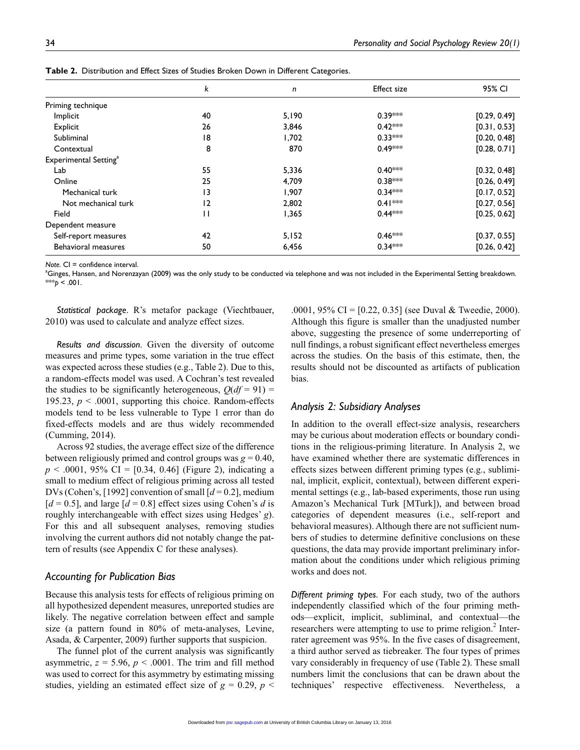|                                   | k            | n     | <b>Effect size</b> | 95% CI       |
|-----------------------------------|--------------|-------|--------------------|--------------|
| Priming technique                 |              |       |                    |              |
| Implicit                          | 40           | 5,190 | $0.39***$          | [0.29, 0.49] |
| Explicit                          | 26           | 3,846 | $0.42***$          | [0.31, 0.53] |
| Subliminal                        | 18           | 1,702 | $0.33***$          | [0.20, 0.48] |
| Contextual                        | 8            | 870   | $0.49***$          | [0.28, 0.71] |
| Experimental Setting <sup>a</sup> |              |       |                    |              |
| Lab                               | 55           | 5,336 | $0.40***$          | [0.32, 0.48] |
| Online                            | 25           | 4,709 | $0.38***$          | [0.26, 0.49] |
| Mechanical turk                   | 13           | 1,907 | $0.34***$          | [0.17, 0.52] |
| Not mechanical turk               | 12           | 2,802 | $0.41***$          | [0.27, 0.56] |
| Field                             | $\mathsf{I}$ | 1,365 | $0.44***$          | [0.25, 0.62] |
| Dependent measure                 |              |       |                    |              |
| Self-report measures              | 42           | 5,152 | $0.46***$          | [0.37, 0.55] |
| <b>Behavioral measures</b>        | 50           | 6,456 | $0.34***$          | [0.26, 0.42] |

**Table 2.** Distribution and Effect Sizes of Studies Broken Down in Different Categories.

*Note.* CI = confidence interval.

a Ginges, Hansen, and Norenzayan (2009) was the only study to be conducted via telephone and was not included in the Experimental Setting breakdown. \*\*\* $p < .001$ .

*Statistical package*. R's metafor package (Viechtbauer, 2010) was used to calculate and analyze effect sizes.

*Results and discussion*. Given the diversity of outcome measures and prime types, some variation in the true effect was expected across these studies (e.g., Table 2). Due to this, a random-effects model was used. A Cochran's test revealed the studies to be significantly heterogeneous,  $O(df = 91) =$ 195.23,  $p < .0001$ , supporting this choice. Random-effects models tend to be less vulnerable to Type 1 error than do fixed-effects models and are thus widely recommended (Cumming, 2014).

Across 92 studies, the average effect size of the difference between religiously primed and control groups was  $g = 0.40$ ,  $p \le 0.0001$ , 95% CI = [0.34, 0.46] (Figure 2), indicating a small to medium effect of religious priming across all tested DVs (Cohen's, [1992] convention of small [*d* = 0.2], medium  $[d = 0.5]$ , and large  $[d = 0.8]$  effect sizes using Cohen's *d* is roughly interchangeable with effect sizes using Hedges' *g*). For this and all subsequent analyses, removing studies involving the current authors did not notably change the pattern of results (see Appendix C for these analyses).

#### *Accounting for Publication Bias*

Because this analysis tests for effects of religious priming on all hypothesized dependent measures, unreported studies are likely. The negative correlation between effect and sample size (a pattern found in 80% of meta-analyses, Levine, Asada, & Carpenter, 2009) further supports that suspicion.

The funnel plot of the current analysis was significantly asymmetric,  $z = 5.96$ ,  $p < .0001$ . The trim and fill method was used to correct for this asymmetry by estimating missing studies, yielding an estimated effect size of  $g = 0.29$ ,  $p <$ 

.0001, 95% CI = [0.22, 0.35] (see Duval & Tweedie, 2000). Although this figure is smaller than the unadjusted number above, suggesting the presence of some underreporting of null findings, a robust significant effect nevertheless emerges across the studies. On the basis of this estimate, then, the results should not be discounted as artifacts of publication bias.

### *Analysis 2: Subsidiary Analyses*

In addition to the overall effect-size analysis, researchers may be curious about moderation effects or boundary conditions in the religious-priming literature. In Analysis 2, we have examined whether there are systematic differences in effects sizes between different priming types (e.g., subliminal, implicit, explicit, contextual), between different experimental settings (e.g., lab-based experiments, those run using Amazon's Mechanical Turk [MTurk]), and between broad categories of dependent measures (i.e., self-report and behavioral measures). Although there are not sufficient numbers of studies to determine definitive conclusions on these questions, the data may provide important preliminary information about the conditions under which religious priming works and does not.

*Different priming types.* For each study, two of the authors independently classified which of the four priming methods—explicit, implicit, subliminal, and contextual—the researchers were attempting to use to prime religion. $2$  Interrater agreement was 95%. In the five cases of disagreement, a third author served as tiebreaker. The four types of primes vary considerably in frequency of use (Table 2). These small numbers limit the conclusions that can be drawn about the techniques' respective effectiveness. Nevertheless, a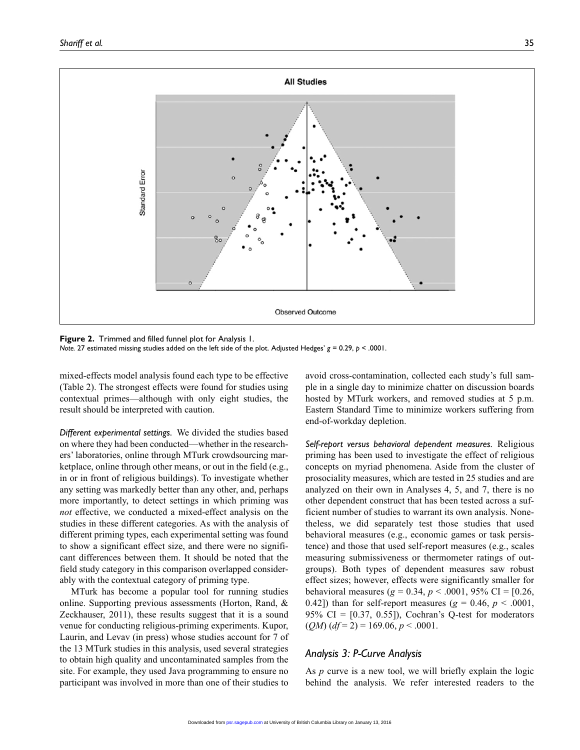

**Figure 2.** Trimmed and filled funnel plot for Analysis 1. *Note.* 27 estimated missing studies added on the left side of the plot. Adjusted Hedges' *g* = 0.29, *p* < .0001.

mixed-effects model analysis found each type to be effective (Table 2). The strongest effects were found for studies using contextual primes—although with only eight studies, the result should be interpreted with caution.

*Different experimental settings.* We divided the studies based on where they had been conducted—whether in the researchers' laboratories, online through MTurk crowdsourcing marketplace, online through other means, or out in the field (e.g., in or in front of religious buildings). To investigate whether any setting was markedly better than any other, and, perhaps more importantly, to detect settings in which priming was *not* effective, we conducted a mixed-effect analysis on the studies in these different categories. As with the analysis of different priming types, each experimental setting was found to show a significant effect size, and there were no significant differences between them. It should be noted that the field study category in this comparison overlapped considerably with the contextual category of priming type.

MTurk has become a popular tool for running studies online. Supporting previous assessments (Horton, Rand, & Zeckhauser, 2011), these results suggest that it is a sound venue for conducting religious-priming experiments. Kupor, Laurin, and Levav (in press) whose studies account for 7 of the 13 MTurk studies in this analysis, used several strategies to obtain high quality and uncontaminated samples from the site. For example, they used Java programming to ensure no participant was involved in more than one of their studies to avoid cross-contamination, collected each study's full sample in a single day to minimize chatter on discussion boards hosted by MTurk workers, and removed studies at 5 p.m. Eastern Standard Time to minimize workers suffering from end-of-workday depletion.

*Self-report versus behavioral dependent measures.* Religious priming has been used to investigate the effect of religious concepts on myriad phenomena. Aside from the cluster of prosociality measures, which are tested in 25 studies and are analyzed on their own in Analyses 4, 5, and 7, there is no other dependent construct that has been tested across a sufficient number of studies to warrant its own analysis. Nonetheless, we did separately test those studies that used behavioral measures (e.g., economic games or task persistence) and those that used self-report measures (e.g., scales measuring submissiveness or thermometer ratings of outgroups). Both types of dependent measures saw robust effect sizes; however, effects were significantly smaller for behavioral measures ( $g = 0.34$ ,  $p < .0001$ , 95% CI = [0.26, 0.42]) than for self-report measures ( $g = 0.46$ ,  $p < .0001$ , 95% CI =  $[0.37, 0.55]$ , Cochran's Q-test for moderators  $(QM)$  ( $df = 2$ ) = 169.06, *p* < .0001.

### *Analysis 3: P-Curve Analysis*

As *p* curve is a new tool, we will briefly explain the logic behind the analysis. We refer interested readers to the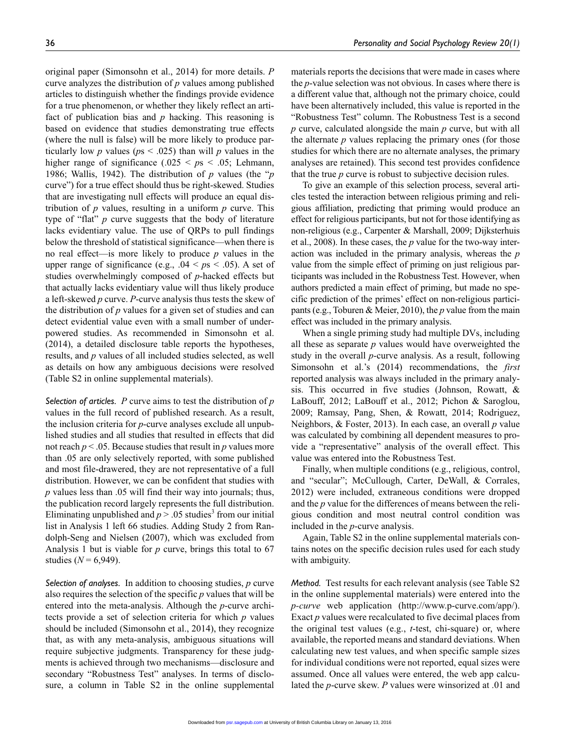original paper (Simonsohn et al., 2014) for more details. *P* curve analyzes the distribution of *p* values among published articles to distinguish whether the findings provide evidence for a true phenomenon, or whether they likely reflect an artifact of publication bias and *p* hacking. This reasoning is based on evidence that studies demonstrating true effects (where the null is false) will be more likely to produce particularly low *p* values ( $ps < .025$ ) than will *p* values in the higher range of significance (.025 <  $p_s$  < .05; Lehmann, 1986; Wallis, 1942). The distribution of *p* values (the "*p* curve") for a true effect should thus be right-skewed. Studies that are investigating null effects will produce an equal distribution of *p* values, resulting in a uniform *p* curve. This type of "flat" *p* curve suggests that the body of literature lacks evidentiary value. The use of QRPs to pull findings below the threshold of statistical significance—when there is no real effect—is more likely to produce *p* values in the upper range of significance (e.g.,  $.04 \leq ps \leq .05$ ). A set of studies overwhelmingly composed of *p*-hacked effects but that actually lacks evidentiary value will thus likely produce a left-skewed *p* curve. *P*-curve analysis thus tests the skew of the distribution of *p* values for a given set of studies and can detect evidential value even with a small number of underpowered studies. As recommended in Simonsohn et al. (2014), a detailed disclosure table reports the hypotheses, results, and *p* values of all included studies selected, as well as details on how any ambiguous decisions were resolved (Table S2 in online supplemental materials).

*Selection of articles. P* curve aims to test the distribution of *p* values in the full record of published research. As a result, the inclusion criteria for *p*-curve analyses exclude all unpublished studies and all studies that resulted in effects that did not reach  $p < 0.05$ . Because studies that result in  $p$  values more than .05 are only selectively reported, with some published and most file-drawered, they are not representative of a full distribution. However, we can be confident that studies with *p* values less than .05 will find their way into journals; thus, the publication record largely represents the full distribution. Eliminating unpublished and  $p > .05$  studies<sup>3</sup> from our initial list in Analysis 1 left 66 studies. Adding Study 2 from Randolph-Seng and Nielsen (2007), which was excluded from Analysis 1 but is viable for *p* curve, brings this total to 67 studies ( $N = 6,949$ ).

*Selection of analyses.* In addition to choosing studies, *p* curve also requires the selection of the specific *p* values that will be entered into the meta-analysis. Although the *p*-curve architects provide a set of selection criteria for which *p* values should be included (Simonsohn et al., 2014), they recognize that, as with any meta-analysis, ambiguous situations will require subjective judgments. Transparency for these judgments is achieved through two mechanisms—disclosure and secondary "Robustness Test" analyses. In terms of disclosure, a column in Table S2 in the online supplemental

materials reports the decisions that were made in cases where the *p*-value selection was not obvious. In cases where there is a different value that, although not the primary choice, could have been alternatively included, this value is reported in the "Robustness Test" column. The Robustness Test is a second *p* curve, calculated alongside the main *p* curve, but with all the alternate *p* values replacing the primary ones (for those studies for which there are no alternate analyses, the primary analyses are retained). This second test provides confidence that the true *p* curve is robust to subjective decision rules.

To give an example of this selection process, several articles tested the interaction between religious priming and religious affiliation, predicting that priming would produce an effect for religious participants, but not for those identifying as non-religious (e.g., Carpenter & Marshall, 2009; Dijksterhuis et al., 2008). In these cases, the *p* value for the two-way interaction was included in the primary analysis, whereas the *p* value from the simple effect of priming on just religious participants was included in the Robustness Test. However, when authors predicted a main effect of priming, but made no specific prediction of the primes' effect on non-religious participants (e.g., Toburen & Meier, 2010), the *p* value from the main effect was included in the primary analysis.

When a single priming study had multiple DVs, including all these as separate *p* values would have overweighted the study in the overall *p*-curve analysis. As a result, following Simonsohn et al.'s (2014) recommendations, the *first* reported analysis was always included in the primary analysis. This occurred in five studies (Johnson, Rowatt, & LaBouff, 2012; LaBouff et al., 2012; Pichon & Saroglou, 2009; Ramsay, Pang, Shen, & Rowatt, 2014; Rodriguez, Neighbors, & Foster, 2013). In each case, an overall *p* value was calculated by combining all dependent measures to provide a "representative" analysis of the overall effect. This value was entered into the Robustness Test.

Finally, when multiple conditions (e.g., religious, control, and "secular"; McCullough, Carter, DeWall, & Corrales, 2012) were included, extraneous conditions were dropped and the *p* value for the differences of means between the religious condition and most neutral control condition was included in the *p*-curve analysis.

Again, Table S2 in the online supplemental materials contains notes on the specific decision rules used for each study with ambiguity.

*Method.* Test results for each relevant analysis (see Table S2 in the online supplemental materials) were entered into the *p-curve* web application [\(http://www.p-curve.com/app/](http://www.p-curve.com/app/)). Exact *p* values were recalculated to five decimal places from the original test values (e.g., *t*-test, chi-square) or, where available, the reported means and standard deviations. When calculating new test values, and when specific sample sizes for individual conditions were not reported, equal sizes were assumed. Once all values were entered, the web app calculated the *p*-curve skew. *P* values were winsorized at .01 and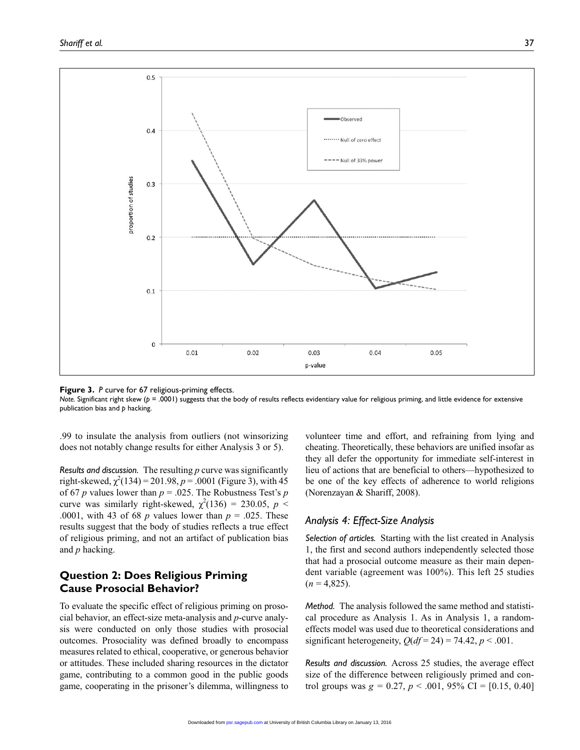

**Figure 3.** *P* curve for 67 religious-priming effects.

*Note.* Significant right skew ( $p = .0001$ ) suggests that the body of results reflects evidentiary value for religious priming, and little evidence for extensive publication bias and *p* hacking.

.99 to insulate the analysis from outliers (not winsorizing does not notably change results for either Analysis 3 or 5).

*Results and discussion.* The resulting *p* curve was significantly right-skewed,  $\chi^2(134) = 201.98$ ,  $p = .0001$  (Figure 3), with 45 of 67 *p* values lower than  $p = 0.025$ . The Robustness Test's *p* curve was similarly right-skewed,  $\chi^2(136) = 230.05$ ,  $p <$ .0001, with 43 of 68 *p* values lower than  $p = 0.025$ . These results suggest that the body of studies reflects a true effect of religious priming, and not an artifact of publication bias and *p* hacking.

# **Question 2: Does Religious Priming Cause Prosocial Behavior?**

To evaluate the specific effect of religious priming on prosocial behavior, an effect-size meta-analysis and *p*-curve analysis were conducted on only those studies with prosocial outcomes. Prosociality was defined broadly to encompass measures related to ethical, cooperative, or generous behavior or attitudes. These included sharing resources in the dictator game, contributing to a common good in the public goods game, cooperating in the prisoner's dilemma, willingness to

volunteer time and effort, and refraining from lying and cheating. Theoretically, these behaviors are unified insofar as they all defer the opportunity for immediate self-interest in lieu of actions that are beneficial to others—hypothesized to be one of the key effects of adherence to world religions (Norenzayan & Shariff, 2008).

# *Analysis 4: Effect-Size Analysis*

*Selection of articles.* Starting with the list created in Analysis 1, the first and second authors independently selected those that had a prosocial outcome measure as their main dependent variable (agreement was 100%). This left 25 studies  $(n = 4,825)$ .

*Method.* The analysis followed the same method and statistical procedure as Analysis 1. As in Analysis 1, a randomeffects model was used due to theoretical considerations and significant heterogeneity,  $Q(df = 24) = 74.42$ ,  $p < .001$ .

*Results and discussion.* Across 25 studies, the average effect size of the difference between religiously primed and control groups was  $g = 0.27$ ,  $p < .001$ , 95% CI = [0.15, 0.40]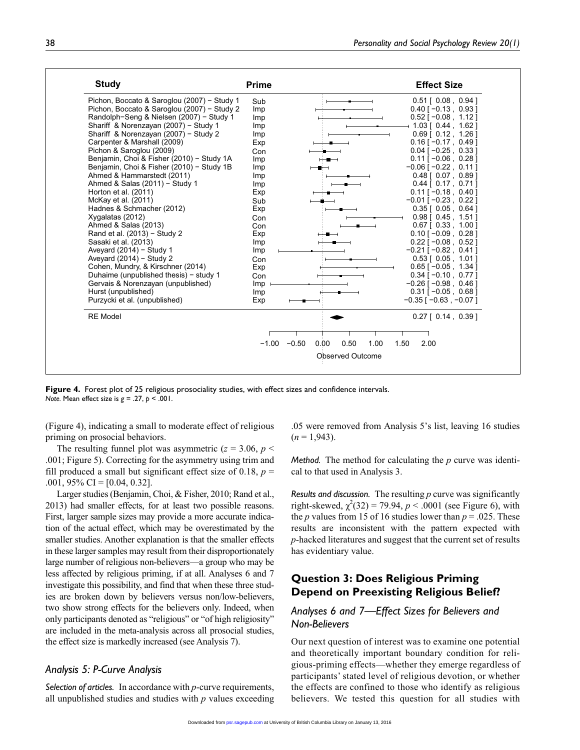| <b>Study</b>                                | <b>Prime</b>               | <b>Effect Size</b>            |
|---------------------------------------------|----------------------------|-------------------------------|
| Pichon, Boccato & Saroglou (2007) - Study 1 | Sub                        | $0.51$ [ $0.08$ , $0.94$ ]    |
| Pichon, Boccato & Saroglou (2007) - Study 2 | <b>Imp</b>                 | $0.40$ [ $-0.13$ , 0.93 ]     |
| Randolph-Seng & Nielsen (2007) - Study 1    | <b>Imp</b>                 | $0.52$ [ $-0.08$ , 1.12]      |
| Shariff & Norenzayan (2007) - Study 1       | <b>Imp</b>                 | + 1.03 [ 0.44,1.62 ]          |
| Shariff & Norenzayan (2007) - Study 2       | <b>Imp</b>                 | $0.69$ [ $0.12$ , 1.26 ]      |
| Carpenter & Marshall (2009)                 | Exp                        | $0.16$ [ $-0.17$ , 0.49]      |
| Pichon & Saroglou (2009)                    | Con                        | $0.04$ [ $-0.25$ , 0.33 ]     |
| Benjamin, Choi & Fisher (2010) - Study 1A   | <b>Imp</b>                 | $0.11$ [ $-0.06$ , 0.28]      |
| Benjamin, Choi & Fisher (2010) - Study 1B   | Imp                        | $-0.06$ [ $-0.22$ , 0.11 ]    |
| Ahmed & Hammarstedt (2011)                  | <b>Imp</b>                 | $0.48$ [ $0.07$ , $0.89$ ]    |
| Ahmed & Salas (2011) - Study 1              | Imp                        | $0.44$ [ $0.17$ , $0.71$ ]    |
| Horton et al. (2011)                        | Exp                        | $0.11$ [ $-0.18$ , 0.40]      |
| McKay et al. (2011)                         | Sub                        | $-0.01$ [ $-0.23$ , 0.22]     |
| Hadnes & Schmacher (2012)                   | Exp                        | $0.35$ [ $0.05$ , $0.64$ ]    |
| Xygalatas (2012)                            | Con                        | $0.98$ [ $0.45$ , 1.51 ]      |
| Ahmed & Salas (2013)                        | Con                        | $0.67$ [ $0.33$ , 1.00 ]      |
| Rand et al. (2013) - Study 2                | Exp                        | $0.10$ [ $-0.09$ , 0.28 ]     |
| Sasaki et al. (2013)                        | Imp                        | $0.22$ [ $-0.08$ , 0.52]      |
| Aveyard $(2014)$ - Study 1                  | Imp                        | $-0.21$ [ $-0.82$ , 0.41]     |
| Aveyard $(2014)$ – Study 2                  | Con                        | $0.53$ [ $0.05$ , 1.01]       |
| Cohen, Mundry, & Kirschner (2014)           | Exp                        | $0.65$ [ $-0.05$ , 1.34 ]     |
| Duhaime (unpublished thesis) - study 1      | Con                        | $0.34$ [ $-0.10$ , 0.77 ]     |
| Gervais & Norenzayan (unpublished)          | <i>Imp</i>                 | $-0.26$ [ $-0.98$ , 0.46]     |
| Hurst (unpublished)                         | Imp                        | $0.31$ [ $-0.05$ , 0.68 ]     |
| Purzycki et al. (unpublished)               | Exp                        | $-0.35$ [ $-0.63$ , $-0.07$ ] |
| <b>RE</b> Model                             |                            | $0.27$ [ $0.14$ , $0.39$ ]    |
|                                             |                            |                               |
|                                             | $-1.00$<br>$-0.50$<br>0.00 | 0.50<br>1.00<br>1.50<br>2.00  |
|                                             |                            | <b>Observed Outcome</b>       |

**Figure 4.** Forest plot of 25 religious prosociality studies, with effect sizes and confidence intervals. *Note.* Mean effect size is *g* = .27, *p* < .001.

(Figure 4), indicating a small to moderate effect of religious priming on prosocial behaviors.

The resulting funnel plot was asymmetric  $(z = 3.06, p <$ .001; Figure 5). Correcting for the asymmetry using trim and fill produced a small but significant effect size of 0.18,  $p =$ .001, 95% CI =  $[0.04, 0.32]$ .

Larger studies (Benjamin, Choi, & Fisher, 2010; Rand et al., 2013) had smaller effects, for at least two possible reasons. First, larger sample sizes may provide a more accurate indication of the actual effect, which may be overestimated by the smaller studies. Another explanation is that the smaller effects in these larger samples may result from their disproportionately large number of religious non-believers—a group who may be less affected by religious priming, if at all. Analyses 6 and 7 investigate this possibility, and find that when these three studies are broken down by believers versus non/low-believers, two show strong effects for the believers only. Indeed, when only participants denoted as "religious" or "of high religiosity" are included in the meta-analysis across all prosocial studies, the effect size is markedly increased (see Analysis 7).

### *Analysis 5: P-Curve Analysis*

*Selection of articles.* In accordance with *p*-curve requirements, all unpublished studies and studies with *p* values exceeding

.05 were removed from Analysis 5's list, leaving 16 studies  $(n = 1,943)$ .

*Method.* The method for calculating the *p* curve was identical to that used in Analysis 3.

*Results and discussion.* The resulting *p* curve was significantly right-skewed,  $\chi^2(32) = 79.94$ ,  $p < .0001$  (see Figure 6), with the *p* values from 15 of 16 studies lower than  $p = .025$ . These results are inconsistent with the pattern expected with *p*-hacked literatures and suggest that the current set of results has evidentiary value.

# **Question 3: Does Religious Priming Depend on Preexisting Religious Belief?**

# *Analyses 6 and 7—Effect Sizes for Believers and Non-Believers*

Our next question of interest was to examine one potential and theoretically important boundary condition for religious-priming effects—whether they emerge regardless of participants' stated level of religious devotion, or whether the effects are confined to those who identify as religious believers. We tested this question for all studies with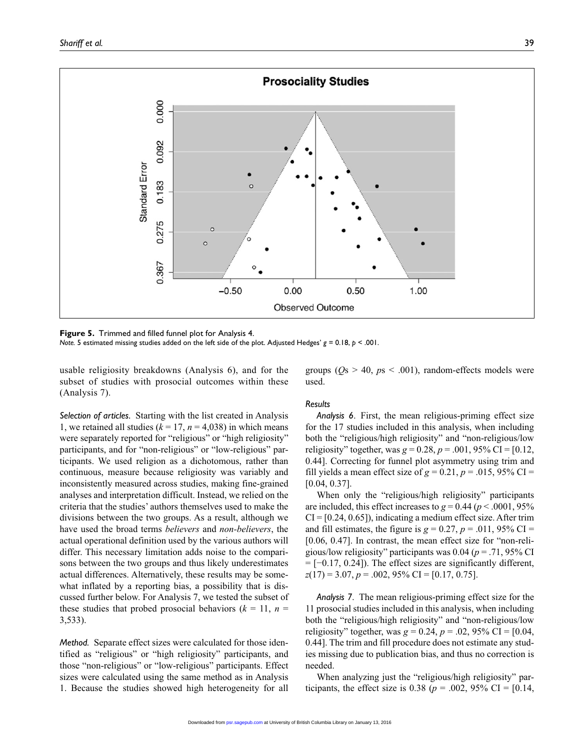

**Figure 5.** Trimmed and filled funnel plot for Analysis 4.

*Note.* 5 estimated missing studies added on the left side of the plot. Adjusted Hedges' *g* = 0.18, *p* < .001.

usable religiosity breakdowns (Analysis 6), and for the subset of studies with prosocial outcomes within these (Analysis 7).

groups  $(Os > 40, ps < .001)$ , random-effects models were used.

*Selection of articles.* Starting with the list created in Analysis 1, we retained all studies  $(k = 17, n = 4,038)$  in which means were separately reported for "religious" or "high religiosity" participants, and for "non-religious" or "low-religious" participants. We used religion as a dichotomous, rather than continuous, measure because religiosity was variably and inconsistently measured across studies, making fine-grained analyses and interpretation difficult. Instead, we relied on the criteria that the studies' authors themselves used to make the divisions between the two groups. As a result, although we have used the broad terms *believers* and *non-believers*, the actual operational definition used by the various authors will differ. This necessary limitation adds noise to the comparisons between the two groups and thus likely underestimates actual differences. Alternatively, these results may be somewhat inflated by a reporting bias, a possibility that is discussed further below. For Analysis 7, we tested the subset of these studies that probed prosocial behaviors  $(k = 11, n = 11)$ 3,533).

*Method.* Separate effect sizes were calculated for those identified as "religious" or "high religiosity" participants, and those "non-religious" or "low-religious" participants. Effect sizes were calculated using the same method as in Analysis 1. Because the studies showed high heterogeneity for all

#### *Results*

*Analysis 6*. First, the mean religious-priming effect size for the 17 studies included in this analysis, when including both the "religious/high religiosity" and "non-religious/low religiosity" together, was  $g = 0.28$ ,  $p = .001$ , 95% CI = [0.12, 0.44]. Correcting for funnel plot asymmetry using trim and fill yields a mean effect size of  $g = 0.21$ ,  $p = .015$ , 95% CI = [0.04, 0.37].

When only the "religious/high religiosity" participants are included, this effect increases to  $g = 0.44$  ( $p < .0001$ , 95%)  $CI = [0.24, 0.65]$ , indicating a medium effect size. After trim and fill estimates, the figure is  $g = 0.27$ ,  $p = .011$ , 95% CI = [0.06, 0.47]. In contrast, the mean effect size for "non-religious/low religiosity" participants was 0.04 (*p* = .71, 95% CI  $= [-0.17, 0.24]$ ). The effect sizes are significantly different, *z*(17) = 3.07, *p* = .002, 95% CI = [0.17, 0.75].

*Analysis 7*. The mean religious-priming effect size for the 11 prosocial studies included in this analysis, when including both the "religious/high religiosity" and "non-religious/low religiosity" together, was  $g = 0.24$ ,  $p = .02$ , 95% CI = [0.04, 0.44]. The trim and fill procedure does not estimate any studies missing due to publication bias, and thus no correction is needed.

When analyzing just the "religious/high religiosity" participants, the effect size is 0.38 ( $p = .002$ , 95% CI = [0.14,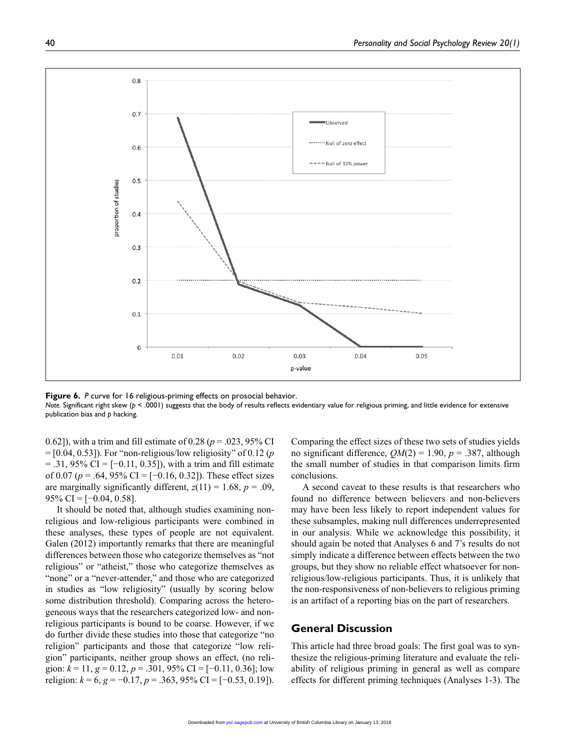

**Figure 6.** *P* curve for 16 religious-priming effects on prosocial behavior.

*Note.* Significant right skew ( $p < .0001$ ) suggests that the body of results reflects evidentiary value for religious priming, and little evidence for extensive publication bias and *p* hacking.

0.62]), with a trim and fill estimate of 0.28 (*p* = .023, 95% CI = [0.04, 0.53]). For "non-religious/low religiosity" of 0.12 (*p*  $=$  .31, 95% CI = [-0.11, 0.35]), with a trim and fill estimate of 0.07 (*p* = .64, 95% CI = [−0.16, 0.32]). These effect sizes are marginally significantly different,  $z(11) = 1.68$ ,  $p = .09$ ,  $95\%$  CI = [-0.04, 0.58].

It should be noted that, although studies examining nonreligious and low-religious participants were combined in these analyses, these types of people are not equivalent. Galen (2012) importantly remarks that there are meaningful differences between those who categorize themselves as "not religious" or "atheist," those who categorize themselves as "none" or a "never-attender," and those who are categorized in studies as "low religiosity" (usually by scoring below some distribution threshold). Comparing across the heterogeneous ways that the researchers categorized low- and nonreligious participants is bound to be coarse. However, if we do further divide these studies into those that categorize "no religion" participants and those that categorize "low religion" participants, neither group shows an effect, (no religion:  $k = 11$ ,  $g = 0.12$ ,  $p = .301$ , 95% CI = [-0.11, 0.36]; low religion: *k* = 6, *g* = −0.17, *p* = .363, 95% CI = [−0.53, 0.19]).

Comparing the effect sizes of these two sets of studies yields no significant difference,  $QM(2) = 1.90$ ,  $p = .387$ , although the small number of studies in that comparison limits firm conclusions.

A second caveat to these results is that researchers who found no difference between believers and non-believers may have been less likely to report independent values for these subsamples, making null differences underrepresented in our analysis. While we acknowledge this possibility, it should again be noted that Analyses 6 and 7's results do not simply indicate a difference between effects between the two groups, but they show no reliable effect whatsoever for nonreligious/low-religious participants. Thus, it is unlikely that the non-responsiveness of non-believers to religious priming is an artifact of a reporting bias on the part of researchers.

### **General Discussion**

This article had three broad goals: The first goal was to synthesize the religious-priming literature and evaluate the reliability of religious priming in general as well as compare effects for different priming techniques (Analyses 1-3). The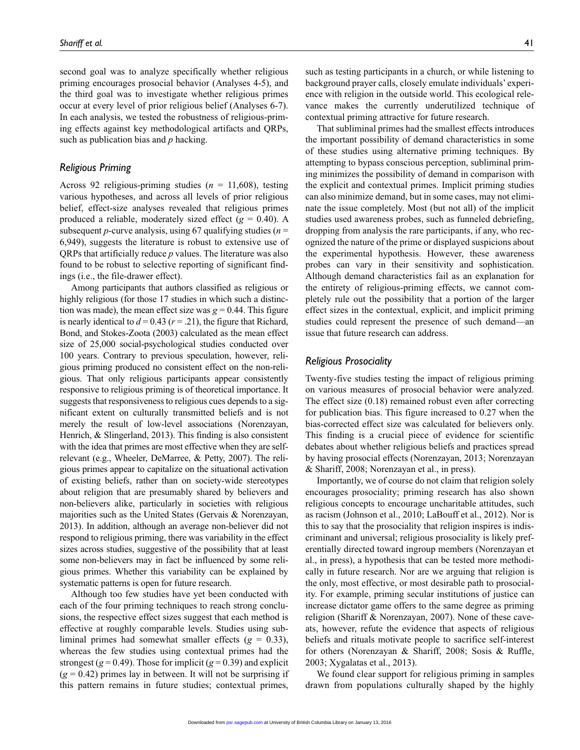second goal was to analyze specifically whether religious priming encourages prosocial behavior (Analyses 4-5), and the third goal was to investigate whether religious primes occur at every level of prior religious belief (Analyses 6-7). In each analysis, we tested the robustness of religious-priming effects against key methodological artifacts and QRPs, such as publication bias and *p* hacking.

### *Religious Priming*

Across 92 religious-priming studies (*n* = 11,608), testing various hypotheses, and across all levels of prior religious belief, effect-size analyses revealed that religious primes produced a reliable, moderately sized effect  $(g = 0.40)$ . A subsequent *p*-curve analysis, using 67 qualifying studies ( $n =$ 6,949), suggests the literature is robust to extensive use of QRPs that artificially reduce *p* values. The literature was also found to be robust to selective reporting of significant findings (i.e., the file-drawer effect).

Among participants that authors classified as religious or highly religious (for those 17 studies in which such a distinction was made), the mean effect size was  $g = 0.44$ . This figure is nearly identical to  $d = 0.43$  ( $r = .21$ ), the figure that Richard, Bond, and Stokes-Zoota (2003) calculated as the mean effect size of 25,000 social-psychological studies conducted over 100 years. Contrary to previous speculation, however, religious priming produced no consistent effect on the non-religious. That only religious participants appear consistently responsive to religious priming is of theoretical importance. It suggests that responsiveness to religious cues depends to a significant extent on culturally transmitted beliefs and is not merely the result of low-level associations (Norenzayan, Henrich, & Slingerland, 2013). This finding is also consistent with the idea that primes are most effective when they are selfrelevant (e.g., Wheeler, DeMarree, & Petty, 2007). The religious primes appear to capitalize on the situational activation of existing beliefs, rather than on society-wide stereotypes about religion that are presumably shared by believers and non-believers alike, particularly in societies with religious majorities such as the United States (Gervais & Norenzayan, 2013). In addition, although an average non-believer did not respond to religious priming, there was variability in the effect sizes across studies, suggestive of the possibility that at least some non-believers may in fact be influenced by some religious primes. Whether this variability can be explained by systematic patterns is open for future research.

Although too few studies have yet been conducted with each of the four priming techniques to reach strong conclusions, the respective effect sizes suggest that each method is effective at roughly comparable levels. Studies using subliminal primes had somewhat smaller effects ( $g = 0.33$ ), whereas the few studies using contextual primes had the strongest ( $g = 0.49$ ). Those for implicit ( $g = 0.39$ ) and explicit  $(g = 0.42)$  primes lay in between. It will not be surprising if this pattern remains in future studies; contextual primes,

contextual priming attractive for future research. That subliminal primes had the smallest effects introduces the important possibility of demand characteristics in some of these studies using alternative priming techniques. By attempting to bypass conscious perception, subliminal priming minimizes the possibility of demand in comparison with the explicit and contextual primes. Implicit priming studies can also minimize demand, but in some cases, may not eliminate the issue completely. Most (but not all) of the implicit studies used awareness probes, such as funneled debriefing, dropping from analysis the rare participants, if any, who recognized the nature of the prime or displayed suspicions about the experimental hypothesis. However, these awareness probes can vary in their sensitivity and sophistication. Although demand characteristics fail as an explanation for the entirety of religious-priming effects, we cannot completely rule out the possibility that a portion of the larger effect sizes in the contextual, explicit, and implicit priming studies could represent the presence of such demand—an issue that future research can address.

### *Religious Prosociality*

Twenty-five studies testing the impact of religious priming on various measures of prosocial behavior were analyzed. The effect size (0.18) remained robust even after correcting for publication bias. This figure increased to 0.27 when the bias-corrected effect size was calculated for believers only. This finding is a crucial piece of evidence for scientific debates about whether religious beliefs and practices spread by having prosocial effects (Norenzayan, 2013; Norenzayan & Shariff, 2008; Norenzayan et al., in press).

Importantly, we of course do not claim that religion solely encourages prosociality; priming research has also shown religious concepts to encourage uncharitable attitudes, such as racism (Johnson et al., 2010; LaBouff et al., 2012). Nor is this to say that the prosociality that religion inspires is indiscriminant and universal; religious prosociality is likely preferentially directed toward ingroup members (Norenzayan et al., in press), a hypothesis that can be tested more methodically in future research. Nor are we arguing that religion is the only, most effective, or most desirable path to prosociality. For example, priming secular institutions of justice can increase dictator game offers to the same degree as priming religion (Shariff & Norenzayan, 2007). None of these caveats, however, refute the evidence that aspects of religious beliefs and rituals motivate people to sacrifice self-interest for others (Norenzayan & Shariff, 2008; Sosis & Ruffle, 2003; Xygalatas et al., 2013).

We found clear support for religious priming in samples drawn from populations culturally shaped by the highly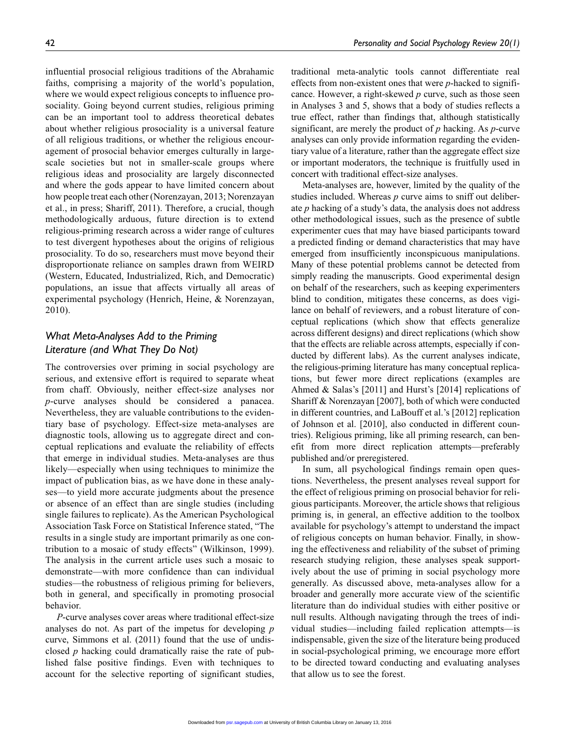influential prosocial religious traditions of the Abrahamic faiths, comprising a majority of the world's population, where we would expect religious concepts to influence prosociality. Going beyond current studies, religious priming can be an important tool to address theoretical debates about whether religious prosociality is a universal feature of all religious traditions, or whether the religious encouragement of prosocial behavior emerges culturally in largescale societies but not in smaller-scale groups where religious ideas and prosociality are largely disconnected and where the gods appear to have limited concern about how people treat each other (Norenzayan, 2013; Norenzayan et al., in press; Shariff, 2011). Therefore, a crucial, though methodologically arduous, future direction is to extend religious-priming research across a wider range of cultures to test divergent hypotheses about the origins of religious prosociality. To do so, researchers must move beyond their disproportionate reliance on samples drawn from WEIRD (Western, Educated, Industrialized, Rich, and Democratic) populations, an issue that affects virtually all areas of experimental psychology (Henrich, Heine, & Norenzayan, 2010).

# *What Meta-Analyses Add to the Priming Literature (and What They Do Not)*

The controversies over priming in social psychology are serious, and extensive effort is required to separate wheat from chaff. Obviously, neither effect-size analyses nor *p*-curve analyses should be considered a panacea. Nevertheless, they are valuable contributions to the evidentiary base of psychology. Effect-size meta-analyses are diagnostic tools, allowing us to aggregate direct and conceptual replications and evaluate the reliability of effects that emerge in individual studies. Meta-analyses are thus likely—especially when using techniques to minimize the impact of publication bias, as we have done in these analyses—to yield more accurate judgments about the presence or absence of an effect than are single studies (including single failures to replicate). As the American Psychological Association Task Force on Statistical Inference stated, "The results in a single study are important primarily as one contribution to a mosaic of study effects" (Wilkinson, 1999). The analysis in the current article uses such a mosaic to demonstrate—with more confidence than can individual studies—the robustness of religious priming for believers, both in general, and specifically in promoting prosocial behavior.

*P*-curve analyses cover areas where traditional effect-size analyses do not. As part of the impetus for developing *p* curve, Simmons et al. (2011) found that the use of undisclosed *p* hacking could dramatically raise the rate of published false positive findings. Even with techniques to account for the selective reporting of significant studies,

traditional meta-analytic tools cannot differentiate real effects from non-existent ones that were *p*-hacked to significance. However, a right-skewed *p* curve, such as those seen in Analyses 3 and 5, shows that a body of studies reflects a true effect, rather than findings that, although statistically significant, are merely the product of *p* hacking. As *p*-curve analyses can only provide information regarding the evidentiary value of a literature, rather than the aggregate effect size or important moderators, the technique is fruitfully used in concert with traditional effect-size analyses.

Meta-analyses are, however, limited by the quality of the studies included. Whereas *p* curve aims to sniff out deliberate *p* hacking of a study's data, the analysis does not address other methodological issues, such as the presence of subtle experimenter cues that may have biased participants toward a predicted finding or demand characteristics that may have emerged from insufficiently inconspicuous manipulations. Many of these potential problems cannot be detected from simply reading the manuscripts. Good experimental design on behalf of the researchers, such as keeping experimenters blind to condition, mitigates these concerns, as does vigilance on behalf of reviewers, and a robust literature of conceptual replications (which show that effects generalize across different designs) and direct replications (which show that the effects are reliable across attempts, especially if conducted by different labs). As the current analyses indicate, the religious-priming literature has many conceptual replications, but fewer more direct replications (examples are Ahmed & Salas's [2011] and Hurst's [2014] replications of Shariff & Norenzayan [2007], both of which were conducted in different countries, and LaBouff et al.'s [2012] replication of Johnson et al. [2010], also conducted in different countries). Religious priming, like all priming research, can benefit from more direct replication attempts—preferably published and/or preregistered.

In sum, all psychological findings remain open questions. Nevertheless, the present analyses reveal support for the effect of religious priming on prosocial behavior for religious participants. Moreover, the article shows that religious priming is, in general, an effective addition to the toolbox available for psychology's attempt to understand the impact of religious concepts on human behavior. Finally, in showing the effectiveness and reliability of the subset of priming research studying religion, these analyses speak supportively about the use of priming in social psychology more generally. As discussed above, meta-analyses allow for a broader and generally more accurate view of the scientific literature than do individual studies with either positive or null results. Although navigating through the trees of individual studies—including failed replication attempts—is indispensable, given the size of the literature being produced in social-psychological priming, we encourage more effort to be directed toward conducting and evaluating analyses that allow us to see the forest.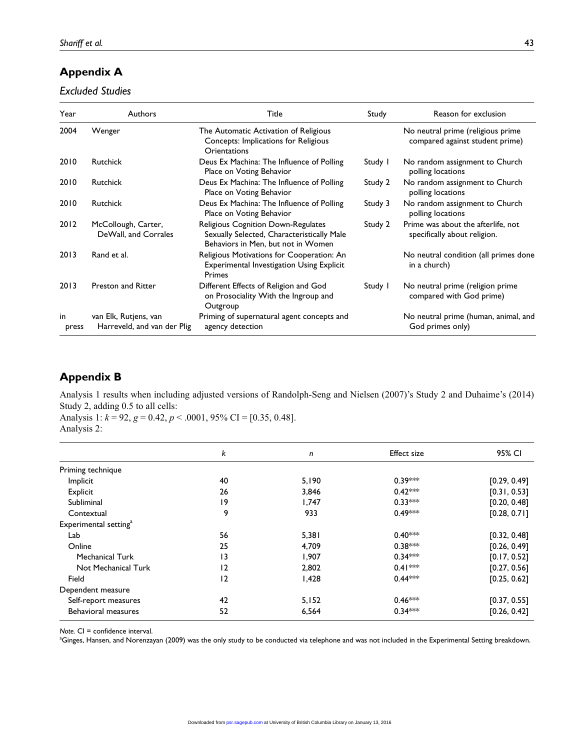# **Appendix A**

*Excluded Studies*

| Year        | Authors                                              | Title                                                                                                                         | Study   | Reason for exclusion                                                 |
|-------------|------------------------------------------------------|-------------------------------------------------------------------------------------------------------------------------------|---------|----------------------------------------------------------------------|
| 2004        | Wenger                                               | The Automatic Activation of Religious<br>Concepts: Implications for Religious<br>Orientations                                 |         | No neutral prime (religious prime<br>compared against student prime) |
| 2010        | <b>Rutchick</b>                                      | Deus Ex Machina: The Influence of Polling<br>Place on Voting Behavior                                                         | Study I | No random assignment to Church<br>polling locations                  |
| 2010        | <b>Rutchick</b>                                      | Deus Ex Machina: The Influence of Polling<br>Place on Voting Behavior                                                         | Study 2 | No random assignment to Church<br>polling locations                  |
| 2010        | <b>Rutchick</b>                                      | Deus Ex Machina: The Influence of Polling<br>Place on Voting Behavior                                                         | Study 3 | No random assignment to Church<br>polling locations                  |
| 2012        | McCollough, Carter,<br>DeWall, and Corrales          | <b>Religious Cognition Down-Regulates</b><br>Sexually Selected, Characteristically Male<br>Behaviors in Men, but not in Women | Study 2 | Prime was about the afterlife, not<br>specifically about religion.   |
| 2013        | Rand et al.                                          | Religious Motivations for Cooperation: An<br><b>Experimental Investigation Using Explicit</b><br>Primes                       |         | No neutral condition (all primes done<br>in a church)                |
| 2013        | <b>Preston and Ritter</b>                            | Different Effects of Religion and God<br>on Prosociality With the Ingroup and<br>Outgroup                                     | Study I | No neutral prime (religion prime<br>compared with God prime)         |
| in<br>press | van Elk, Rutjens, van<br>Harreveld, and van der Plig | Priming of supernatural agent concepts and<br>agency detection                                                                |         | No neutral prime (human, animal, and<br>God primes only)             |

# **Appendix B**

Analysis 1 results when including adjusted versions of Randolph-Seng and Nielsen (2007)'s Study 2 and Duhaime's (2014) Study 2, adding 0.5 to all cells:

Analysis 1: *k* = 92, *g* = 0.42, *p* < .0001, 95% CI = [0.35, 0.48]. Analysis 2:

|                                   | k  | n     | <b>Effect size</b> | 95% CI       |
|-----------------------------------|----|-------|--------------------|--------------|
| Priming technique                 |    |       |                    |              |
| Implicit                          | 40 | 5,190 | $0.39***$          | [0.29, 0.49] |
| Explicit                          | 26 | 3,846 | $0.42***$          | [0.31, 0.53] |
| Subliminal                        | 19 | 1,747 | $0.33***$          | [0.20, 0.48] |
| Contextual                        | 9  | 933   | $0.49***$          | [0.28, 0.71] |
| Experimental setting <sup>a</sup> |    |       |                    |              |
| Lab                               | 56 | 5,381 | $0.40***$          | [0.32, 0.48] |
| Online                            | 25 | 4,709 | $0.38***$          | [0.26, 0.49] |
| <b>Mechanical Turk</b>            | 13 | 1.907 | $0.34***$          | [0.17, 0.52] |
| Not Mechanical Turk               | 12 | 2,802 | $0.41***$          | [0.27, 0.56] |
| Field                             | 12 | 1,428 | $0.44***$          | [0.25, 0.62] |
| Dependent measure                 |    |       |                    |              |
| Self-report measures              | 42 | 5,152 | $0.46***$          | [0.37, 0.55] |
| <b>Behavioral measures</b>        | 52 | 6,564 | $0.34***$          | [0.26, 0.42] |

*Note.* CI = confidence interval.

a Ginges, Hansen, and Norenzayan (2009) was the only study to be conducted via telephone and was not included in the Experimental Setting breakdown.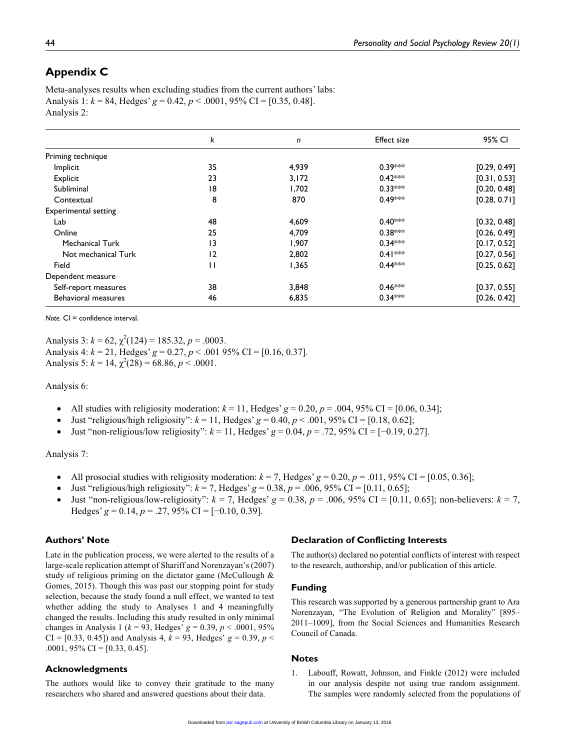# **Appendix C**

Meta-analyses results when excluding studies from the current authors' labs: Analysis 1:  $k = 84$ , Hedges'  $g = 0.42$ ,  $p < .0001$ ,  $95\%$  CI = [0.35, 0.48]. Analysis 2:

|                             | k            | n     | <b>Effect size</b> | 95% CI       |
|-----------------------------|--------------|-------|--------------------|--------------|
| Priming technique           |              |       |                    |              |
| Implicit                    | 35           | 4,939 | $0.39***$          | [0.29, 0.49] |
| Explicit                    | 23           | 3,172 | $0.42***$          | [0.31, 0.53] |
| Subliminal                  | 18           | 1,702 | $0.33***$          | [0.20, 0.48] |
| Contextual                  | 8            | 870   | $0.49***$          | [0.28, 0.71] |
| <b>Experimental setting</b> |              |       |                    |              |
| Lab                         | 48           | 4,609 | $0.40***$          | [0.32, 0.48] |
| Online                      | 25           | 4,709 | $0.38***$          | [0.26, 0.49] |
| <b>Mechanical Turk</b>      | 13           | 1,907 | $0.34***$          | [0.17, 0.52] |
| Not mechanical Turk         | 12           | 2,802 | $0.41***$          | [0.27, 0.56] |
| Field                       | $\mathsf{H}$ | 1.365 | $0.44***$          | [0.25, 0.62] |
| Dependent measure           |              |       |                    |              |
| Self-report measures        | 38           | 3,848 | $0.46***$          | [0.37, 0.55] |
| <b>Behavioral measures</b>  | 46           | 6,835 | $0.34***$          | [0.26, 0.42] |

*Note.* CI = confidence interval.

Analysis 3:  $k = 62$ ,  $\chi^2(124) = 185.32$ ,  $p = .0003$ . Analysis 4: *k* = 21, Hedges' *g* = 0.27, *p* < .001 95% CI = [0.16, 0.37]. Analysis 5:  $k = 14$ ,  $\chi^2(28) = 68.86$ ,  $p < .0001$ .

Analysis 6:

- All studies with religiosity moderation:  $k = 11$ , Hedges'  $g = 0.20$ ,  $p = .004$ , 95% CI = [0.06, 0.34];
- Just "religious/high religiosity":  $k = 11$ , Hedges'  $g = 0.40$ ,  $p < .001$ , 95% CI = [0.18, 0.62];
- •• Just "non-religious/low religiosity": *k* = 11, Hedges' *g* = 0.04, *p* = .72, 95% CI = [−0.19, 0.27].

#### Analysis 7:

- All prosocial studies with religiosity moderation:  $k = 7$ , Hedges'  $g = 0.20$ ,  $p = .011$ , 95% CI = [0.05, 0.36];
- Just "religious/high religiosity":  $k = 7$ , Hedges'  $g = 0.38$ ,  $p = .006$ ,  $95\%$  CI = [0.11, 0.65];
- Just "non-religious/low-religiosity":  $k = 7$ , Hedges'  $g = 0.38$ ,  $p = .006$ , 95% CI = [0.11, 0.65]; non-believers:  $k = 7$ , Hedges'  $g = 0.14$ ,  $p = .27$ , 95% CI = [-0.10, 0.39].

### **Authors' Note**

Late in the publication process, we were alerted to the results of a large-scale replication attempt of Shariff and Norenzayan's (2007) study of religious priming on the dictator game (McCullough & Gomes, 2015). Though this was past our stopping point for study selection, because the study found a null effect, we wanted to test whether adding the study to Analyses 1 and 4 meaningfully changed the results. Including this study resulted in only minimal changes in Analysis 1 (*k* = 93, Hedges' *g* = 0.39, *p* < .0001, 95%  $CI = [0.33, 0.45]$  and Analysis 4,  $k = 93$ , Hedges'  $g = 0.39$ ,  $p <$ .0001, 95% CI = [0.33, 0.45].

#### **Acknowledgments**

The authors would like to convey their gratitude to the many researchers who shared and answered questions about their data.

#### **Declaration of Conflicting Interests**

The author(s) declared no potential conflicts of interest with respect to the research, authorship, and/or publication of this article.

#### **Funding**

This research was supported by a generous partnership grant to Ara Norenzayan, "The Evolution of Religion and Morality" [895– 2011–1009], from the Social Sciences and Humanities Research Council of Canada.

#### **Notes**

1. Labouff, Rowatt, Johnson, and Finkle (2012) were included in our analysis despite not using true random assignment. The samples were randomly selected from the populations of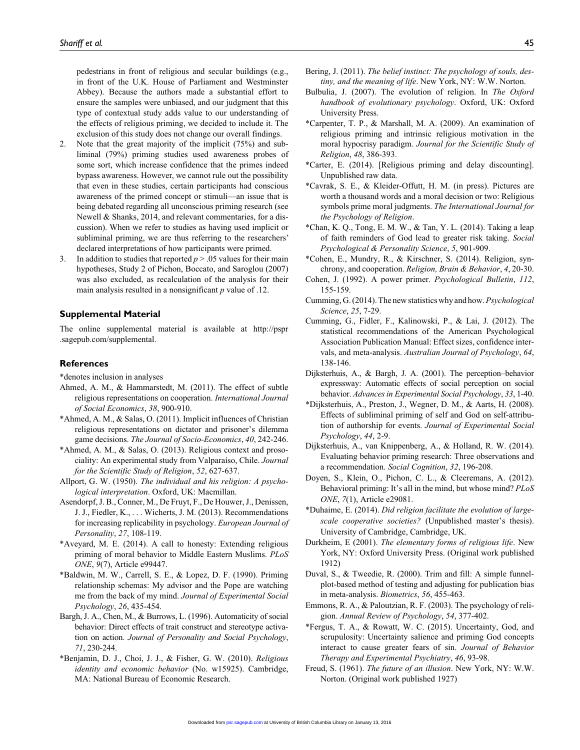pedestrians in front of religious and secular buildings (e.g., in front of the U.K. House of Parliament and Westminster Abbey). Because the authors made a substantial effort to ensure the samples were unbiased, and our judgment that this type of contextual study adds value to our understanding of the effects of religious priming, we decided to include it. The exclusion of this study does not change our overall findings.

- 2. Note that the great majority of the implicit (75%) and subliminal (79%) priming studies used awareness probes of some sort, which increase confidence that the primes indeed bypass awareness. However, we cannot rule out the possibility that even in these studies, certain participants had conscious awareness of the primed concept or stimuli—an issue that is being debated regarding all unconscious priming research (see Newell & Shanks, 2014, and relevant commentaries, for a discussion). When we refer to studies as having used implicit or subliminal priming, we are thus referring to the researchers' declared interpretations of how participants were primed.
- 3. In addition to studies that reported *p* > .05 values for their main hypotheses, Study 2 of Pichon, Boccato, and Saroglou (2007) was also excluded, as recalculation of the analysis for their main analysis resulted in a nonsignificant *p* value of .12.

#### **Supplemental Material**

The online supplemental material is available at [http://pspr](http://pspr.sagepub.com/supplemental) [.sagepub.com/supplemental.](http://pspr.sagepub.com/supplemental)

#### **References**

\*denotes inclusion in analyses

- Ahmed, A. M., & Hammarstedt, M. (2011). The effect of subtle religious representations on cooperation. *International Journal of Social Economics*, *38*, 900-910.
- \*Ahmed, A. M., & Salas, O. (2011). Implicit influences of Christian religious representations on dictator and prisoner's dilemma game decisions. *The Journal of Socio-Economics*, *40*, 242-246.
- \*Ahmed, A. M., & Salas, O. (2013). Religious context and prosociality: An experimental study from Valparaíso, Chile. *Journal for the Scientific Study of Religion*, *52*, 627-637.
- Allport, G. W. (1950). *The individual and his religion: A psychological interpretation*. Oxford, UK: Macmillan.
- Asendorpf, J. B., Conner, M., De Fruyt, F., De Houwer, J., Denissen, J. J., Fiedler, K., . . . Wicherts, J. M. (2013). Recommendations for increasing replicability in psychology. *European Journal of Personality*, *27*, 108-119.
- \*Aveyard, M. E. (2014). A call to honesty: Extending religious priming of moral behavior to Middle Eastern Muslims. *PLoS ONE*, *9*(7), Article e99447.
- \*Baldwin, M. W., Carrell, S. E., & Lopez, D. F. (1990). Priming relationship schemas: My advisor and the Pope are watching me from the back of my mind. *Journal of Experimental Social Psychology*, *26*, 435-454.
- Bargh, J. A., Chen, M., & Burrows, L. (1996). Automaticity of social behavior: Direct effects of trait construct and stereotype activation on action. *Journal of Personality and Social Psychology*, *71*, 230-244.
- \*Benjamin, D. J., Choi, J. J., & Fisher, G. W. (2010). *Religious identity and economic behavior* (No. w15925). Cambridge, MA: National Bureau of Economic Research.
- Bering, J. (2011). *The belief instinct: The psychology of souls, destiny, and the meaning of life*. New York, NY: W.W. Norton.
- Bulbulia, J. (2007). The evolution of religion. In *The Oxford handbook of evolutionary psychology*. Oxford, UK: Oxford University Press.
- \*Carpenter, T. P., & Marshall, M. A. (2009). An examination of religious priming and intrinsic religious motivation in the moral hypocrisy paradigm. *Journal for the Scientific Study of Religion*, *48*, 386-393.
- \*Carter, E. (2014). [Religious priming and delay discounting]. Unpublished raw data.
- \*Cavrak, S. E., & Kleider-Offutt, H. M. (in press). Pictures are worth a thousand words and a moral decision or two: Religious symbols prime moral judgments. *The International Journal for the Psychology of Religion*.
- \*Chan, K. Q., Tong, E. M. W., & Tan, Y. L. (2014). Taking a leap of faith reminders of God lead to greater risk taking. *Social Psychological & Personality Science*, *5*, 901-909.
- \*Cohen, E., Mundry, R., & Kirschner, S. (2014). Religion, synchrony, and cooperation. *Religion, Brain & Behavior*, *4*, 20-30.
- Cohen, J. (1992). A power primer. *Psychological Bulletin*, *112*, 155-159.
- Cumming, G. (2014). The new statistics why and how. *Psychological Science*, *25*, 7-29.
- Cumming, G., Fidler, F., Kalinowski, P., & Lai, J. (2012). The statistical recommendations of the American Psychological Association Publication Manual: Effect sizes, confidence intervals, and meta-analysis. *Australian Journal of Psychology*, *64*, 138-146.
- Dijksterhuis, A., & Bargh, J. A. (2001). The perception–behavior expressway: Automatic effects of social perception on social behavior. *Advances in Experimental Social Psychology*, *33*, 1-40.
- \*Dijksterhuis, A., Preston, J., Wegner, D. M., & Aarts, H. (2008). Effects of subliminal priming of self and God on self-attribution of authorship for events. *Journal of Experimental Social Psychology*, *44*, 2-9.
- Dijksterhuis, A., van Knippenberg, A., & Holland, R. W. (2014). Evaluating behavior priming research: Three observations and a recommendation. *Social Cognition*, *32*, 196-208.
- Doyen, S., Klein, O., Pichon, C. L., & Cleeremans, A. (2012). Behavioral priming: It's all in the mind, but whose mind? *PLoS ONE*, *7*(1), Article e29081.
- \*Duhaime, E. (2014). *Did religion facilitate the evolution of largescale cooperative societies?* (Unpublished master's thesis). University of Cambridge, Cambridge, UK.
- Durkheim, E (2001). *The elementary forms of religious life*. New York, NY: Oxford University Press. (Original work published 1912)
- Duval, S., & Tweedie, R. (2000). Trim and fill: A simple funnelplot-based method of testing and adjusting for publication bias in meta-analysis. *Biometrics*, *56*, 455-463.
- Emmons, R. A., & Paloutzian, R. F. (2003). The psychology of religion. *Annual Review of Psychology*, *54*, 377-402.
- \*Fergus, T. A., & Rowatt, W. C. (2015). Uncertainty, God, and scrupulosity: Uncertainty salience and priming God concepts interact to cause greater fears of sin. *Journal of Behavior Therapy and Experimental Psychiatry*, *46*, 93-98.
- Freud, S. (1961). *The future of an illusion*. New York, NY: W.W. Norton. (Original work published 1927)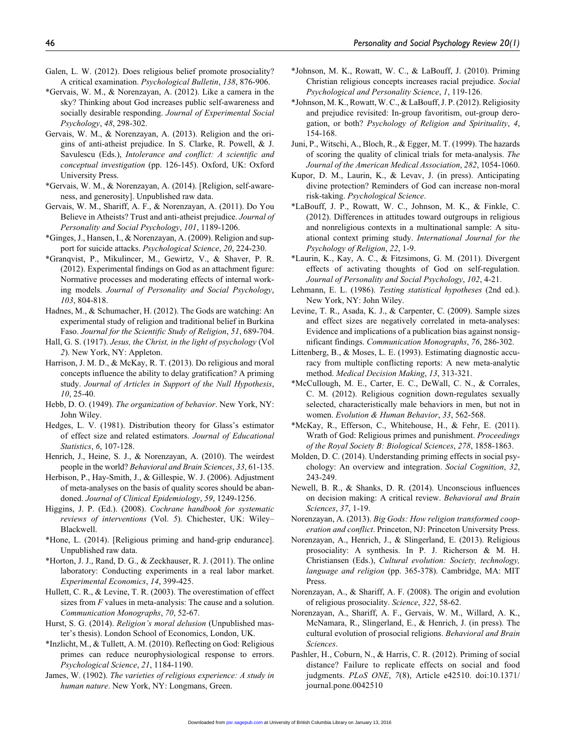- Galen, L. W. (2012). Does religious belief promote prosociality? A critical examination. *Psychological Bulletin*, *138*, 876-906.
- \*Gervais, W. M., & Norenzayan, A. (2012). Like a camera in the sky? Thinking about God increases public self-awareness and socially desirable responding. *Journal of Experimental Social Psychology*, *48*, 298-302.
- Gervais, W. M., & Norenzayan, A. (2013). Religion and the origins of anti-atheist prejudice. In S. Clarke, R. Powell, & J. Savulescu (Eds.), *Intolerance and conflict: A scientific and conceptual investigation* (pp. 126-145). Oxford, UK: Oxford University Press.
- \*Gervais, W. M., & Norenzayan, A. (2014). [Religion, self-awareness, and generosity]. Unpublished raw data.
- Gervais, W. M., Shariff, A. F., & Norenzayan, A. (2011). Do You Believe in Atheists? Trust and anti-atheist prejudice. *Journal of Personality and Social Psychology*, *101*, 1189-1206.
- \*Ginges, J., Hansen, I., & Norenzayan, A. (2009). Religion and support for suicide attacks. *Psychological Science*, *20*, 224-230.
- \*Granqvist, P., Mikulincer, M., Gewirtz, V., & Shaver, P. R. (2012). Experimental findings on God as an attachment figure: Normative processes and moderating effects of internal working models. *Journal of Personality and Social Psychology*, *103*, 804-818.
- Hadnes, M., & Schumacher, H. (2012). The Gods are watching: An experimental study of religion and traditional belief in Burkina Faso. *Journal for the Scientific Study of Religion*, *51*, 689-704.
- Hall, G. S. (1917). *Jesus, the Christ, in the light of psychology* (Vol *2*). New York, NY: Appleton.
- Harrison, J. M. D., & McKay, R. T. (2013). Do religious and moral concepts influence the ability to delay gratification? A priming study. *Journal of Articles in Support of the Null Hypothesis*, *10*, 25-40.
- Hebb, D. O. (1949). *The organization of behavior*. New York, NY: John Wiley.
- Hedges, L. V. (1981). Distribution theory for Glass's estimator of effect size and related estimators. *Journal of Educational Statistics*, *6*, 107-128.
- Henrich, J., Heine, S. J., & Norenzayan, A. (2010). The weirdest people in the world? *Behavioral and Brain Sciences*, *33*, 61-135.
- Herbison, P., Hay-Smith, J., & Gillespie, W. J. (2006). Adjustment of meta-analyses on the basis of quality scores should be abandoned. *Journal of Clinical Epidemiology*, *59*, 1249-1256.
- Higgins, J. P. (Ed.). (2008). *Cochrane handbook for systematic reviews of interventions* (Vol. *5*). Chichester, UK: Wiley– Blackwell.
- \*Hone, L. (2014). [Religious priming and hand-grip endurance]. Unpublished raw data.
- \*Horton, J. J., Rand, D. G., & Zeckhauser, R. J. (2011). The online laboratory: Conducting experiments in a real labor market. *Experimental Economics*, *14*, 399-425.
- Hullett, C. R., & Levine, T. R. (2003). The overestimation of effect sizes from *F* values in meta-analysis: The cause and a solution. *Communication Monographs*, *70*, 52-67.
- Hurst, S. G. (2014). *Religion's moral delusion* (Unpublished master's thesis). London School of Economics, London, UK.
- \*Inzlicht, M., & Tullett, A. M. (2010). Reflecting on God: Religious primes can reduce neurophysiological response to errors. *Psychological Science*, *21*, 1184-1190.
- James, W. (1902). *The varieties of religious experience: A study in human nature*. New York, NY: Longmans, Green.
- \*Johnson, M. K., Rowatt, W. C., & LaBouff, J. (2010). Priming Christian religious concepts increases racial prejudice. *Social Psychological and Personality Science*, *1*, 119-126.
- \*Johnson, M. K., Rowatt, W. C., & LaBouff, J. P. (2012). Religiosity and prejudice revisited: In-group favoritism, out-group derogation, or both? *Psychology of Religion and Spirituality*, *4*, 154-168.
- Juni, P., Witschi, A., Bloch, R., & Egger, M. T. (1999). The hazards of scoring the quality of clinical trials for meta-analysis. *The Journal of the American Medical Association*, *282*, 1054-1060.
- Kupor, D. M., Laurin, K., & Levav, J. (in press). Anticipating divine protection? Reminders of God can increase non-moral risk-taking. *Psychological Science*.
- \*LaBouff, J. P., Rowatt, W. C., Johnson, M. K., & Finkle, C. (2012). Differences in attitudes toward outgroups in religious and nonreligious contexts in a multinational sample: A situational context priming study. *International Journal for the Psychology of Religion*, *22*, 1-9.
- \*Laurin, K., Kay, A. C., & Fitzsimons, G. M. (2011). Divergent effects of activating thoughts of God on self-regulation. *Journal of Personality and Social Psychology*, *102*, 4-21.
- Lehmann, E. L. (1986). *Testing statistical hypotheses* (2nd ed.). New York, NY: John Wiley.
- Levine, T. R., Asada, K. J., & Carpenter, C. (2009). Sample sizes and effect sizes are negatively correlated in meta-analyses: Evidence and implications of a publication bias against nonsignificant findings. *Communication Monographs*, *76*, 286-302.
- Littenberg, B., & Moses, L. E. (1993). Estimating diagnostic accuracy from multiple conflicting reports: A new meta-analytic method. *Medical Decision Making*, *13*, 313-321.
- \*McCullough, M. E., Carter, E. C., DeWall, C. N., & Corrales, C. M. (2012). Religious cognition down-regulates sexually selected, characteristically male behaviors in men, but not in women. *Evolution & Human Behavior*, *33*, 562-568.
- \*McKay, R., Efferson, C., Whitehouse, H., & Fehr, E. (2011). Wrath of God: Religious primes and punishment. *Proceedings of the Royal Society B: Biological Sciences*, *278*, 1858-1863.
- Molden, D. C. (2014). Understanding priming effects in social psychology: An overview and integration. *Social Cognition*, *32*, 243-249.
- Newell, B. R., & Shanks, D. R. (2014). Unconscious influences on decision making: A critical review. *Behavioral and Brain Sciences*, *37*, 1-19.
- Norenzayan, A. (2013). *Big Gods: How religion transformed cooperation and conflict*. Princeton, NJ: Princeton University Press.
- Norenzayan, A., Henrich, J., & Slingerland, E. (2013). Religious prosociality: A synthesis. In P. J. Richerson & M. H. Christiansen (Eds.), *Cultural evolution: Society, technology, language and religion* (pp. 365-378). Cambridge, MA: MIT Press.
- Norenzayan, A., & Shariff, A. F. (2008). The origin and evolution of religious prosociality. *Science*, *322*, 58-62.
- Norenzayan, A., Shariff, A. F., Gervais, W. M., Willard, A. K., McNamara, R., Slingerland, E., & Henrich, J. (in press). The cultural evolution of prosocial religions. *Behavioral and Brain Sciences*.
- Pashler, H., Coburn, N., & Harris, C. R. (2012). Priming of social distance? Failure to replicate effects on social and food judgments. *PLoS ONE*, *7*(8), Article e42510. doi:10.1371/ journal.pone.0042510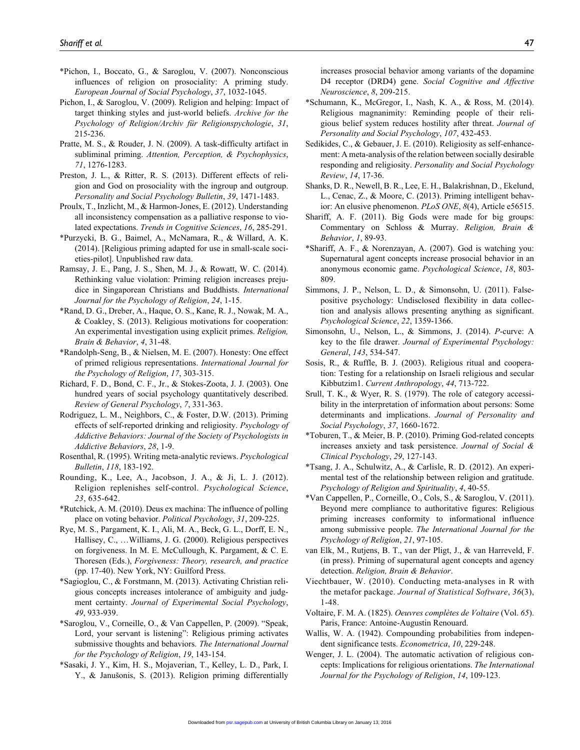- \*Pichon, I., Boccato, G., & Saroglou, V. (2007). Nonconscious influences of religion on prosociality: A priming study. *European Journal of Social Psychology*, *37*, 1032-1045.
- Pichon, I., & Saroglou, V. (2009). Religion and helping: Impact of target thinking styles and just-world beliefs. *Archive for the Psychology of Religion/Archiv für Religionspychologie*, *31*, 215-236.
- Pratte, M. S., & Rouder, J. N. (2009). A task-difficulty artifact in subliminal priming. *Attention, Perception, & Psychophysics*, *71*, 1276-1283.
- Preston, J. L., & Ritter, R. S. (2013). Different effects of religion and God on prosociality with the ingroup and outgroup. *Personality and Social Psychology Bulletin*, *39*, 1471-1483.
- Proulx, T., Inzlicht, M., & Harmon-Jones, E. (2012). Understanding all inconsistency compensation as a palliative response to violated expectations. *Trends in Cognitive Sciences*, *16*, 285-291.
- \*Purzycki, B. G., Baimel, A., McNamara, R., & Willard, A. K. (2014). [Religious priming adapted for use in small-scale societies-pilot]. Unpublished raw data.
- Ramsay, J. E., Pang, J. S., Shen, M. J., & Rowatt, W. C. (2014). Rethinking value violation: Priming religion increases prejudice in Singaporean Christians and Buddhists. *International Journal for the Psychology of Religion*, *24*, 1-15.
- \*Rand, D. G., Dreber, A., Haque, O. S., Kane, R. J., Nowak, M. A., & Coakley, S. (2013). Religious motivations for cooperation: An experimental investigation using explicit primes. *Religion, Brain & Behavior*, *4*, 31-48.
- \*Randolph-Seng, B., & Nielsen, M. E. (2007). Honesty: One effect of primed religious representations. *International Journal for the Psychology of Religion*, *17*, 303-315.
- Richard, F. D., Bond, C. F., Jr., & Stokes-Zoota, J. J. (2003). One hundred years of social psychology quantitatively described. *Review of General Psychology*, *7*, 331-363.
- Rodriguez, L. M., Neighbors, C., & Foster, D.W. (2013). Priming effects of self-reported drinking and religiosity. *Psychology of Addictive Behaviors: Journal of the Society of Psychologists in Addictive Behaviors*, *28*, 1-9.
- Rosenthal, R. (1995). Writing meta-analytic reviews. *Psychological Bulletin*, *118*, 183-192.
- Rounding, K., Lee, A., Jacobson, J. A., & Ji, L. J. (2012). Religion replenishes self-control. *Psychological Science*, *23*, 635-642.
- \*Rutchick, A. M. (2010). Deus ex machina: The influence of polling place on voting behavior. *Political Psychology*, *31*, 209-225.
- Rye, M. S., Pargament, K. I., Ali, M. A., Beck, G. L., Dorff, E. N., Hallisey, C., …Williams, J. G. (2000). Religious perspectives on forgiveness. In M. E. McCullough, K. Pargament, & C. E. Thoresen (Eds.), *Forgiveness: Theory, research, and practice* (pp. 17-40). New York, NY: Guilford Press.
- \*Sagioglou, C., & Forstmann, M. (2013). Activating Christian religious concepts increases intolerance of ambiguity and judgment certainty. *Journal of Experimental Social Psychology*, *49*, 933-939.
- \*Saroglou, V., Corneille, O., & Van Cappellen, P. (2009). "Speak, Lord, your servant is listening": Religious priming activates submissive thoughts and behaviors. *The International Journal for the Psychology of Religion*, *19*, 143-154.
- \*Sasaki, J. Y., Kim, H. S., Mojaverian, T., Kelley, L. D., Park, I. Y., & Janušonis, S. (2013). Religion priming differentially

increases prosocial behavior among variants of the dopamine D4 receptor (DRD4) gene. *Social Cognitive and Affective Neuroscience*, *8*, 209-215.

- \*Schumann, K., McGregor, I., Nash, K. A., & Ross, M. (2014). Religious magnanimity: Reminding people of their religious belief system reduces hostility after threat. *Journal of Personality and Social Psychology*, *107*, 432-453.
- Sedikides, C., & Gebauer, J. E. (2010). Religiosity as self-enhancement: A meta-analysis of the relation between socially desirable responding and religiosity. *Personality and Social Psychology Review*, *14*, 17-36.
- Shanks, D. R., Newell, B. R., Lee, E. H., Balakrishnan, D., Ekelund, L., Cenac, Z., & Moore, C. (2013). Priming intelligent behavior: An elusive phenomenon. *PLoS ONE*, *8*(4), Article e56515.
- Shariff, A. F. (2011). Big Gods were made for big groups: Commentary on Schloss & Murray. *Religion, Brain & Behavior*, *1*, 89-93.
- \*Shariff, A. F., & Norenzayan, A. (2007). God is watching you: Supernatural agent concepts increase prosocial behavior in an anonymous economic game. *Psychological Science*, *18*, 803- 809.
- Simmons, J. P., Nelson, L. D., & Simonsohn, U. (2011). Falsepositive psychology: Undisclosed flexibility in data collection and analysis allows presenting anything as significant. *Psychological Science*, *22*, 1359-1366.
- Simonsohn, U., Nelson, L., & Simmons, J. (2014). *P*-curve: A key to the file drawer. *Journal of Experimental Psychology: General*, *143*, 534-547.
- Sosis, R., & Ruffle, B. J. (2003). Religious ritual and cooperation: Testing for a relationship on Israeli religious and secular Kibbutzim1. *Current Anthropology*, *44*, 713-722.
- Srull, T. K., & Wyer, R. S. (1979). The role of category accessibility in the interpretation of information about persons: Some determinants and implications. *Journal of Personality and Social Psychology*, *37*, 1660-1672.
- \*Toburen, T., & Meier, B. P. (2010). Priming God-related concepts increases anxiety and task persistence. *Journal of Social & Clinical Psychology*, *29*, 127-143.
- \*Tsang, J. A., Schulwitz, A., & Carlisle, R. D. (2012). An experimental test of the relationship between religion and gratitude. *Psychology of Religion and Spirituality*, *4*, 40-55.
- \*Van Cappellen, P., Corneille, O., Cols, S., & Saroglou, V. (2011). Beyond mere compliance to authoritative figures: Religious priming increases conformity to informational influence among submissive people. *The International Journal for the Psychology of Religion*, *21*, 97-105.
- van Elk, M., Rutjens, B. T., van der Pligt, J., & van Harreveld, F. (in press). Priming of supernatural agent concepts and agency detection. *Religion, Brain & Behavior*.
- Viechtbauer, W. (2010). Conducting meta-analyses in R with the metafor package. *Journal of Statistical Software*, *36*(3), 1-48.
- Voltaire, F. M. A. (1825). *Oeuvres complètes de Voltaire* (Vol. *65*). Paris, France: Antoine-Augustin Renouard.
- Wallis, W. A. (1942). Compounding probabilities from independent significance tests. *Econometrica*, *10*, 229-248.
- Wenger, J. L. (2004). The automatic activation of religious concepts: Implications for religious orientations. *The International Journal for the Psychology of Religion*, *14*, 109-123.